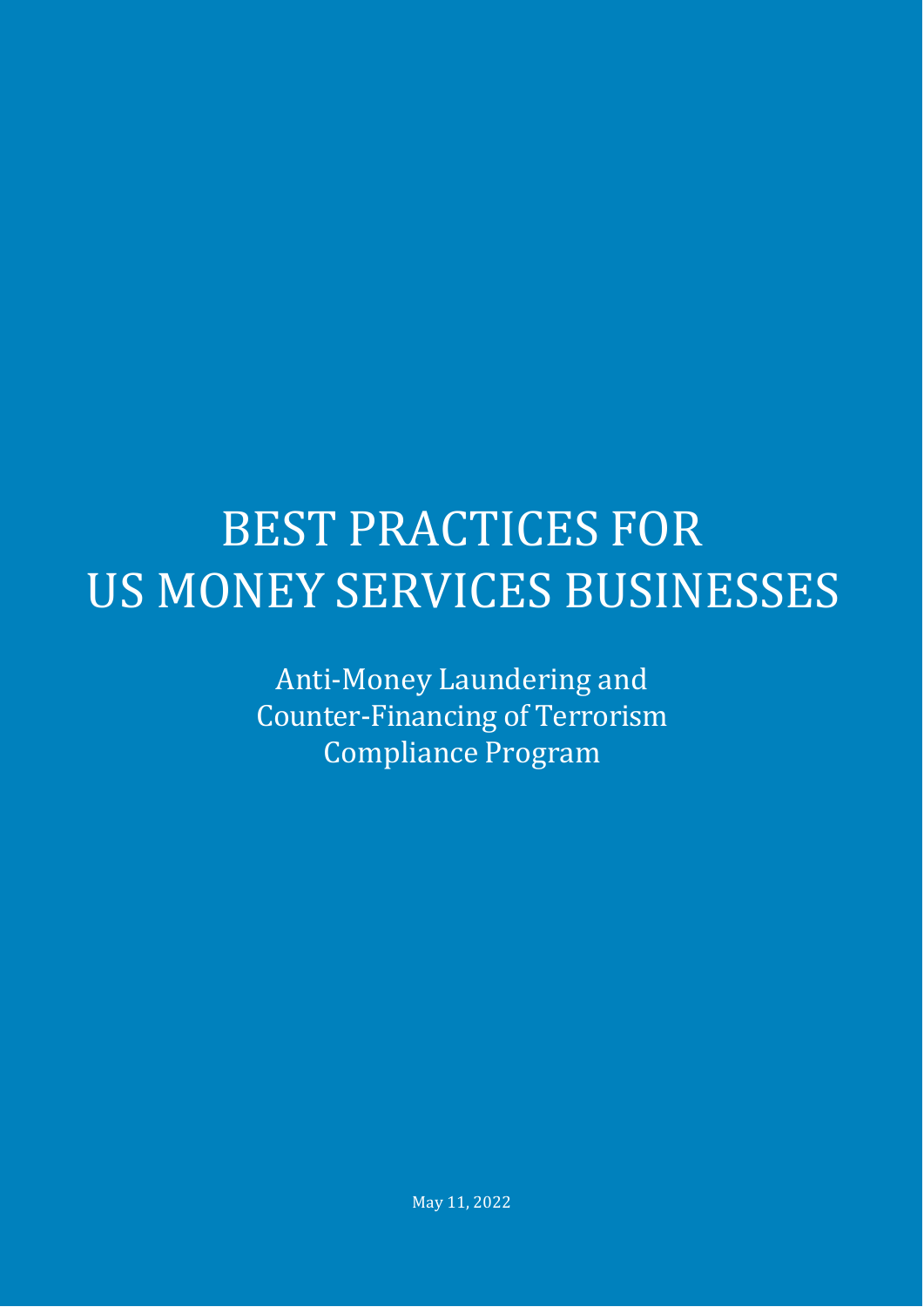# BEST PRACTICES FOR US MONEY SERVICES BUSINESSES

Anti-Money Laundering and Counter-Financing of Terrorism Compliance Program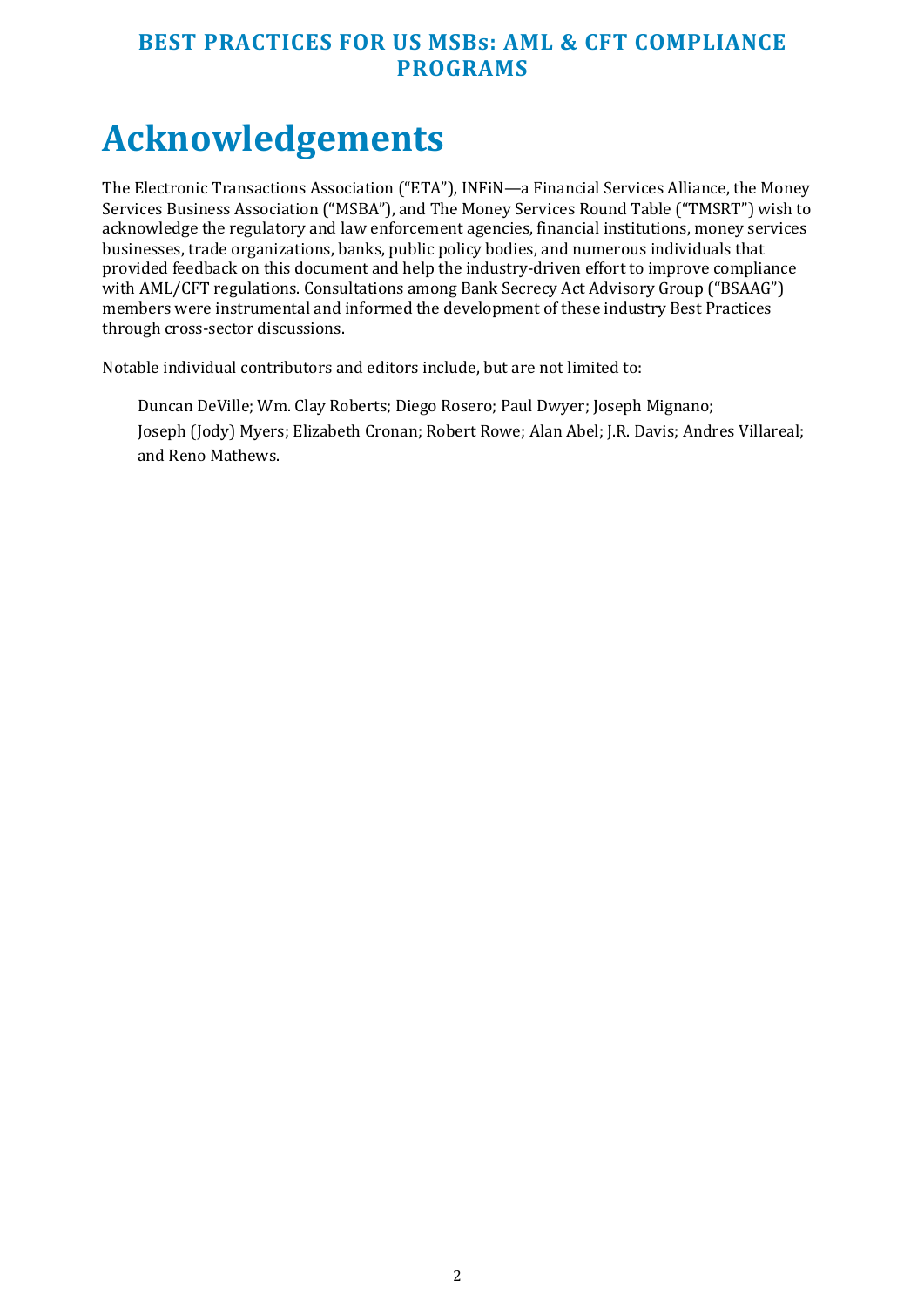## **Acknowledgements**

The Electronic Transactions Association ("ETA"), INFiN—a Financial Services Alliance, the Money Services Business Association ("MSBA"), and The Money Services Round Table ("TMSRT") wish to acknowledge the regulatory and law enforcement agencies, financial institutions, money services businesses, trade organizations, banks, public policy bodies, and numerous individuals that provided feedback on this document and help the industry-driven effort to improve compliance with AML/CFT regulations. Consultations among Bank Secrecy Act Advisory Group ("BSAAG") members were instrumental and informed the development of these industry Best Practices through cross-sector discussions.

Notable individual contributors and editors include, but are not limited to:

Duncan DeVille; Wm. Clay Roberts; Diego Rosero; Paul Dwyer; Joseph Mignano; Joseph (Jody) Myers; Elizabeth Cronan; Robert Rowe; Alan Abel; J.R. Davis; Andres Villareal; and Reno Mathews.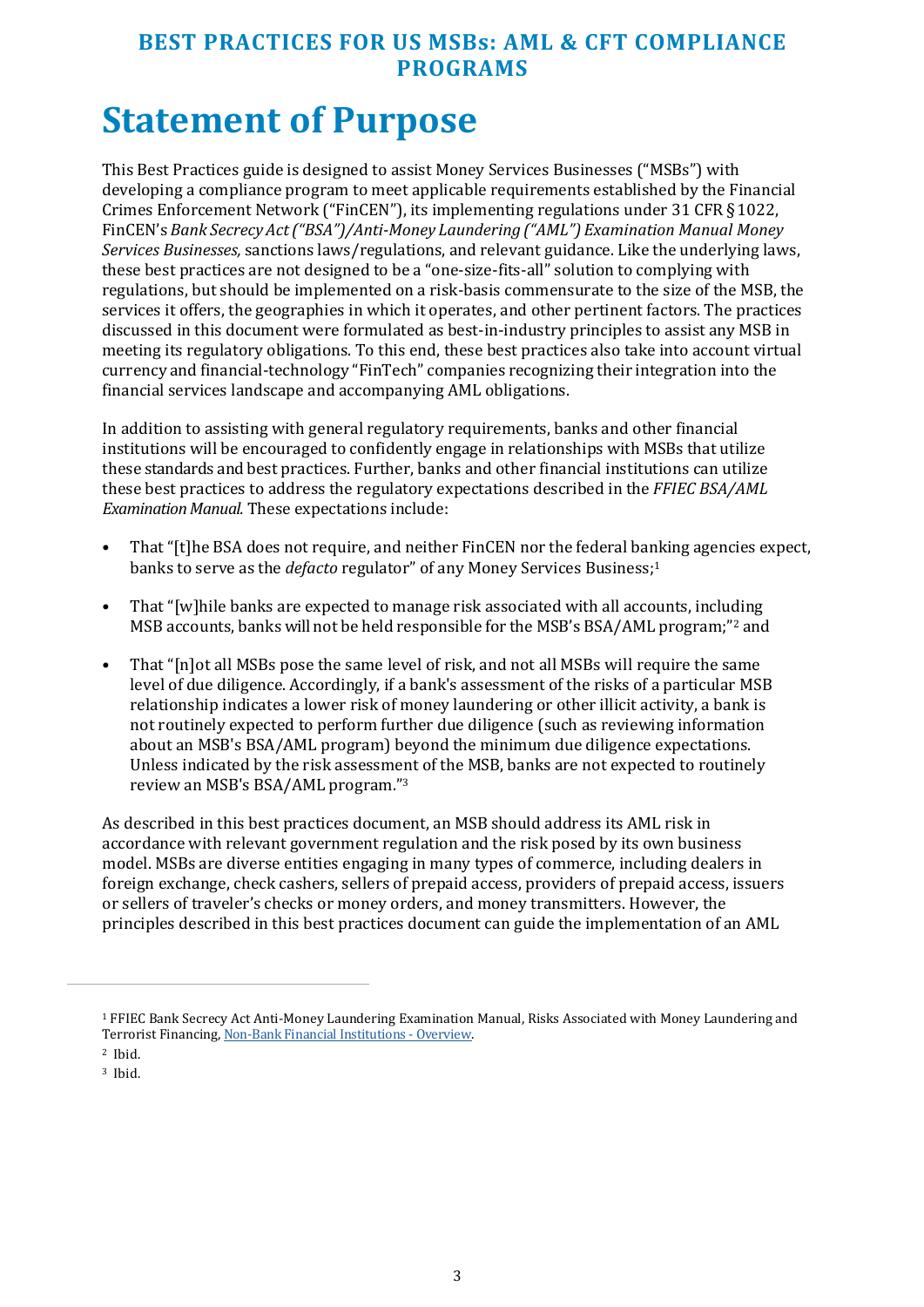## **Statement of Purpose**

This Best Practices guide is designed to assist Money Services Businesses ("MSBs") with developing a compliance program to meet applicable requirements established by the Financial Crimes Enforcement Network ("FinCEN"), its implementing regulations under 31 CFR § 1022, FinCEN's *Bank Secrecy Act ("BSA")/Anti-Money Laundering ("AML") Examination Manual Money Services Businesses,* sanctions laws/regulations, and relevant guidance. Like the underlying laws, these best practices are not designed to be a "one-size-fits-all" solution to complying with regulations, but should be implemented on a risk-basis commensurate to the size of the MSB, the services it offers, the geographies in which it operates, and other pertinent factors. The practices discussed in this document were formulated as best-in-industry principles to assist any MSB in meeting its regulatory obligations. To this end, these best practices also take into account virtual currency and financial-technology "FinTech" companies recognizing their integration into the financial services landscape and accompanying AML obligations.

In addition to assisting with general regulatory requirements, banks and other financial institutions will be encouraged to confidently engage in relationships with MSBs that utilize these standards and best practices. Further, banks and other financial institutions can utilize these best practices to address the regulatory expectations described in the *FFIEC BSA/AML Examination Manual.* These expectations include:

- That "[t]he BSA does not require, and neither FinCEN nor the federal banking agencies expect, banks to serve as the *defacto* regulator" of any Money Services Business;<sup>1</sup>
- That "[w]hile banks are expected to manage risk associated with all accounts, including MSB accounts, banks will not be held responsible for the MSB's BSA/AML program;"2 and
- That "[n]ot all MSBs pose the same level of risk, and not all MSBs will require the same level of due diligence. Accordingly, if a bank's assessment of the risks of a particular MSB relationship indicates a lower risk of money laundering or other illicit activity, a bank is not routinely expected to perform further due diligence (such as reviewing information about an MSB's BSA/AML program) beyond the minimum due diligence expectations. Unless indicated by the risk assessment of the MSB, banks are not expected to routinely review an MSB's BSA/AML program."<sup>3</sup>

As described in this best practices document, an MSB should address its AML risk in accordance with relevant government regulation and the risk posed by its own business model. MSBs are diverse entities engaging in many types of commerce, including dealers in foreign exchange, check cashers, sellers of prepaid access, providers of prepaid access, issuers or sellers of traveler's checks or money orders, and money transmitters. However, the principles described in this best practices document can guide the implementation of an AML

<sup>1</sup> FFIEC Bank Secrecy Act Anti-Money Laundering Examination Manual, Risks Associated with Money Laundering and Terrorist Financing[, Non-Bank Financial Institutions - Overview.](https://bsaaml.ffiec.gov/manual/RisksAssociatedWithMoneyLaunderingAndTerroristFinancing/25) 

<sup>2</sup> Ibid.

<sup>3</sup> Ibid.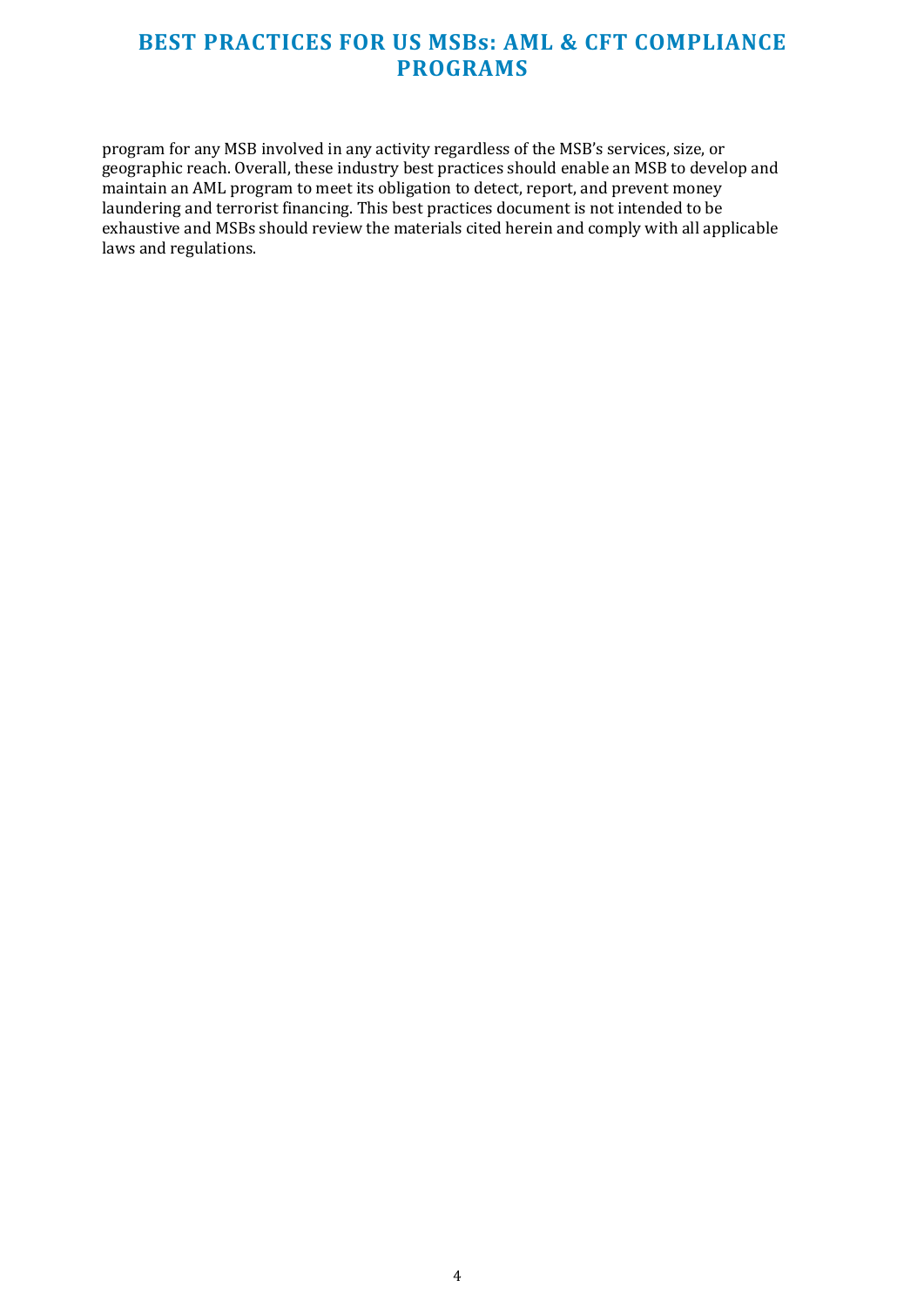program for any MSB involved in any activity regardless of the MSB's services, size, or geographic reach. Overall, these industry best practices should enable an MSB to develop and maintain an AML program to meet its obligation to detect, report, and prevent money laundering and terrorist financing. This best practices document is not intended to be exhaustive and MSBs should review the materials cited herein and comply with all applicable laws and regulations.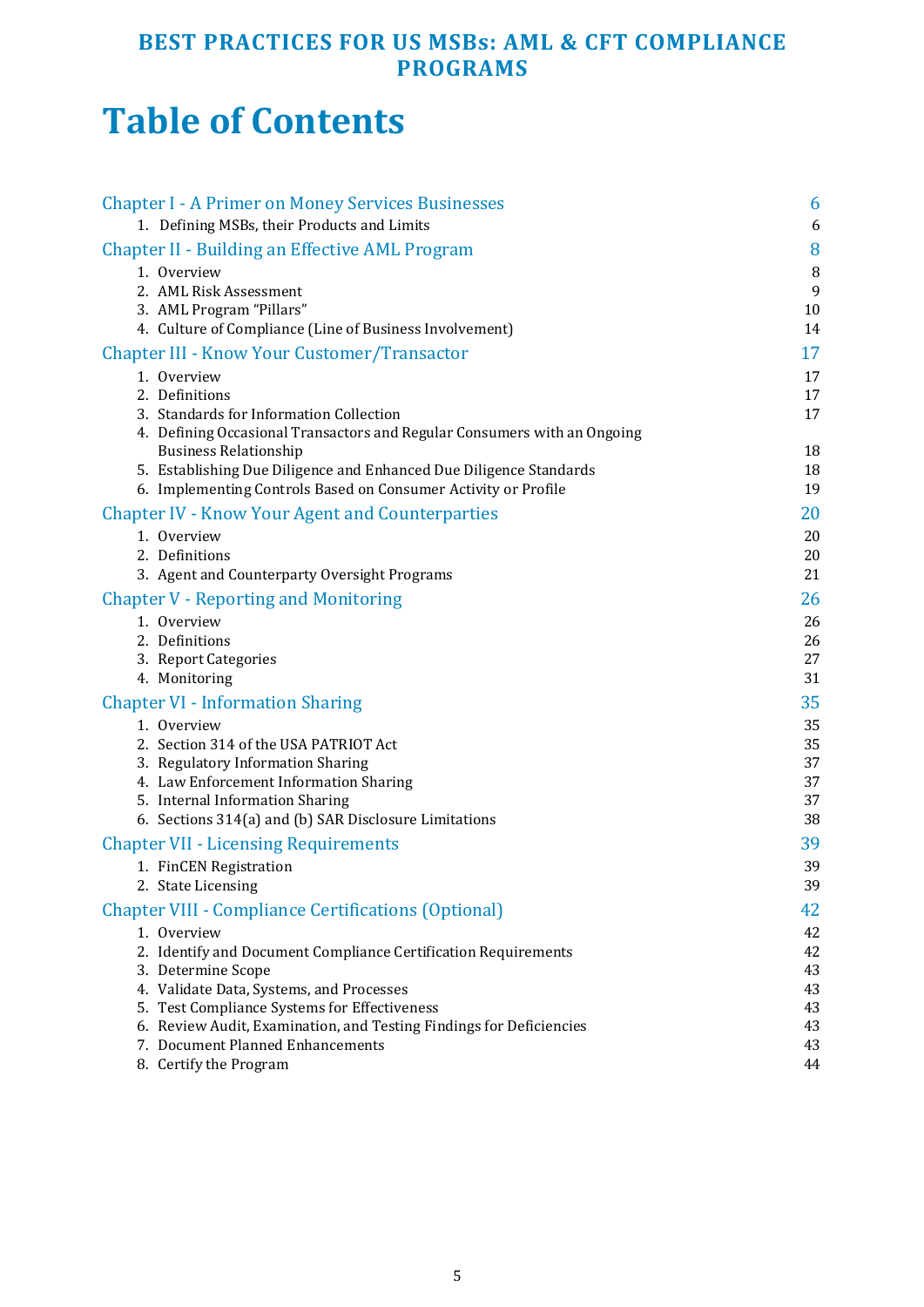## **Table of Contents**

| <b>Chapter I - A Primer on Money Services Businesses</b>                                           | 6        |
|----------------------------------------------------------------------------------------------------|----------|
| 1. Defining MSBs, their Products and Limits                                                        | 6        |
| Chapter II - Building an Effective AML Program                                                     | 8        |
| 1. Overview                                                                                        | $\, 8$   |
| 2. AML Risk Assessment                                                                             | 9        |
| 3. AML Program "Pillars"<br>4. Culture of Compliance (Line of Business Involvement)                | 10<br>14 |
| <b>Chapter III - Know Your Customer/Transactor</b>                                                 | 17       |
| 1. Overview                                                                                        | 17       |
| 2. Definitions                                                                                     | 17       |
| 3. Standards for Information Collection                                                            | 17       |
| 4. Defining Occasional Transactors and Regular Consumers with an Ongoing                           |          |
| <b>Business Relationship</b><br>5. Establishing Due Diligence and Enhanced Due Diligence Standards | 18<br>18 |
| 6. Implementing Controls Based on Consumer Activity or Profile                                     | 19       |
| <b>Chapter IV - Know Your Agent and Counterparties</b>                                             | 20       |
| 1. Overview                                                                                        | 20       |
| 2. Definitions                                                                                     | 20       |
| 3. Agent and Counterparty Oversight Programs                                                       | 21       |
| <b>Chapter V - Reporting and Monitoring</b>                                                        | 26       |
| 1. Overview                                                                                        | 26       |
| 2. Definitions                                                                                     | 26       |
| 3. Report Categories                                                                               | 27       |
| 4. Monitoring                                                                                      | 31       |
| <b>Chapter VI - Information Sharing</b>                                                            | 35       |
| 1. Overview                                                                                        | 35       |
| 2. Section 314 of the USA PATRIOT Act                                                              | 35       |
| 3. Regulatory Information Sharing<br>4. Law Enforcement Information Sharing                        | 37<br>37 |
| 5. Internal Information Sharing                                                                    | 37       |
| 6. Sections 314(a) and (b) SAR Disclosure Limitations                                              | 38       |
| <b>Chapter VII - Licensing Requirements</b>                                                        | 39       |
| 1. FinCEN Registration                                                                             | 39       |
| 2. State Licensing                                                                                 | 39       |
| <b>Chapter VIII - Compliance Certifications (Optional)</b>                                         | 42       |
| 1. Overview                                                                                        | 42       |
| 2. Identify and Document Compliance Certification Requirements                                     | 42       |
| 3. Determine Scope<br>4. Validate Data, Systems, and Processes                                     | 43<br>43 |
| 5. Test Compliance Systems for Effectiveness                                                       | 43       |
| 6. Review Audit, Examination, and Testing Findings for Deficiencies                                | 43       |
| 7. Document Planned Enhancements                                                                   | 43       |
| 8. Certify the Program                                                                             | 44       |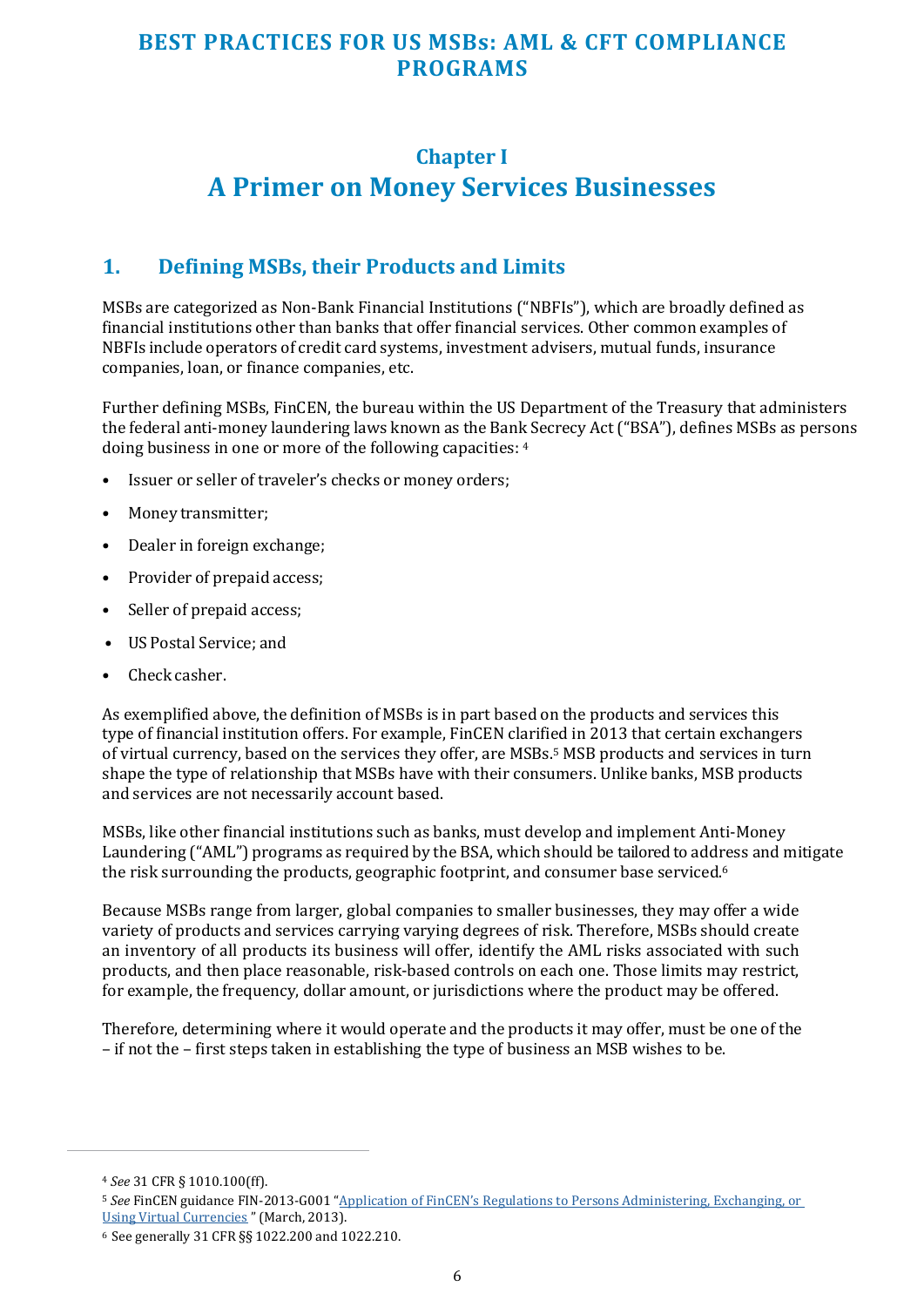## <span id="page-5-0"></span>**Chapter I A Primer on Money Services Businesses**

#### **1. Defining MSBs, their Products and Limits**

MSBs are categorized as Non-Bank Financial Institutions ("NBFIs"), which are broadly defined as financial institutions other than banks that offer financial services. Other common examples of NBFIs include operators of credit card systems, investment advisers, mutual funds, insurance companies, loan, or finance companies, etc.

Further defining MSBs, FinCEN, the bureau within the US Department of the Treasury that administers the federal anti-money laundering laws known as the Bank Secrecy Act ("BSA"), defines MSBs as persons doing business in one or more of the following capacities: <sup>4</sup>

- Issuer or seller of traveler's checks or money orders;
- Money transmitter;
- Dealer in foreign exchange;
- Provider of prepaid access;
- Seller of prepaid access;
- US Postal Service; and
- Check casher.

As exemplified above, the definition of MSBs is in part based on the products and services this type of financial institution offers. For example, FinCEN clarified in 2013 that certain exchangers of virtual currency, based on the services they offer, are MSBs.5 MSB products and services in turn shape the type of relationship that MSBs have with their consumers. Unlike banks, MSB products and services are not necessarily account based.

MSBs, like other financial institutions such as banks, must develop and implement Anti-Money Laundering ("AML") programs as required by the BSA, which should be tailored to address and mitigate the risk surrounding the products, geographic footprint, and consumer base serviced.<sup>6</sup>

Because MSBs range from larger, global companies to smaller businesses, they may offer a wide variety of products and services carrying varying degrees of risk. Therefore, MSBs should create an inventory of all products its business will offer, identify the AML risks associated with such products, and then place reasonable, risk-based controls on each one. Those limits may restrict, for example, the frequency, dollar amount, or jurisdictions where the product may be offered.

Therefore, determining where it would operate and the products it may offer, must be one of the – if not the – first steps taken in establishing the type of business an MSB wishes to be.

<sup>4</sup> *See* 31 CFR § 1010.100(ff).

<sup>5</sup> *See* FinCEN guidance FIN-2013-G001 ["Application of FinCEN's Regulations to Persons Administering, Exchanging, or](https://www.fincen.gov/sites/default/files/shared/FIN-2013-G001.pdf)  [Using Virtual Currencies](https://www.fincen.gov/sites/default/files/shared/FIN-2013-G001.pdf) " (March, 2013).

<sup>6</sup> See generally 31 CFR §§ 1022.200 and 1022.210.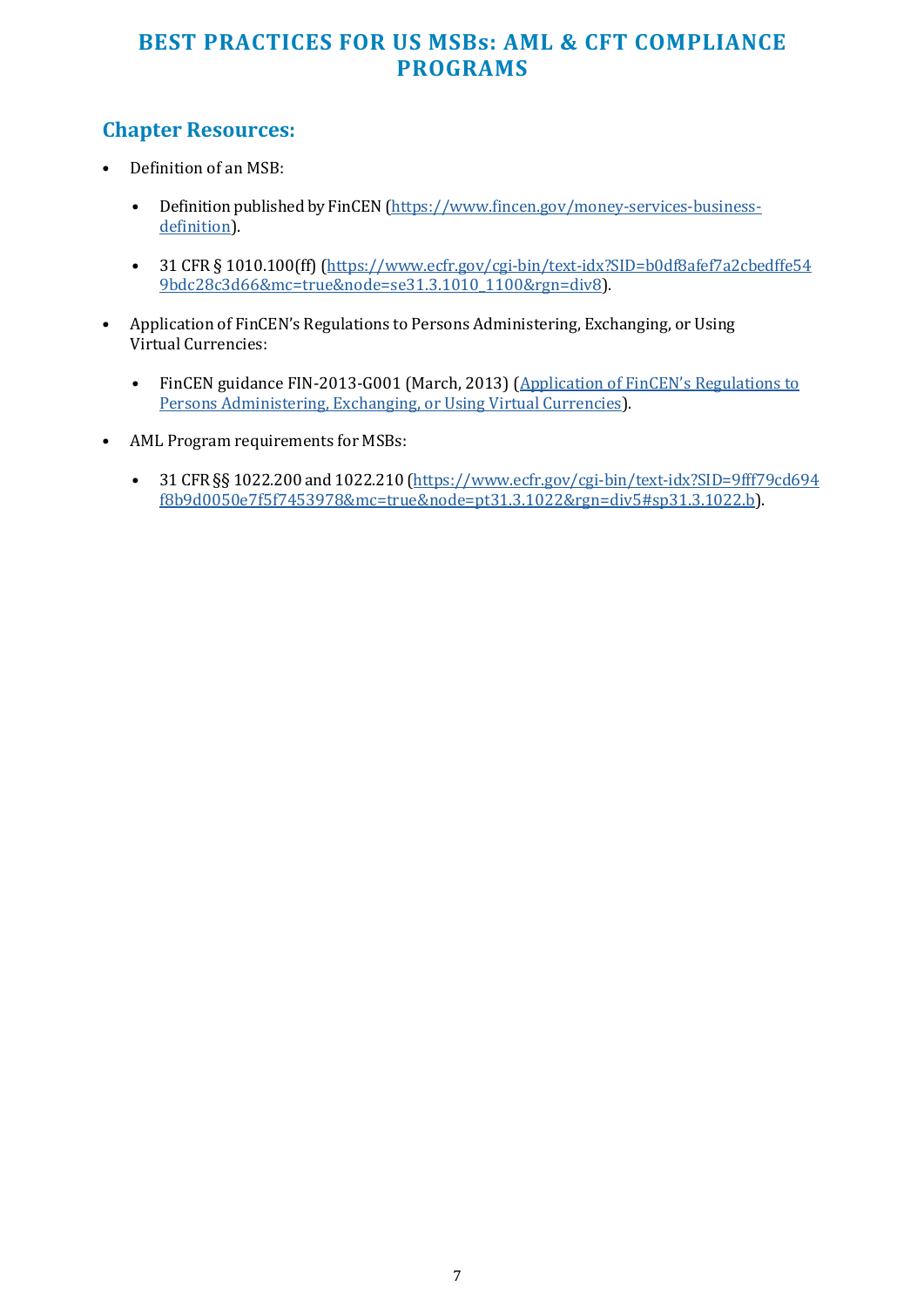## **Chapter Resources:**

- Definition of an MSB:
	- Definition published by FinCEN [\(https://www.fincen.gov/money-services-business](https://www.fincen.gov/money-services-business-definition)[definition\)](https://www.fincen.gov/money-services-business-definition).
	- 31 CFR § 1010.100(ff) [\(https://www.ecfr.gov/cgi-bin/text-idx?SID=b0df8afef7a2cbedffe54](https://www.ecfr.gov/cgi-bin/text-idx?SID=b0df8afef7a2cbedffe549bdc28c3d66&mc=true&node=se31.3.1010_1100&rgn=div8) [9bdc28c3d66&mc=true&node=se31.3.1010\\_1100&rgn=div8\)](https://www.ecfr.gov/cgi-bin/text-idx?SID=b0df8afef7a2cbedffe549bdc28c3d66&mc=true&node=se31.3.1010_1100&rgn=div8).
- Application of FinCEN's Regulations to Persons Administering, Exchanging, or Using Virtual Currencies:
	- FinCEN guidance FIN-2013-G001 (March, 2013) [\(Application of FinCEN's Regulations to](https://www.fincen.gov/sites/default/files/shared/FIN-2013-G001.pdf) [Persons Administering, Exchanging, or Using Virtual Currencies\)](https://www.fincen.gov/sites/default/files/shared/FIN-2013-G001.pdf).
- AML Program requirements for MSBs:
	- 31 CFR §§ 1022.200 and 1022.210 [\(https://www.ecfr.gov/cgi-bin/text-idx?SID=9fff79cd694](https://www.ecfr.gov/cgi-bin/text-idx?SID=9fff79cd694f8b9d0050e7f5f7453978&mc=true&node=pt31.3.1022&rgn=div5&sp31.3.1022.b) [f8b9d0050e7f5f7453978&mc=true&node=pt31.3.1022&rgn=div5#sp31.3.1022.b\)](https://www.ecfr.gov/cgi-bin/text-idx?SID=9fff79cd694f8b9d0050e7f5f7453978&mc=true&node=pt31.3.1022&rgn=div5&sp31.3.1022.b).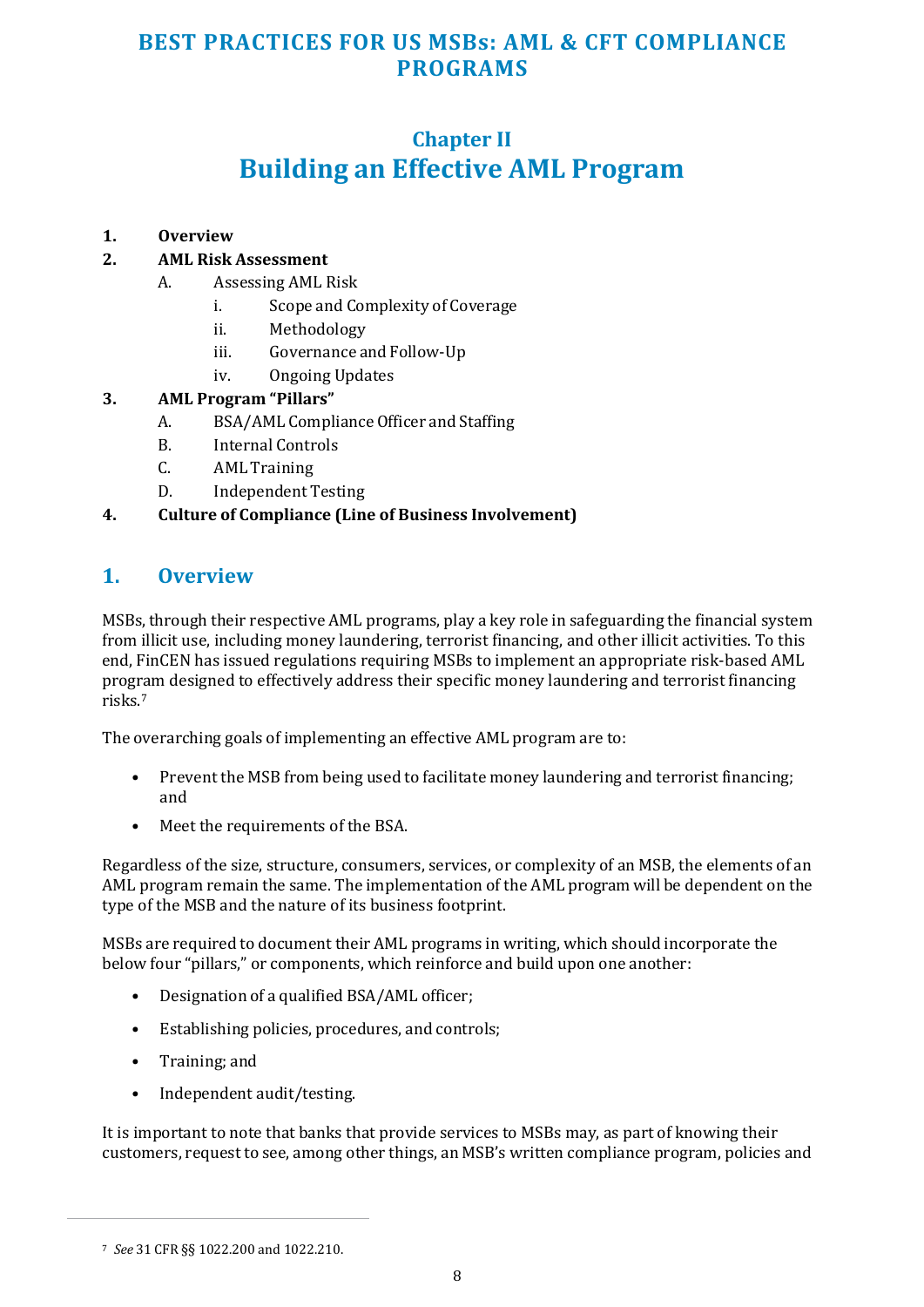## **Chapter II Building an Effective AML Program**

#### <span id="page-7-0"></span>**1. Overview**

#### **2. AML Risk Assessment**

- A. Assessing AML Risk
	- i. Scope and Complexity of Coverage
	- ii. Methodology
	- iii. Governance and Follow-Up
	- iv. Ongoing Updates

#### **3. AML Program "Pillars"**

- A. BSA/AML Compliance Officer and Staffing
- B. Internal Controls
- C. AML Training
- D. Independent Testing

#### **4. Culture of Compliance (Line of Business Involvement)**

#### **1. Overview**

MSBs, through their respective AML programs, play a key role in safeguarding the financial system from illicit use, including money laundering, terrorist financing, and other illicit activities. To this end, FinCEN has issued regulations requiring MSBs to implement an appropriate risk-based AML program designed to effectively address their specific money laundering and terrorist financing risks.<sup>7</sup>

The overarching goals of implementing an effective AML program are to:

- Prevent the MSB from being used to facilitate money laundering and terrorist financing; and
- Meet the requirements of the BSA.

Regardless of the size, structure, consumers, services, or complexity of an MSB, the elements of an AML program remain the same. The implementation of the AML program will be dependent on the type of the MSB and the nature of its business footprint.

MSBs are required to document their AML programs in writing, which should incorporate the below four "pillars," or components, which reinforce and build upon one another:

- Designation of a qualified BSA/AML officer;
- Establishing policies, procedures, and controls;
- Training; and
- Independent audit/testing.

It is important to note that banks that provide services to MSBs may, as part of knowing their customers, request to see, among other things, an MSB's written compliance program, policies and

<sup>7</sup> *See* 31 CFR §§ 1022.200 and 1022.210.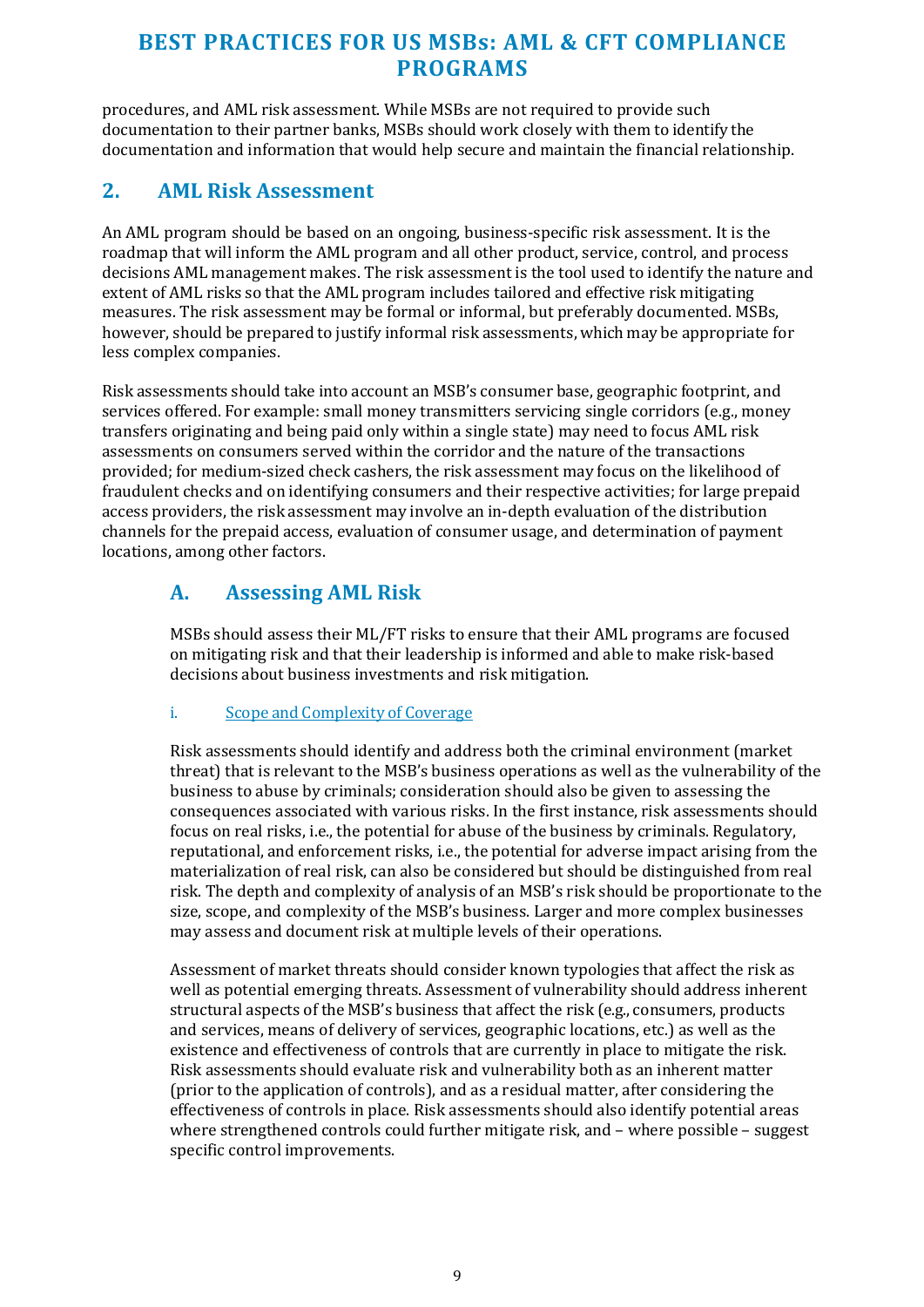<span id="page-8-0"></span>procedures, and AML risk assessment. While MSBs are not required to provide such documentation to their partner banks, MSBs should work closely with them to identify the documentation and information that would help secure and maintain the financial relationship.

#### **2. AML Risk Assessment**

An AML program should be based on an ongoing, business-specific risk assessment. It is the roadmap that will inform the AML program and all other product, service, control, and process decisions AML management makes. The risk assessment is the tool used to identify the nature and extent of AML risks so that the AML program includes tailored and effective risk mitigating measures. The risk assessment may be formal or informal, but preferably documented. MSBs, however, should be prepared to justify informal risk assessments, which may be appropriate for less complex companies.

Risk assessments should take into account an MSB's consumer base, geographic footprint, and services offered. For example: small money transmitters servicing single corridors (e.g., money transfers originating and being paid only within a single state) may need to focus AML risk assessments on consumers served within the corridor and the nature of the transactions provided; for medium-sized check cashers, the risk assessment may focus on the likelihood of fraudulent checks and on identifying consumers and their respective activities; for large prepaid access providers, the risk assessment may involve an in-depth evaluation of the distribution channels for the prepaid access, evaluation of consumer usage, and determination of payment locations, among other factors.

#### **A. Assessing AML Risk**

MSBs should assess their ML/FT risks to ensure that their AML programs are focused on mitigating risk and that their leadership is informed and able to make risk-based decisions about business investments and risk mitigation.

#### i. Scope and Complexity of Coverage

Risk assessments should identify and address both the criminal environment (market threat) that is relevant to the MSB's business operations as well as the vulnerability of the business to abuse by criminals; consideration should also be given to assessing the consequences associated with various risks. In the first instance, risk assessments should focus on real risks, i.e., the potential for abuse of the business by criminals. Regulatory, reputational, and enforcement risks, i.e., the potential for adverse impact arising from the materialization of real risk, can also be considered but should be distinguished from real risk. The depth and complexity of analysis of an MSB's risk should be proportionate to the size, scope, and complexity of the MSB's business. Larger and more complex businesses may assess and document risk at multiple levels of their operations.

Assessment of market threats should consider known typologies that affect the risk as well as potential emerging threats. Assessment of vulnerability should address inherent structural aspects of the MSB's business that affect the risk (e.g., consumers, products and services, means of delivery of services, geographic locations, etc.) as well as the existence and effectiveness of controls that are currently in place to mitigate the risk. Risk assessments should evaluate risk and vulnerability both as an inherent matter (prior to the application of controls), and as a residual matter, after considering the effectiveness of controls in place. Risk assessments should also identify potential areas where strengthened controls could further mitigate risk, and – where possible – suggest specific control improvements.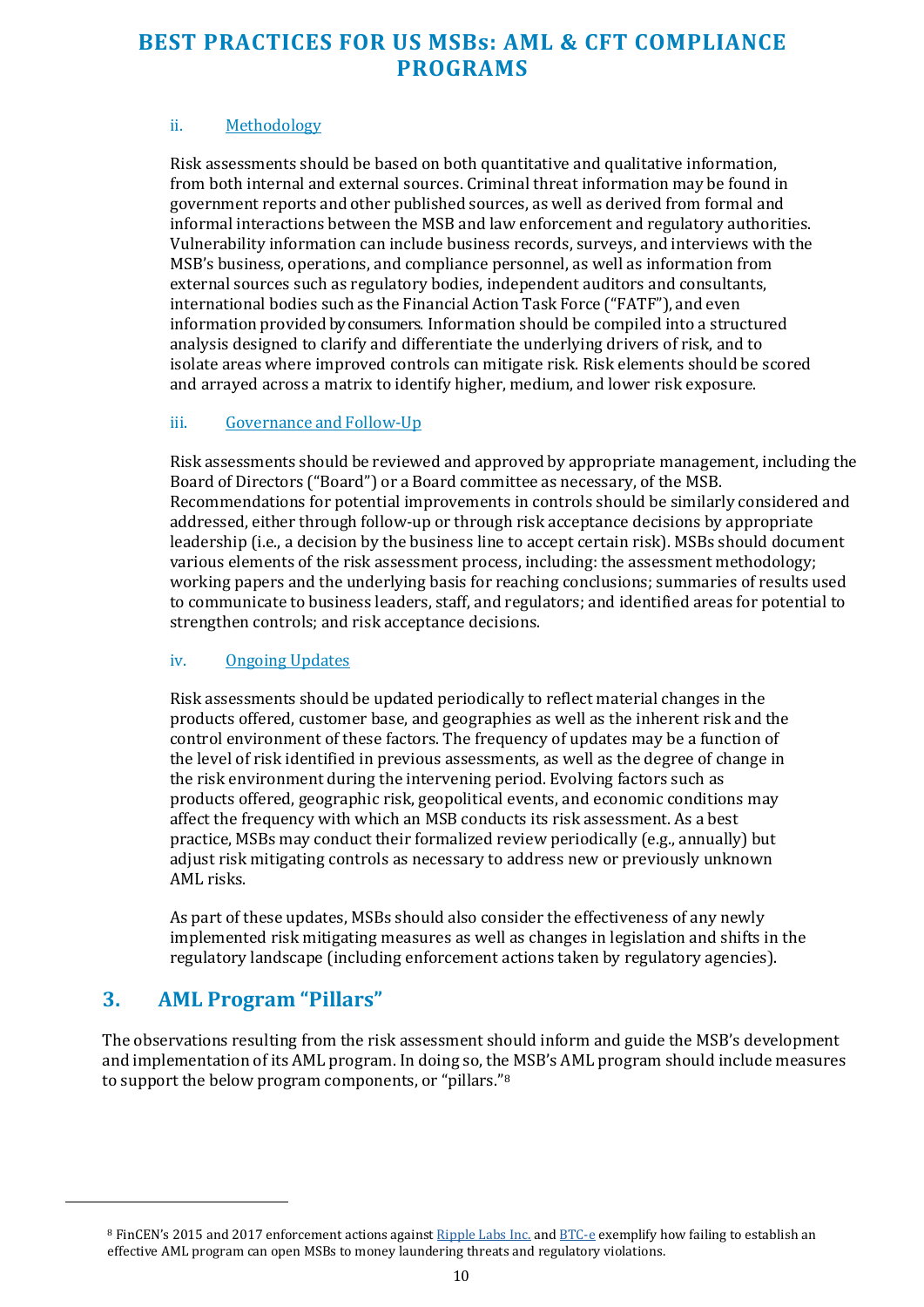#### ii. Methodology

Risk assessments should be based on both quantitative and qualitative information, from both internal and external sources. Criminal threat information may be found in government reports and other published sources, as well as derived from formal and informal interactions between the MSB and law enforcement and regulatory authorities. Vulnerability information can include business records, surveys, and interviews with the MSB's business, operations, and compliance personnel, as well as information from external sources such as regulatory bodies, independent auditors and consultants, international bodies such as the Financial Action Task Force ("FATF"), and even information provided by consumers. Information should be compiled into a structured analysis designed to clarify and differentiate the underlying drivers of risk, and to isolate areas where improved controls can mitigate risk. Risk elements should be scored and arrayed across a matrix to identify higher, medium, and lower risk exposure.

#### iii. Governance and Follow-Up

Risk assessments should be reviewed and approved by appropriate management, including the Board of Directors ("Board") or a Board committee as necessary, of the MSB. Recommendations for potential improvements in controls should be similarly considered and addressed, either through follow-up or through risk acceptance decisions by appropriate leadership (i.e., a decision by the business line to accept certain risk). MSBs should document various elements of the risk assessment process, including: the assessment methodology; working papers and the underlying basis for reaching conclusions; summaries of results used to communicate to business leaders, staff, and regulators; and identified areas for potential to strengthen controls; and risk acceptance decisions.

#### iv. Ongoing Updates

Risk assessments should be updated periodically to reflect material changes in the products offered, customer base, and geographies as well as the inherent risk and the control environment of these factors. The frequency of updates may be a function of the level of risk identified in previous assessments, as well as the degree of change in the risk environment during the intervening period. Evolving factors such as products offered, geographic risk, geopolitical events, and economic conditions may affect the frequency with which an MSB conducts its risk assessment. As a best practice, MSBs may conduct their formalized review periodically (e.g., annually) but adjust risk mitigating controls as necessary to address new or previously unknown AML risks.

<span id="page-9-0"></span>As part of these updates, MSBs should also consider the effectiveness of any newly implemented risk mitigating measures as well as changes in legislation and shifts in the regulatory landscape (including enforcement actions taken by regulatory agencies).

#### **3. AML Program "Pillars"**

The observations resulting from the risk assessment should inform and guide the MSB's development and implementation of its AML program. In doing so, the MSB's AML program should include measures to support the below program components, or "pillars."<sup>8</sup>

<sup>8</sup> FinCEN's 2015 and 2017 enforcement actions agains[t Ripple Labs Inc.](https://www.fincen.gov/sites/default/files/enforcement_action/2016-08-02/20150505.pdf) an[d BTC-e e](https://www.fincen.gov/sites/default/files/enforcement_action/2017-07-27/Assessment%20for%20BTCeVinnik%20FINAL2.pdf)xemplify how failing to establish an effective AML program can open MSBs to money laundering threats and regulatory violations.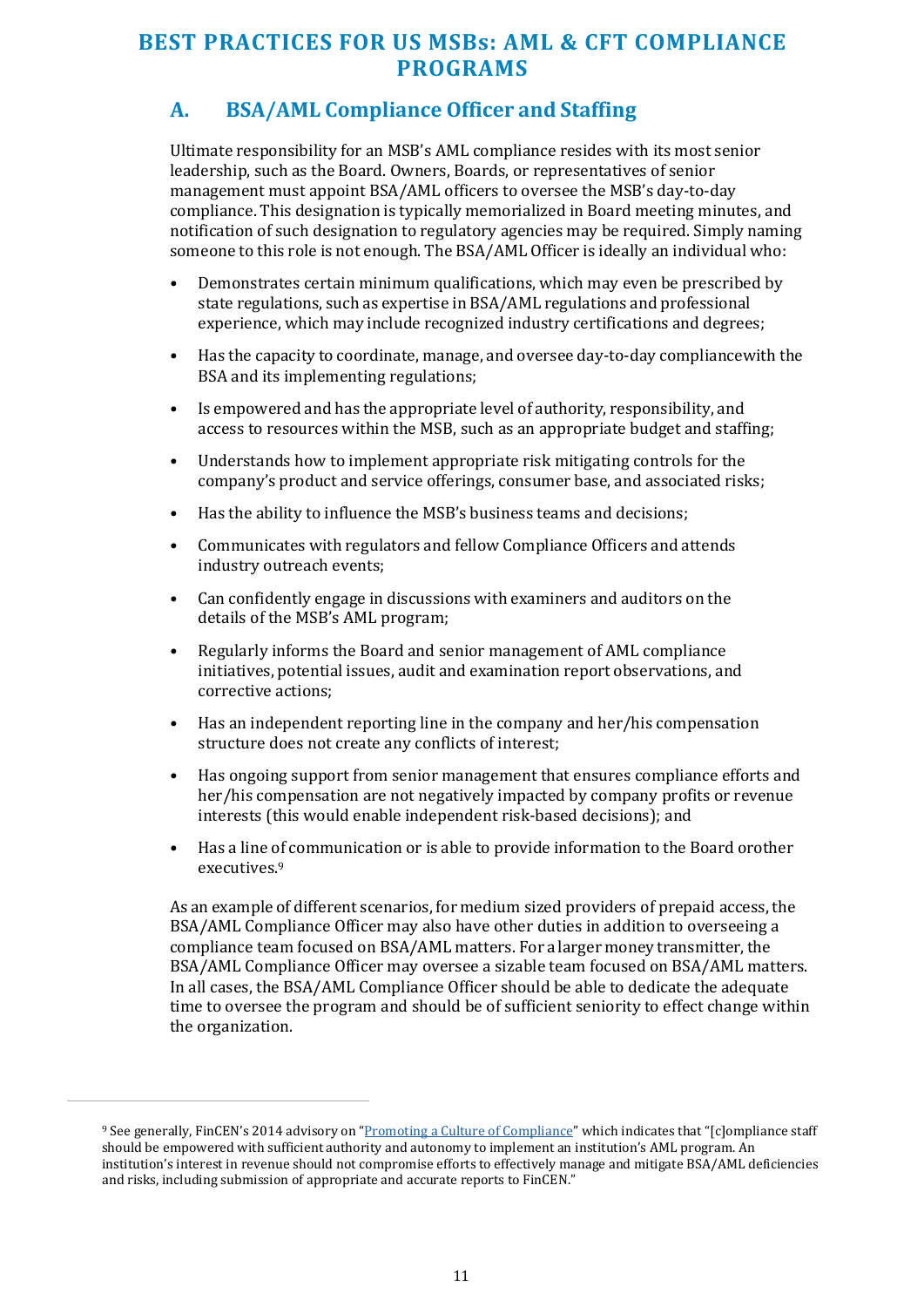## **A. BSA/AML Compliance Officer and Staffing**

Ultimate responsibility for an MSB's AML compliance resides with its most senior leadership, such as the Board. Owners, Boards, or representatives of senior management must appoint BSA/AML officers to oversee the MSB's day-to-day compliance. This designation is typically memorialized in Board meeting minutes, and notification of such designation to regulatory agencies may be required. Simply naming someone to this role is not enough. The BSA/AML Officer is ideally an individual who:

- Demonstrates certain minimum qualifications, which may even be prescribed by state regulations, such as expertise in BSA/AML regulations and professional experience, which may include recognized industry certifications and degrees;
- Has the capacity to coordinate, manage, and oversee day-to-day compliance with the BSA and its implementing regulations;
- Is empowered and has the appropriate level of authority, responsibility, and access to resources within the MSB, such as an appropriate budget and staffing;
- Understands how to implement appropriate risk mitigating controls for the company's product and service offerings, consumer base, and associated risks;
- Has the ability to influence the MSB's business teams and decisions;
- Communicates with regulators and fellow Compliance Officers and attends industry outreach events;
- Can confidently engage in discussions with examiners and auditors on the details of the MSB's AML program;
- Regularly informs the Board and senior management of AML compliance initiatives, potential issues, audit and examination report observations, and corrective actions;
- Has an independent reporting line in the company and her/his compensation structure does not create any conflicts of interest;
- Has ongoing support from senior management that ensures compliance efforts and her/his compensation are not negatively impacted by company profits or revenue interests (this would enable independent risk-based decisions); and
- Has a line of communication or is able to provide information to the Board or other executives.<sup>9</sup>

As an example of different scenarios, for medium sized providers of prepaid access, the BSA/AML Compliance Officer may also have other duties in addition to overseeing a compliance team focused on BSA/AML matters. For a larger money transmitter, the BSA/AML Compliance Officer may oversee a sizable team focused on BSA/AML matters. In all cases, the BSA/AML Compliance Officer should be able to dedicate the adequate time to oversee the program and should be of sufficient seniority to effect change within the organization.

<sup>9</sup> See generally, FinCEN's 2014 advisory on ["Promoting a Culture of Compliance"](https://www.fincen.gov/sites/default/files/advisory/FIN-2014-A007.pdf) which indicates that "[c]ompliance staff should be empowered with sufficient authority and autonomy to implement an institution's AML program. An institution's interest in revenue should not compromise efforts to effectively manage and mitigate BSA/AML deficiencies and risks, including submission of appropriate and accurate reports to FinCEN."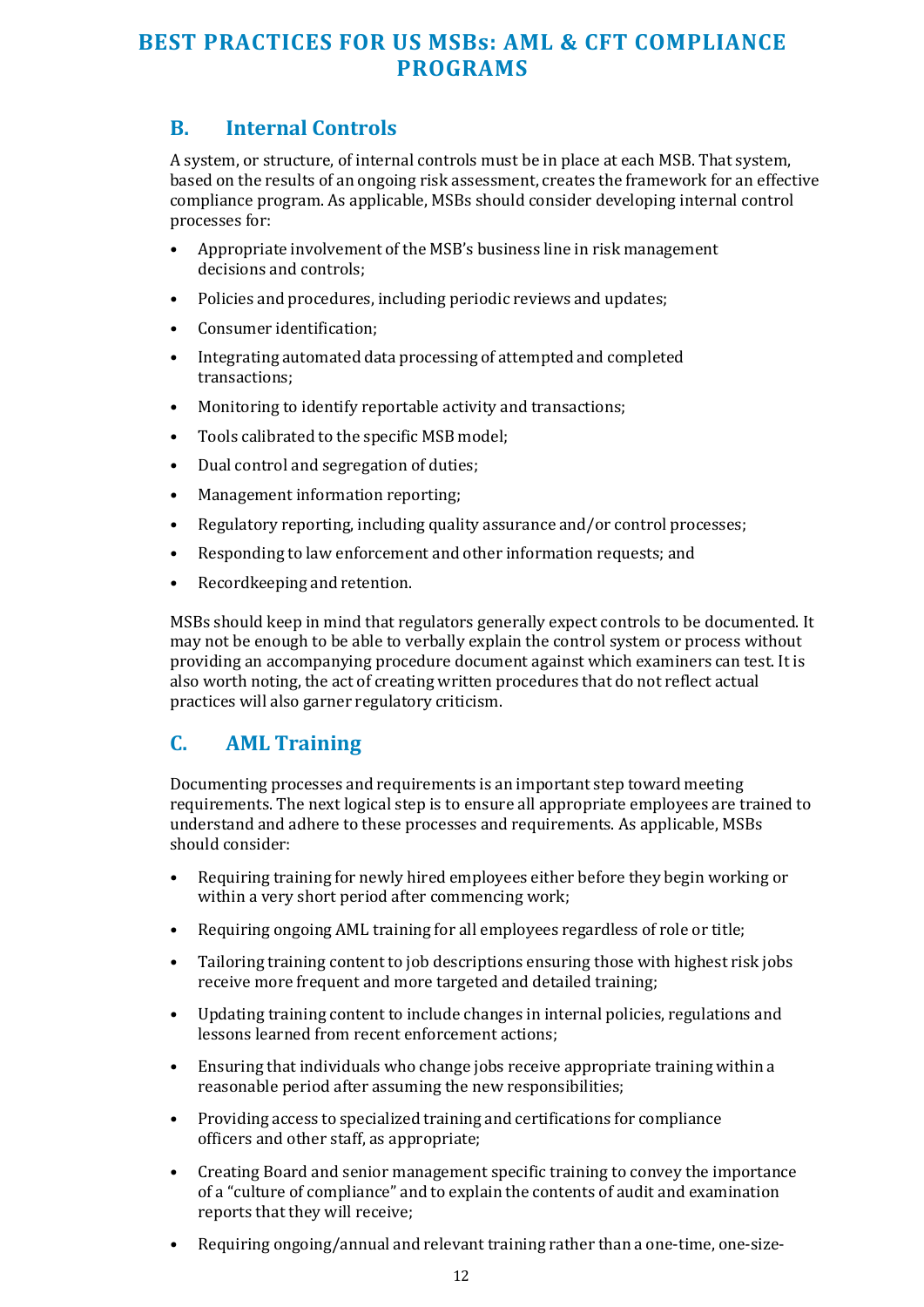#### **B. Internal Controls**

A system, or structure, of internal controls must be in place at each MSB. That system, based on the results of an ongoing risk assessment, creates the framework for an effective compliance program. As applicable, MSBs should consider developing internal control processes for:

- Appropriate involvement of the MSB's business line in risk management decisions and controls;
- Policies and procedures, including periodic reviews and updates;
- Consumer identification;
- Integrating automated data processing of attempted and completed transactions;
- Monitoring to identify reportable activity and transactions;
- Tools calibrated to the specific MSB model;
- Dual control and segregation of duties;
- Management information reporting;
- Regulatory reporting, including quality assurance and/or control processes;
- Responding to law enforcement and other information requests; and
- Recordkeeping and retention.

MSBs should keep in mind that regulators generally expect controls to be documented. It may not be enough to be able to verbally explain the control system or process without providing an accompanying procedure document against which examiners can test. It is also worth noting, the act of creating written procedures that do not reflect actual practices will also garner regulatory criticism.

#### **C. AML Training**

Documenting processes and requirements is an important step toward meeting requirements. The next logical step is to ensure all appropriate employees are trained to understand and adhere to these processes and requirements. As applicable, MSBs should consider:

- Requiring training for newly hired employees either before they begin working or within a very short period after commencing work;
- Requiring ongoing AML training for all employees regardless of role or title;
- Tailoring training content to job descriptions ensuring those with highest risk jobs receive more frequent and more targeted and detailed training;
- Updating training content to include changes in internal policies, regulations and lessons learned from recent enforcement actions;
- Ensuring that individuals who change jobs receive appropriate training within a reasonable period after assuming the new responsibilities;
- Providing access to specialized training and certifications for compliance officers and other staff, as appropriate;
- Creating Board and senior management specific training to convey the importance of a "culture of compliance" and to explain the contents of audit and examination reports that they will receive;
- Requiring ongoing/annual and relevant training rather than a one-time, one-size-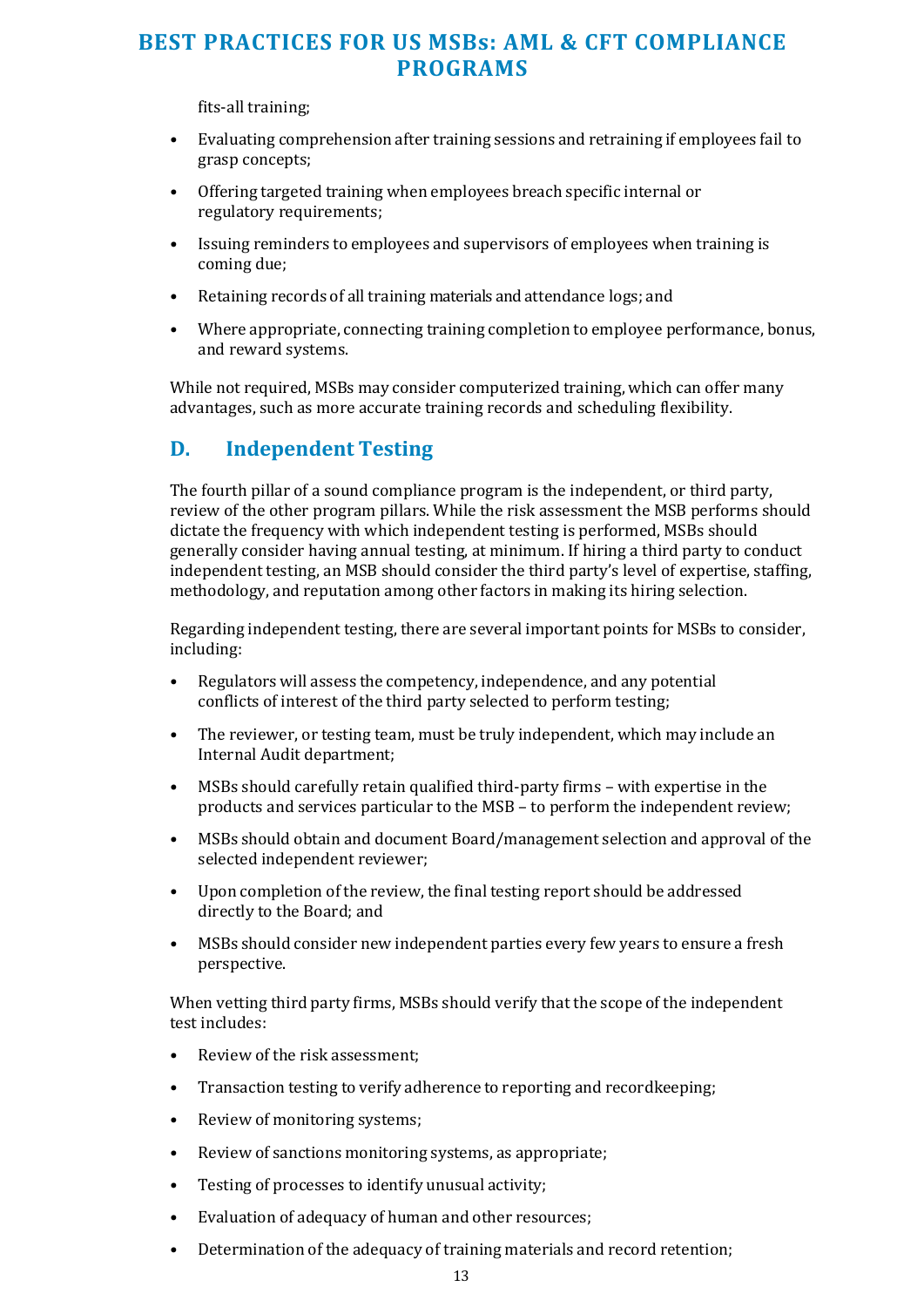fits-all training;

- Evaluating comprehension after training sessions and retraining if employees fail to grasp concepts;
- Offering targeted training when employees breach specific internal or regulatory requirements;
- Issuing reminders to employees and supervisors of employees when training is coming due;
- Retaining records of all training materials and attendance logs; and
- Where appropriate, connecting training completion to employee performance, bonus, and reward systems.

While not required, MSBs may consider computerized training, which can offer many advantages, such as more accurate training records and scheduling flexibility.

#### **D. Independent Testing**

The fourth pillar of a sound compliance program is the independent, or third party, review of the other program pillars. While the risk assessment the MSB performs should dictate the frequency with which independent testing is performed, MSBs should generally consider having annual testing, at minimum. If hiring a third party to conduct independent testing, an MSB should consider the third party's level of expertise, staffing, methodology, and reputation among other factors in making its hiring selection.

Regarding independent testing, there are several important points for MSBs to consider, including:

- Regulators will assess the competency, independence, and any potential conflicts of interest of the third party selected to perform testing;
- The reviewer, or testing team, must be truly independent, which may include an Internal Audit department;
- MSBs should carefully retain qualified third-party firms with expertise in the products and services particular to the MSB – to perform the independent review;
- MSBs should obtain and document Board/management selection and approval of the selected independent reviewer;
- Upon completion of the review, the final testing report should be addressed directly to the Board; and
- MSBs should consider new independent parties every few years to ensure a fresh perspective.

When vetting third party firms, MSBs should verify that the scope of the independent test includes:

- Review of the risk assessment;
- Transaction testing to verify adherence to reporting and recordkeeping;
- Review of monitoring systems;
- Review of sanctions monitoring systems, as appropriate;
- Testing of processes to identify unusual activity;
- <span id="page-12-0"></span>• Evaluation of adequacy of human and other resources;
- Determination of the adequacy of training materials and record retention;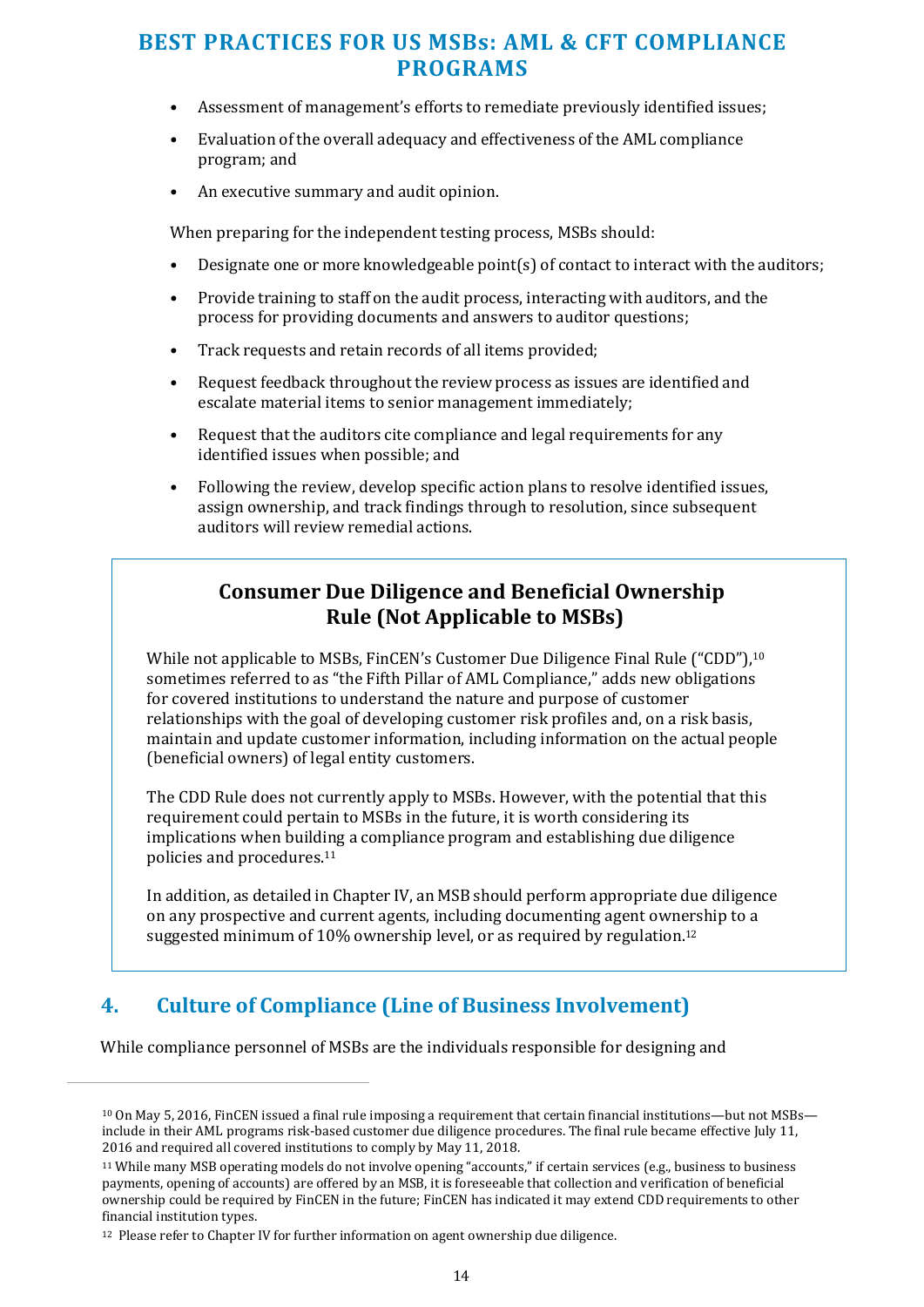- Assessment of management's efforts to remediate previously identified issues;
- Evaluation of the overall adequacy and effectiveness of the AML compliance program; and
- An executive summary and audit opinion.

When preparing for the independent testing process, MSBs should:

- Designate one or more knowledgeable point(s) of contact to interact with the auditors;
- Provide training to staff on the audit process, interacting with auditors, and the process for providing documents and answers to auditor questions;
- Track requests and retain records of all items provided;
- Request feedback throughout the review process as issues are identified and escalate material items to senior management immediately;
- Request that the auditors cite compliance and legal requirements for any identified issues when possible; and
- Following the review, develop specific action plans to resolve identified issues, assign ownership, and track findings through to resolution, since subsequent auditors will review remedial actions.

#### **Consumer Due Diligence and Beneficial Ownership Rule (Not Applicable to MSBs)**

While not applicable to MSBs, FinCEN's Customer Due Diligence Final Rule ("CDD"),<sup>10</sup> sometimes referred to as "the Fifth Pillar of AML Compliance," adds new obligations for covered institutions to understand the nature and purpose of customer relationships with the goal of developing customer risk profiles and, on a risk basis, maintain and update customer information, including information on the actual people (beneficial owners) of legal entity customers.

The CDD Rule does not currently apply to MSBs. However, with the potential that this requirement could pertain to MSBs in the future, it is worth considering its implications when building a compliance program and establishing due diligence policies and procedures.<sup>11</sup>

In addition, as detailed in Chapter IV, an MSB should perform appropriate due diligence on any prospective and current agents, including documenting agent ownership to a suggested minimum of 10% ownership level, or as required by regulation.12

## **4. Culture of Compliance (Line of Business Involvement)**

While compliance personnel of MSBs are the individuals responsible for designing and

<sup>10</sup> On May 5, 2016, FinCEN issued a final rule imposing a requirement that certain financial institutions—but not MSBs include in their AML programs risk-based customer due diligence procedures. The final rule became effective July 11, 2016 and required all covered institutions to comply by May 11, 2018.

<sup>11</sup> While many MSB operating models do not involve opening "accounts," if certain services (e.g., business to business payments, opening of accounts) are offered by an MSB, it is foreseeable that collection and verification of beneficial ownership could be required by FinCEN in the future; FinCEN has indicated it may extend CDD requirements to other financial institution types.

<sup>12</sup> Please refer to Chapter IV for further information on agent ownership due diligence.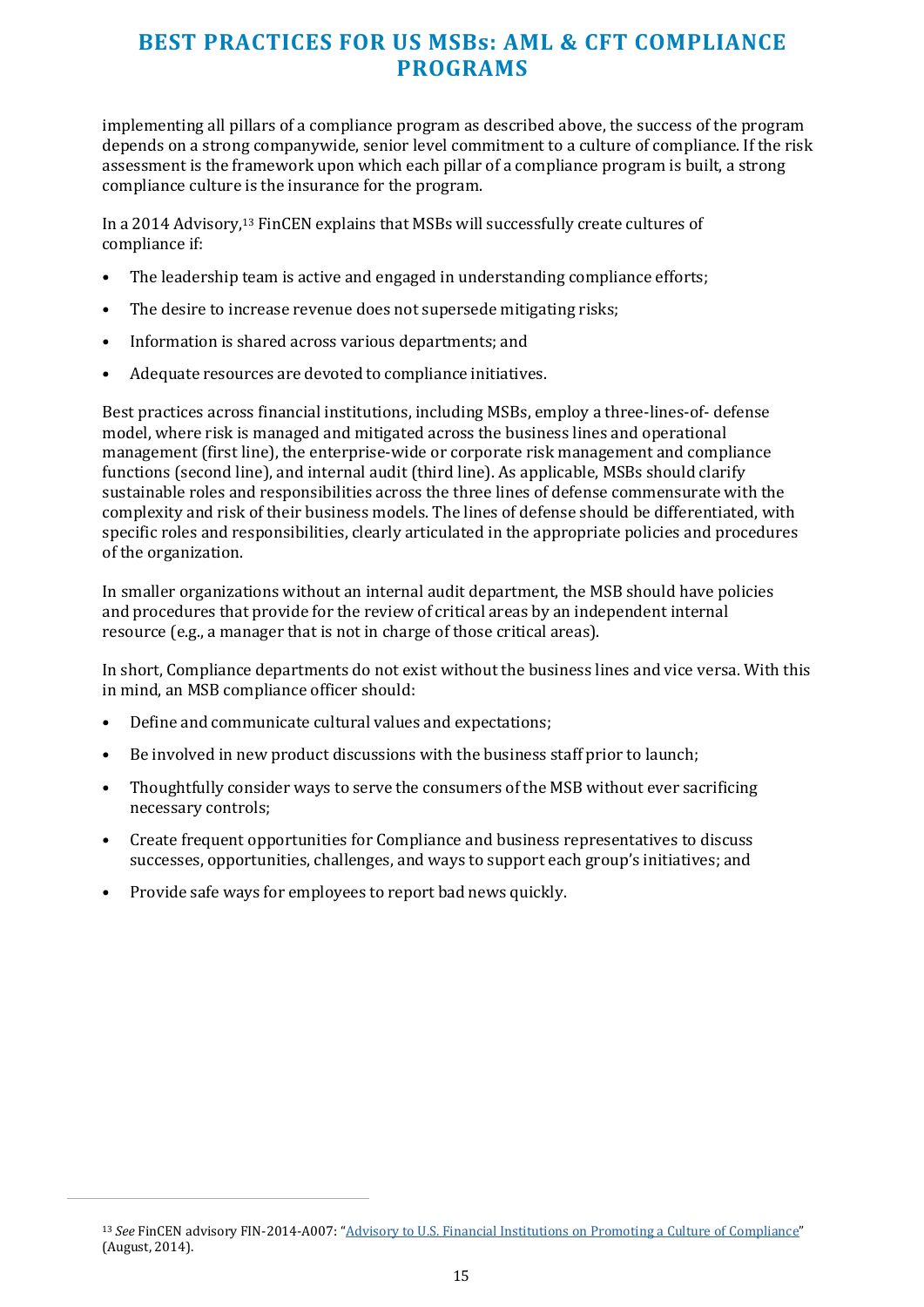implementing all pillars of a compliance program as described above, the success of the program depends on a strong companywide, senior level commitment to a culture of compliance. If the risk assessment is the framework upon which each pillar of a compliance program is built, a strong compliance culture is the insurance for the program.

In a 2014 Advisory,13 FinCEN explains that MSBs will successfully create cultures of compliance if:

- The leadership team is active and engaged in understanding compliance efforts;
- The desire to increase revenue does not supersede mitigating risks;
- Information is shared across various departments; and
- Adequate resources are devoted to compliance initiatives.

Best practices across financial institutions, including MSBs, employ a three-lines-of- defense model, where risk is managed and mitigated across the business lines and operational management (first line), the enterprise-wide or corporate risk management and compliance functions (second line), and internal audit (third line). As applicable, MSBs should clarify sustainable roles and responsibilities across the three lines of defense commensurate with the complexity and risk of their business models. The lines of defense should be differentiated, with specific roles and responsibilities, clearly articulated in the appropriate policies and procedures of the organization.

In smaller organizations without an internal audit department, the MSB should have policies and procedures that provide for the review of critical areas by an independent internal resource (e.g., a manager that is not in charge of those critical areas).

In short, Compliance departments do not exist without the business lines and vice versa. With this in mind, an MSB compliance officer should:

- Define and communicate cultural values and expectations;
- Be involved in new product discussions with the business staff prior to launch;
- Thoughtfully consider ways to serve the consumers of the MSB without ever sacrificing necessary controls;
- Create frequent opportunities for Compliance and business representatives to discuss successes, opportunities, challenges, and ways to support each group's initiatives; and
- Provide safe ways for employees to report bad news quickly.

<sup>13</sup> *See* FinCEN advisory FIN-2014-A007: ["Advisory to U.S. Financial Institutions on Promoting a Culture of Compliance"](https://www.fincen.gov/sites/default/files/shared/FIN-2014-A007.pdf) (August, 2014).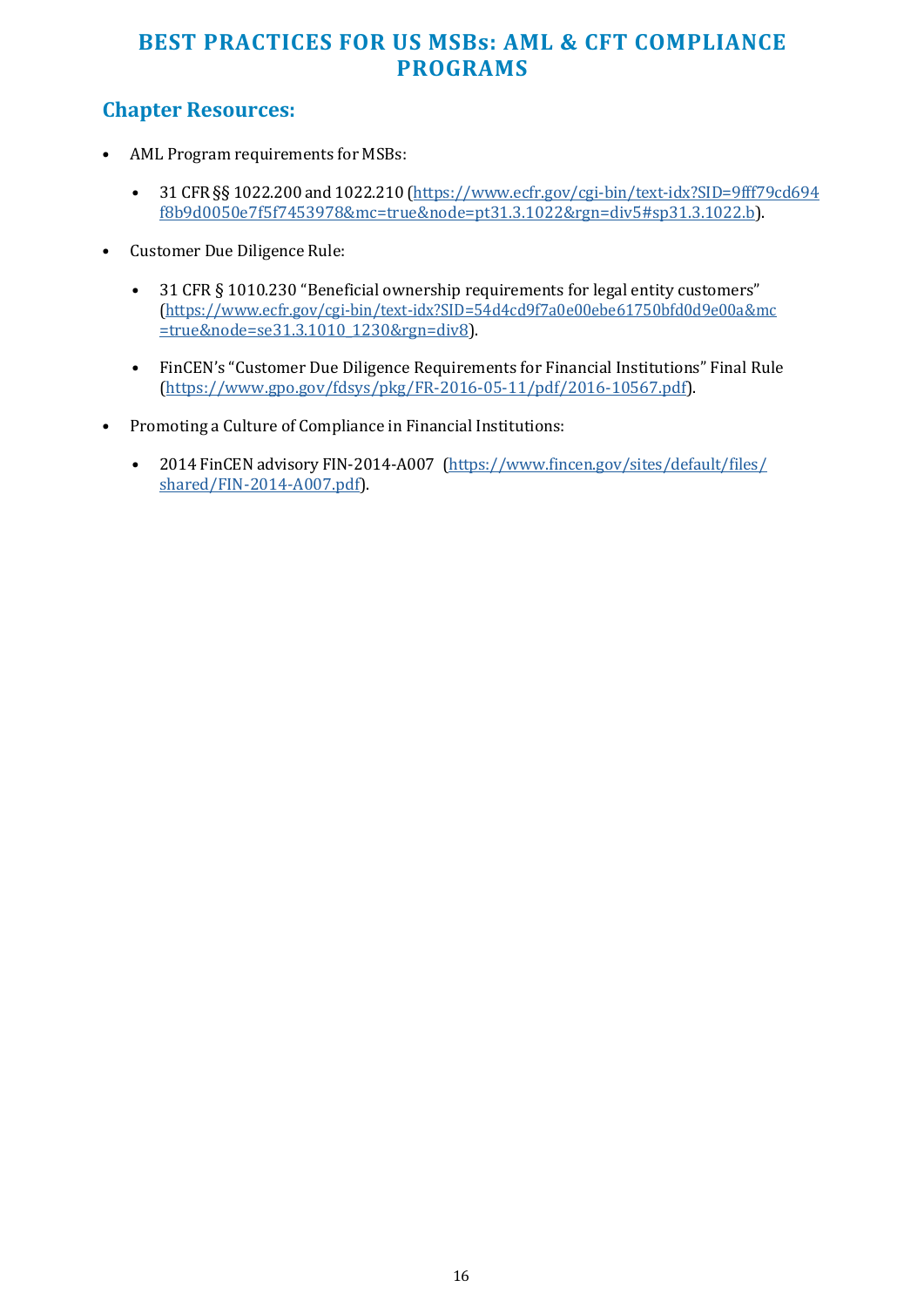## **Chapter Resources:**

- AML Program requirements for MSBs:
	- 31 CFR §§ 1022.200 and 1022.210 [\(https://www.ecfr.gov/cgi-bin/text-idx?SID=9fff79cd694](https://www.ecfr.gov/cgi-bin/text-idx?SID=9fff79cd694f8b9d0050e7f5f7453978&mc=true&node=pt31.3.1022&rgn=div5&sp31.3.1022.b) [f8b9d0050e7f5f7453978&mc=true&node=pt31.3.1022&rgn=div5#sp31.3.1022.b\)](https://www.ecfr.gov/cgi-bin/text-idx?SID=9fff79cd694f8b9d0050e7f5f7453978&mc=true&node=pt31.3.1022&rgn=div5&sp31.3.1022.b).
- Customer Due Diligence Rule:
	- 31 CFR § 1010.230 "Beneficial ownership requirements for legal entity customers" [\(https://www.ecfr.gov/cgi-bin/text-idx?SID=54d4cd9f7a0e00ebe61750bfd0d9e00a&mc](https://www.ecfr.gov/cgi-bin/text-idx?SID=54d4cd9f7a0e00ebe61750bfd0d9e00a&mc=true&node=se31.3.1010_1230&rgn=div8) [=true&node=se31.3.1010\\_1230&rgn=div8\)](https://www.ecfr.gov/cgi-bin/text-idx?SID=54d4cd9f7a0e00ebe61750bfd0d9e00a&mc=true&node=se31.3.1010_1230&rgn=div8).
	- FinCEN's "Customer Due Diligence Requirements for Financial Institutions" Final Rule [\(https://www.gpo.gov/fdsys/pkg/FR-2016-05-11/pdf/2016-10567.pdf\)](https://www.gpo.gov/fdsys/pkg/FR-2016-05-11/pdf/2016-10567.pdf).
- Promoting a Culture of Compliance in Financial Institutions:
	- 2014 FinCEN advisory FIN-2014-A007 [\(https://www.fincen.gov/sites/default/files/](https://www.fincen.gov/sites/default/files/shared/FIN-2014-A007.pdf) [shared/FIN-2014-A007.pdf\)](https://www.fincen.gov/sites/default/files/shared/FIN-2014-A007.pdf).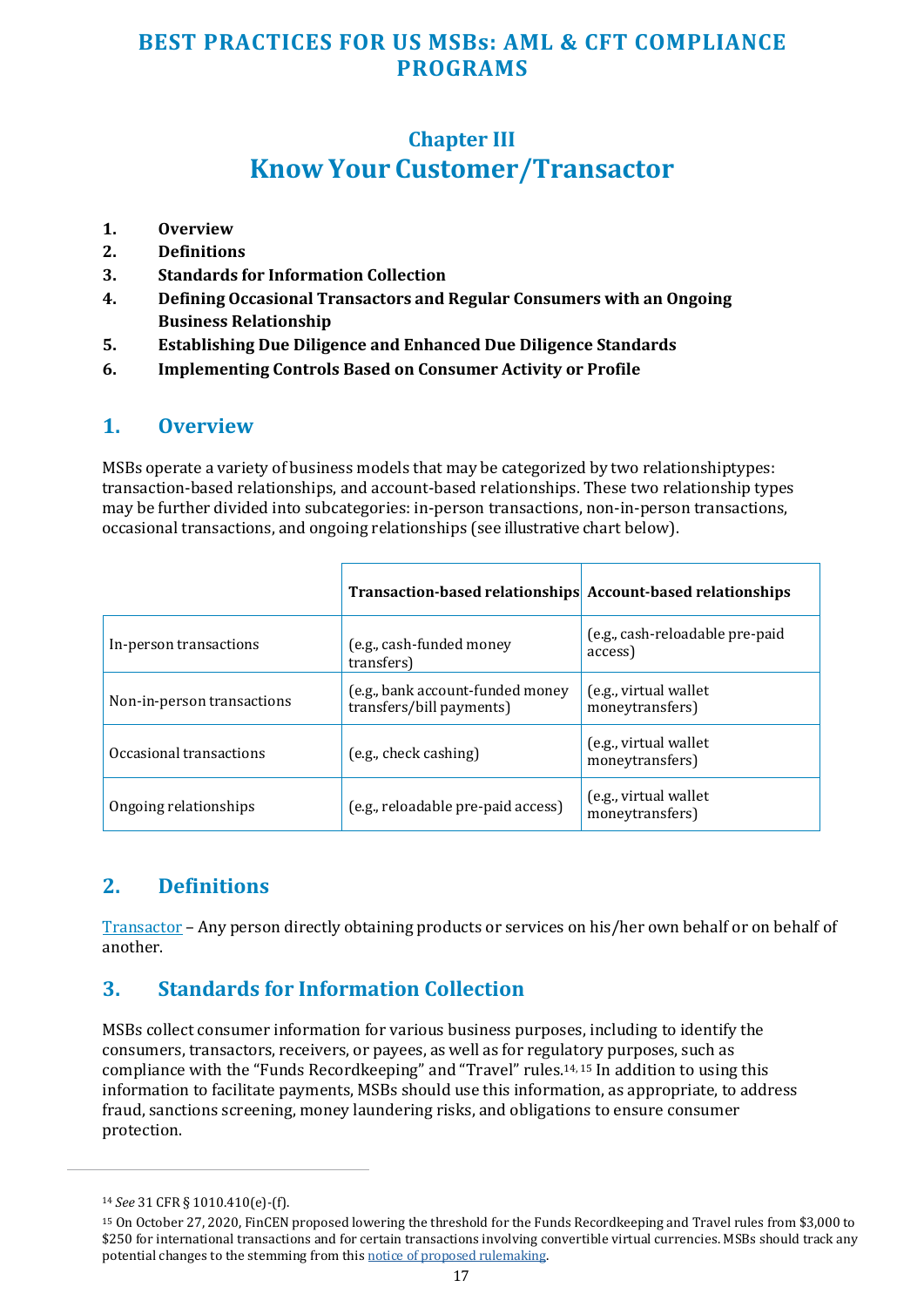## **Chapter III Know Your Customer/Transactor**

- <span id="page-16-0"></span>**1. Overview**
- **2. Definitions**
- **3. Standards for Information Collection**
- **4. Defining Occasional Transactors and Regular Consumers with an Ongoing Business Relationship**
- **5. Establishing Due Diligence and Enhanced Due Diligence Standards**
- **6. Implementing Controls Based on Consumer Activity or Profile**

#### **1. Overview**

MSBs operate a variety of business models that may be categorized by two relationship types: transaction-based relationships, and account-based relationships. These two relationship types may be further divided into subcategories: in-person transactions, non-in-person transactions, occasional transactions, and ongoing relationships (see illustrative chart below).

|                            | Transaction-based relationships Account-based relationships  |                                            |
|----------------------------|--------------------------------------------------------------|--------------------------------------------|
| In-person transactions     | (e.g., cash-funded money<br>transfers)                       | (e.g., cash-reloadable pre-paid<br>access) |
| Non-in-person transactions | (e.g., bank account-funded money<br>transfers/bill payments) | (e.g., virtual wallet<br>moneytransfers)   |
| Occasional transactions    | (e.g., check cashing)                                        | (e.g., virtual wallet<br>moneytransfers)   |
| Ongoing relationships      | (e.g., reloadable pre-paid access)                           | (e.g., virtual wallet<br>moneytransfers)   |

## **2. Definitions**

Transactor – Any person directly obtaining products or services on his/her own behalf or on behalf of another.

## **3. Standards for Information Collection**

MSBs collect consumer information for various business purposes, including to identify the consumers, transactors, receivers, or payees, as well as for regulatory purposes, such as compliance with the "Funds Recordkeeping" and "Travel" rules.14, 15 In addition to using this information to facilitate payments, MSBs should use this information, as appropriate, to address fraud, sanctions screening, money laundering risks, and obligations to ensure consumer protection.

<sup>14</sup> *See* 31 CFR § 1010.410(e)-(f).

<sup>15</sup> On October 27, 2020, FinCEN proposed lowering the threshold for the Funds Recordkeeping and Travel rules from \$3,000 to \$250 for international transactions and for certain transactions involving convertible virtual currencies. MSBs should track any potential changes to the stemming from thi[s notice of proposed rulemaking.](https://www.federalregister.gov/documents/2020/10/27/2020-23756/threshold-for-the-requirement-to-collect-retain-and-transmit-information-on-funds-transfers-and)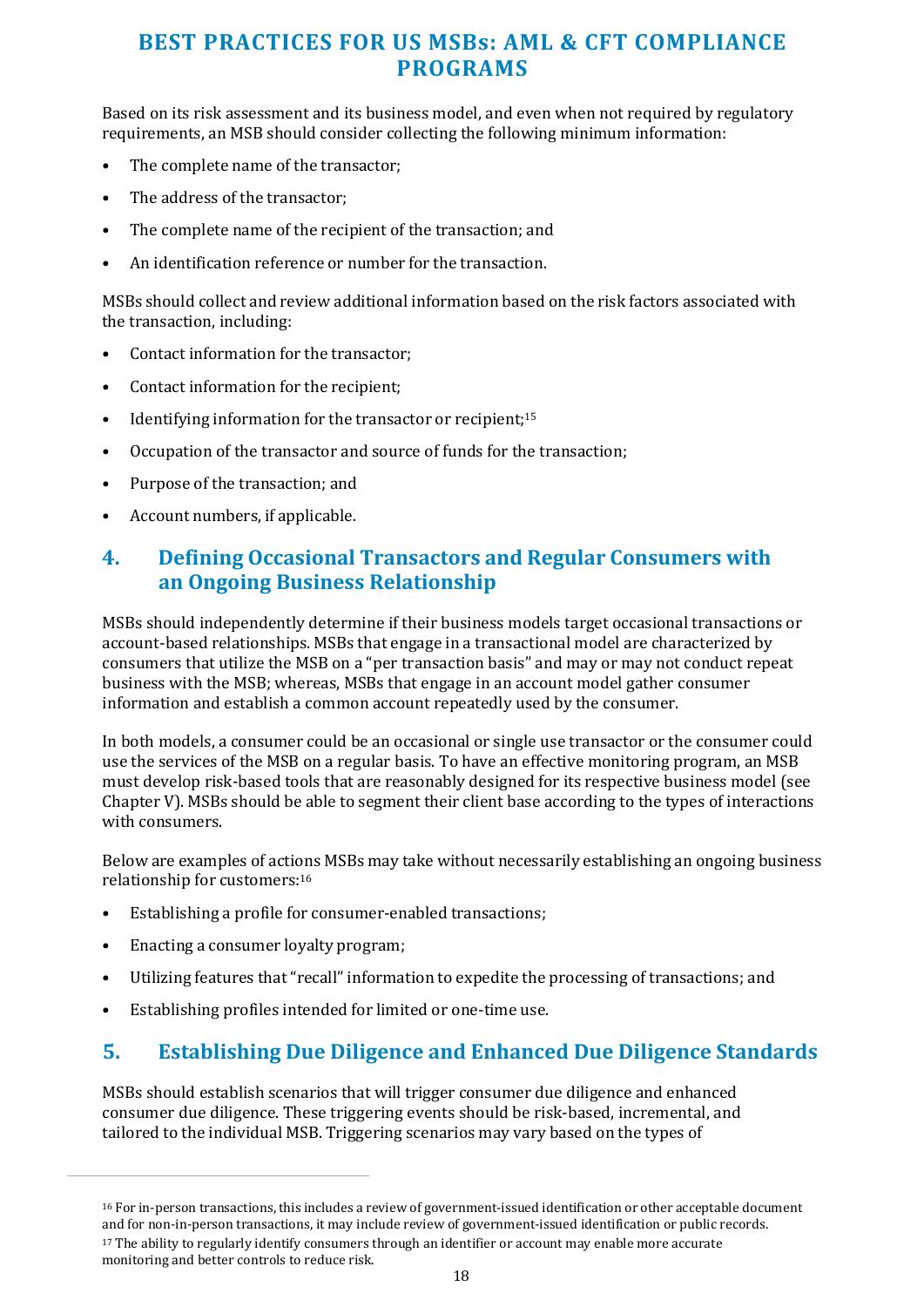<span id="page-17-0"></span>Based on its risk assessment and its business model, and even when not required by regulatory requirements, an MSB should consider collecting the following minimum information:

- The complete name of the transactor;
- The address of the transactor;
- The complete name of the recipient of the transaction; and
- An identification reference or number for the transaction.

MSBs should collect and review additional information based on the risk factors associated with the transaction, including:

- Contact information for the transactor;
- Contact information for the recipient;
- Identifying information for the transactor or recipient:<sup>15</sup>
- Occupation of the transactor and source of funds for the transaction;
- Purpose of the transaction; and
- Account numbers, if applicable.

#### **4. Defining Occasional Transactors and Regular Consumers with an Ongoing Business Relationship**

MSBs should independently determine if their business models target occasional transactions or account-based relationships. MSBs that engage in a transactional model are characterized by consumers that utilize the MSB on a "per transaction basis" and may or may not conduct repeat business with the MSB; whereas, MSBs that engage in an account model gather consumer information and establish a common account repeatedly used by the consumer.

In both models, a consumer could be an occasional or single use transactor or the consumer could use the services of the MSB on a regular basis. To have an effective monitoring program, an MSB must develop risk-based tools that are reasonably designed for its respective business model (see Chapter V). MSBs should be able to segment their client base according to the types of interactions with consumers.

Below are examples of actions MSBs may take without necessarily establishing an ongoing business relationship for customers:<sup>16</sup>

- Establishing a profile for consumer-enabled transactions;
- Enacting a consumer loyalty program;
- Utilizing features that "recall" information to expedite the processing of transactions; and
- Establishing profiles intended for limited or one-time use.

#### **5. Establishing Due Diligence and Enhanced Due Diligence Standards**

MSBs should establish scenarios that will trigger consumer due diligence and enhanced consumer due diligence. These triggering events should be risk-based, incremental, and tailored to the individual MSB. Triggering scenarios may vary based on the types of

<sup>&</sup>lt;sup>16</sup> For in-person transactions, this includes a review of government-issued identification or other acceptable document and for non-in-person transactions, it may include review of government-issued identification or public records.

<sup>&</sup>lt;sup>17</sup> The ability to regularly identify consumers through an identifier or account may enable more accurate monitoring and better controls to reduce risk.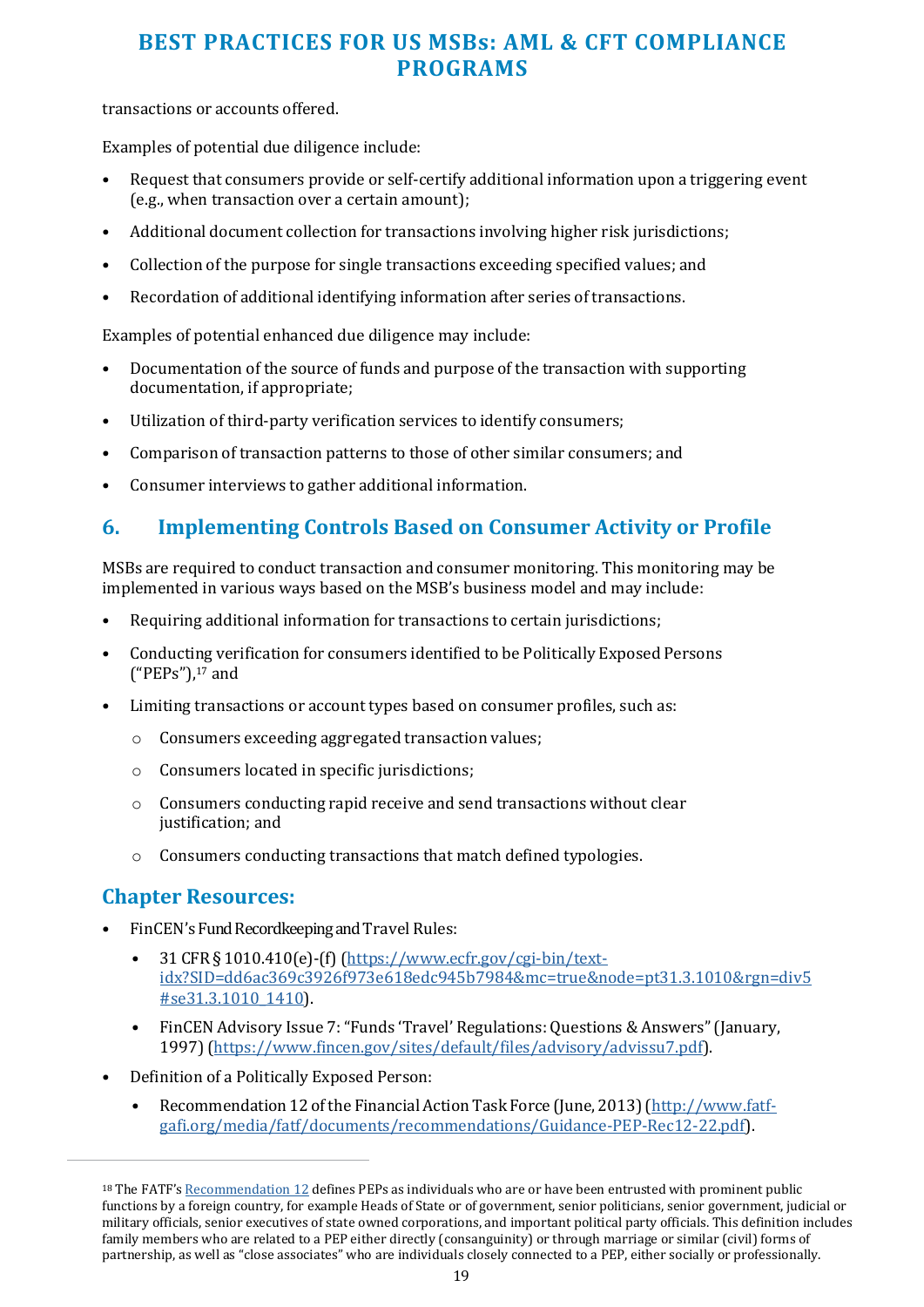<span id="page-18-0"></span>transactions or accounts offered.

Examples of potential due diligence include:

- Request that consumers provide or self-certify additional information upon a triggering event (e.g., when transaction over a certain amount);
- Additional document collection for transactions involving higher risk jurisdictions;
- Collection of the purpose for single transactions exceeding specified values; and
- Recordation of additional identifying information after series of transactions.

Examples of potential enhanced due diligence may include:

- Documentation of the source of funds and purpose of the transaction with supporting documentation, if appropriate;
- Utilization of third-party verification services to identify consumers;
- Comparison of transaction patterns to those of other similar consumers; and
- Consumer interviews to gather additional information.

#### **6. Implementing Controls Based on Consumer Activity or Profile**

MSBs are required to conduct transaction and consumer monitoring. This monitoring may be implemented in various ways based on the MSB's business model and may include:

- Requiring additional information for transactions to certain jurisdictions;
- Conducting verification for consumers identified to be Politically Exposed Persons  $("PEPs")$ , $^{17}$  and
- Limiting transactions or account types based on consumer profiles, such as:
	- o Consumers exceeding aggregated transaction values;
	- o Consumers located in specific jurisdictions;
	- o Consumers conducting rapid receive and send transactions without clear justification; and
	- o Consumers conducting transactions that match defined typologies.

#### **Chapter Resources:**

- FinCEN's Fund Recordkeeping and Travel Rules:
	- 31 CFR § 1010.410(e)-(f) [\(https://www.ecfr.gov/cgi-bin/text](https://www.ecfr.gov/cgi-bin/text-idx?SID=dd6ac369c3926f973e618edc945b7984&mc=true&node=pt31.3.1010&rgn=div5#se31.3.1010_1410)[idx?SID=dd6ac369c3926f973e618edc945b7984&mc=true&node=pt31.3.1010&rgn=div5](https://www.ecfr.gov/cgi-bin/text-idx?SID=dd6ac369c3926f973e618edc945b7984&mc=true&node=pt31.3.1010&rgn=div5#se31.3.1010_1410) [#se31.3.1010\\_1410\)](https://www.ecfr.gov/cgi-bin/text-idx?SID=dd6ac369c3926f973e618edc945b7984&mc=true&node=pt31.3.1010&rgn=div5#se31.3.1010_1410).
	- FinCEN Advisory Issue 7: "Funds 'Travel' Regulations: Questions & Answers" (January, 1997) [\(https://www.fincen.gov/sites/default/files/advisory/advissu7.pdf\)](https://www.fincen.gov/sites/default/files/advisory/advissu7.pdf).
- Definition of a Politically Exposed Person:
	- Recommendation 12 of the Financial Action Task Force (June, 2013) [\(http://www.fatf](http://www.fatf-gafi.org/media/fatf/documents/recommendations/Guidance-PEP-Rec12-22.pdf)[gafi.org/media/fatf/documents/recommendations/Guidance-PEP-Rec12-22.pdf\)](http://www.fatf-gafi.org/media/fatf/documents/recommendations/Guidance-PEP-Rec12-22.pdf).

<sup>18</sup> The FATF'[s Recommendation 12 d](http://www.fatf-gafi.org/media/fatf/documents/recommendations/Guidance-PEP-Rec12-22.pdf)efines PEPs as individuals who are or have been entrusted with prominent public functions by a foreign country, for example Heads of State or of government, senior politicians, senior government, judicial or military officials, senior executives of state owned corporations, and important political party officials. This definition includes family members who are related to a PEP either directly (consanguinity) or through marriage or similar (civil) forms of partnership, as well as "close associates" who are individuals closely connected to a PEP, either socially or professionally.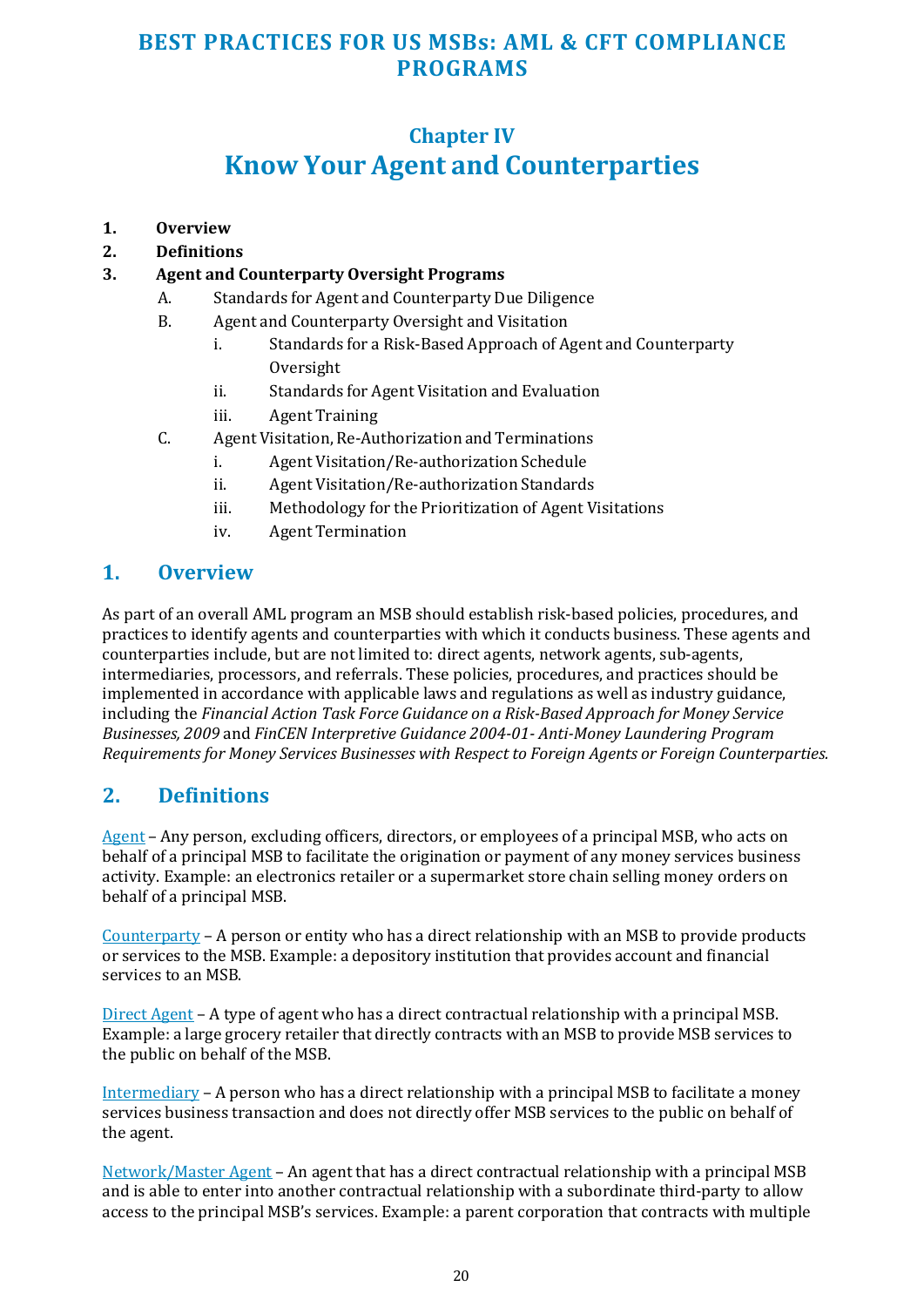## **Chapter IV**

## **Know Your Agent and Counterparties**

- <span id="page-19-0"></span>**1. Overview**
- **2. Definitions**

#### **3. Agent and Counterparty Oversight Programs**

- A. Standards for Agent and Counterparty Due Diligence
- B. Agent and Counterparty Oversight and Visitation
	- i. Standards for a Risk-Based Approach of Agent and Counterparty **Oversight**
	- ii. Standards for Agent Visitation and Evaluation
	- iii. Agent Training
- C. Agent Visitation, Re-Authorization and Terminations
	- i. Agent Visitation/Re-authorization Schedule
	- ii. Agent Visitation/Re-authorization Standards
	- iii. Methodology for the Prioritization of Agent Visitations
	- iv. Agent Termination

#### **1. Overview**

As part of an overall AML program an MSB should establish risk-based policies, procedures, and practices to identify agents and counterparties with which it conducts business. These agents and counterparties include, but are not limited to: direct agents, network agents, sub-agents, intermediaries, processors, and referrals. These policies, procedures, and practices should be implemented in accordance with applicable laws and regulations as well as industry guidance, including the *Financial Action Task Force Guidance on a Risk-Based Approach for Money Service Businesses, 2009* and *FinCEN Interpretive Guidance 2004-01- Anti-Money Laundering Program Requirements for Money Services Businesses with Respect to Foreign Agents or Foreign Counterparties.* 

#### **2. Definitions**

Agent – Any person, excluding officers, directors, or employees of a principal MSB, who acts on behalf of a principal MSB to facilitate the origination or payment of any money services business activity. Example: an electronics retailer or a supermarket store chain selling money orders on behalf of a principal MSB.

Counterparty – A person or entity who has a direct relationship with an MSB to provide products or services to the MSB. Example: a depository institution that provides account and financial services to an MSB.

Direct Agent – A type of agent who has a direct contractual relationship with a principal MSB. Example: a large grocery retailer that directly contracts with an MSB to provide MSB services to the public on behalf of the MSB.

Intermediary – A person who has a direct relationship with a principal MSB to facilitate a money services business transaction and does not directly offer MSB services to the public on behalf of the agent.

Network/Master Agent – An agent that has a direct contractual relationship with a principal MSB and is able to enter into another contractual relationship with a subordinate third-party to allow access to the principal MSB's services. Example: a parent corporation that contracts with multiple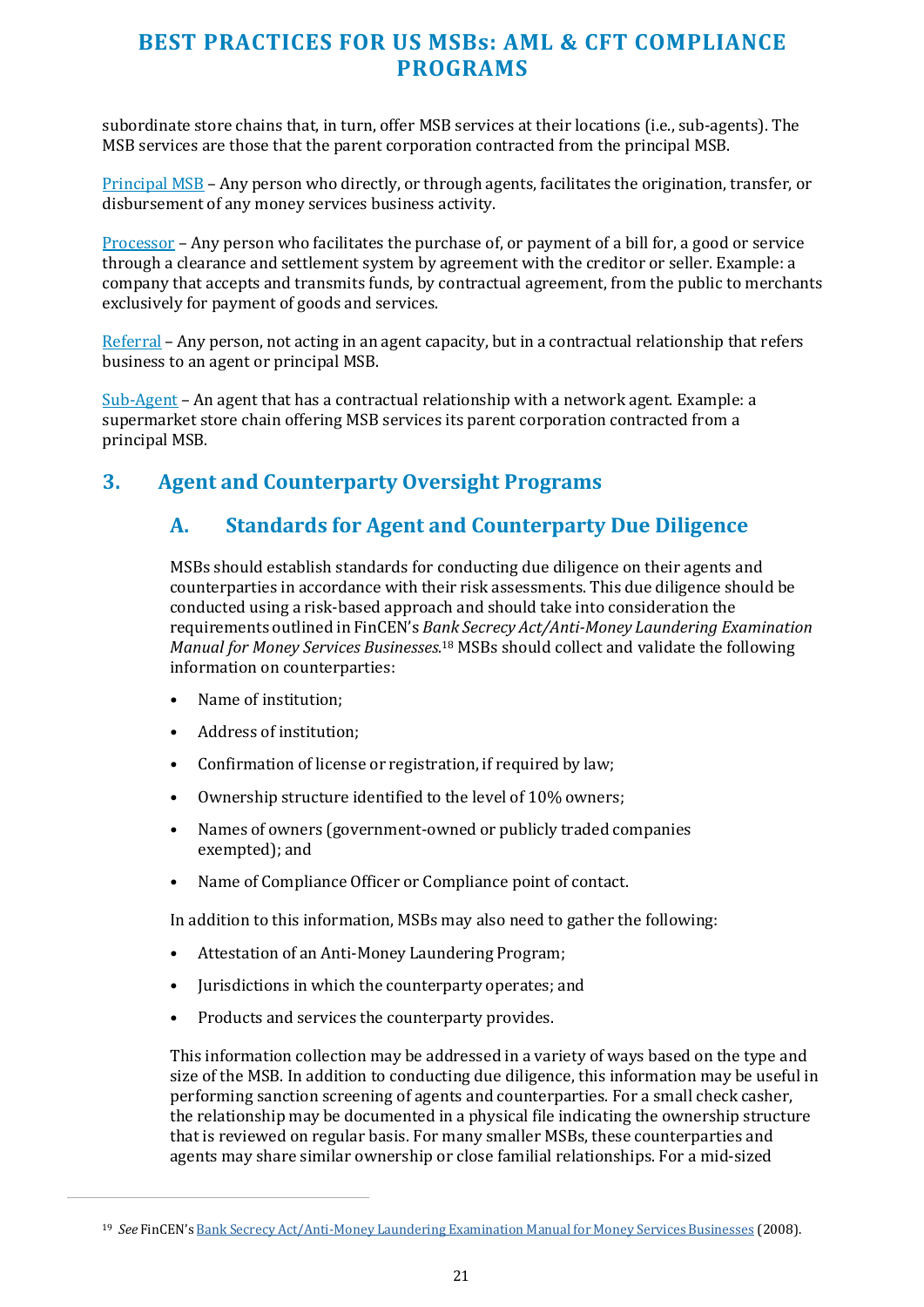subordinate store chains that, in turn, offer MSB services at their locations (i.e., sub-agents). The MSB services are those that the parent corporation contracted from the principal MSB.

Principal MSB – Any person who directly, or through agents, facilitates the origination, transfer, or disbursement of any money services business activity.

Processor – Any person who facilitates the purchase of, or payment of a bill for, a good or service through a clearance and settlement system by agreement with the creditor or seller. Example: a company that accepts and transmits funds, by contractual agreement, from the public to merchants exclusively for payment of goods and services.

Referral – Any person, not acting in an agent capacity, but in a contractual relationship that refers business to an agent or principal MSB.

Sub-Agent – An agent that has a contractual relationship with a network agent. Example: a supermarket store chain offering MSB services its parent corporation contracted from a principal MSB.

#### **3. Agent and Counterparty Oversight Programs**

#### **A. Standards for Agent and Counterparty Due Diligence**

MSBs should establish standards for conducting due diligence on their agents and counterparties in accordance with their risk assessments. This due diligence should be conducted using a risk-based approach and should take into consideration the requirements outlined in FinCEN's *Bank Secrecy Act/Anti-Money Laundering Examination Manual for Money Services Businesses.*18 MSBs should collect and validate the following information on counterparties:

- Name of institution;
- Address of institution;
- Confirmation of license or registration, if required by law;
- Ownership structure identified to the level of 10% owners;
- Names of owners (government-owned or publicly traded companies exempted); and
- Name of Compliance Officer or Compliance point of contact.

In addition to this information, MSBs may also need to gather the following:

- Attestation of an Anti-Money Laundering Program;
- Jurisdictions in which the counterparty operates; and
- Products and services the counterparty provides.

This information collection may be addressed in a variety of ways based on the type and size of the MSB. In addition to conducting due diligence, this information may be useful in performing sanction screening of agents and counterparties. For a small check casher, the relationship may be documented in a physical file indicating the ownership structure that is reviewed on regular basis. For many smaller MSBs, these counterparties and agents may share similar ownership or close familial relationships. For a mid-sized

<sup>19</sup> *See* FinCEN'[s Bank Secrecy Act/Anti-Money Laundering Examination Manual for Money Services Businesses](https://www.fincen.gov/sites/default/files/shared/MSB_Exam_Manual.pdf) (2008).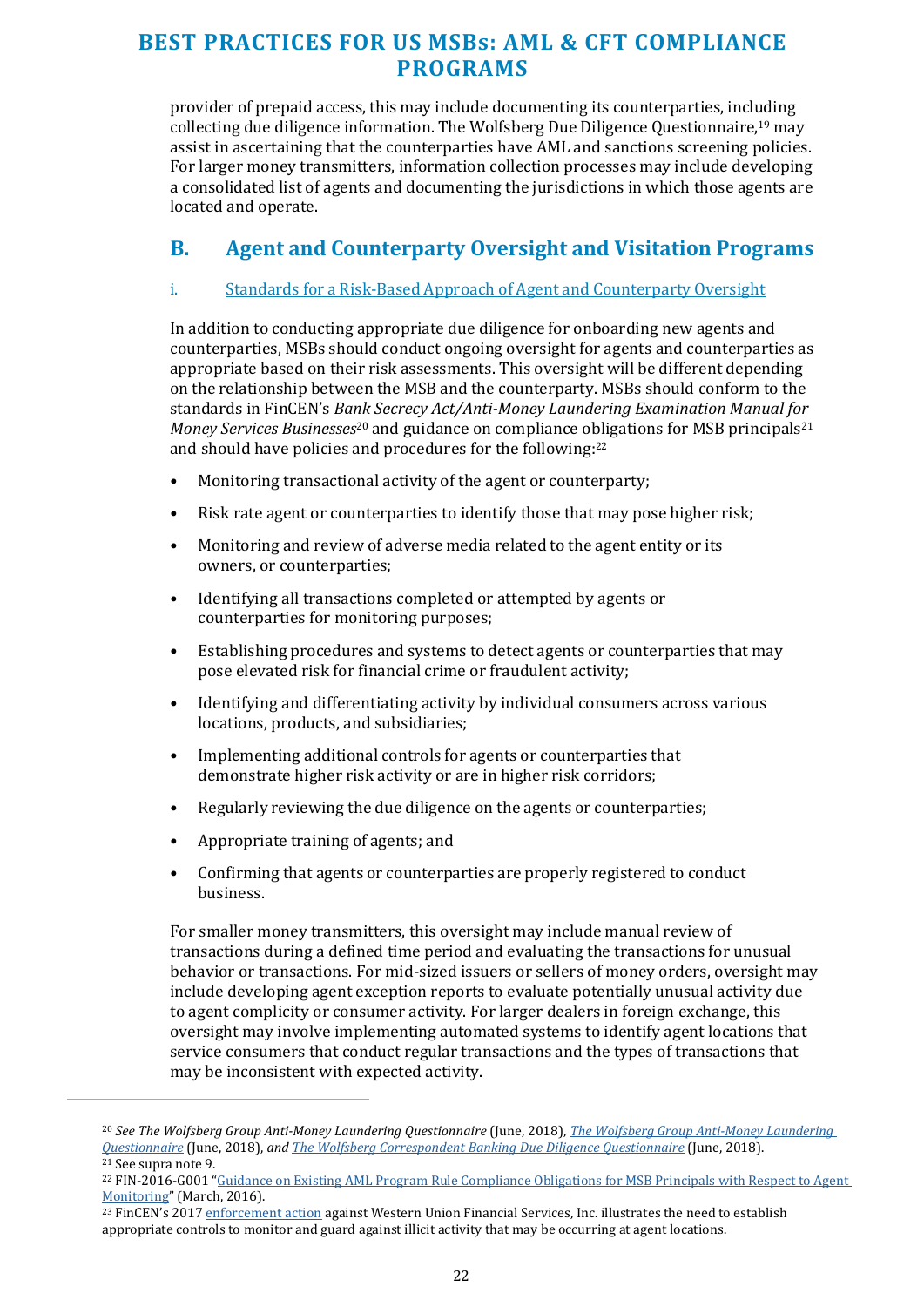provider of prepaid access, this may include documenting its counterparties, including collecting due diligence information. The Wolfsberg Due Diligence Questionnaire,19 may assist in ascertaining that the counterparties have AML and sanctions screening policies. For larger money transmitters, information collection processes may include developing a consolidated list of agents and documenting the jurisdictions in which those agents are located and operate.

#### **B. Agent and Counterparty Oversight and Visitation Programs**

#### i. Standards for a Risk-Based Approach of Agent and Counterparty Oversight

In addition to conducting appropriate due diligence for onboarding new agents and counterparties, MSBs should conduct ongoing oversight for agents and counterparties as appropriate based on their risk assessments. This oversight will be different depending on the relationship between the MSB and the counterparty. MSBs should conform to the standards in FinCEN's *Bank Secrecy Act/Anti-Money Laundering Examination Manual for Money Services Businesses*<sup>20</sup> and guidance on compliance obligations for MSB principals<sup>21</sup> and should have policies and procedures for the following:<sup>22</sup>

- Monitoring transactional activity of the agent or counterparty;
- Risk rate agent or counterparties to identify those that may pose higher risk;
- Monitoring and review of adverse media related to the agent entity or its owners, or counterparties;
- Identifying all transactions completed or attempted by agents or counterparties for monitoring purposes;
- Establishing procedures and systems to detect agents or counterparties that may pose elevated risk for financial crime or fraudulent activity;
- Identifying and differentiating activity by individual consumers across various locations, products, and subsidiaries;
- Implementing additional controls for agents or counterparties that demonstrate higher risk activity or are in higher risk corridors;
- Regularly reviewing the due diligence on the agents or counterparties;
- Appropriate training of agents; and
- Confirming that agents or counterparties are properly registered to conduct business.

For smaller money transmitters, this oversight may include manual review of transactions during a defined time period and evaluating the transactions for unusual behavior or transactions. For mid-sized issuers or sellers of money orders, oversight may include developing agent exception reports to evaluate potentially unusual activity due to agent complicity or consumer activity. For larger dealers in foreign exchange, this oversight may involve implementing automated systems to identify agent locations that service consumers that conduct regular transactions and the types of transactions that may be inconsistent with expected activity.

<sup>20</sup> *See The Wolfsberg Group Anti-Money Laundering Questionnaire* (June, 2018), *[The Wolfsberg Group Anti-Money Laundering](https://www.wolfsberg-principles.com/sites/default/files/wb/pdfs/Wolfsberg%27s_FCCQ_220218_v1.0.pdf)  [Questionnaire](https://www.wolfsberg-principles.com/sites/default/files/wb/pdfs/Wolfsberg%27s_FCCQ_220218_v1.0.pdf)* (June, 2018), *an[d The Wolfsberg Correspondent Banking Due Diligence Questionnaire](https://www.wolfsberg-principles.com/wolfsbergcb)* (June, 2018). <sup>21</sup> See supra note 9.

<sup>&</sup>lt;sup>22</sup> FIN-2016-G001 "Guidance on Existing AML Program Rule Compliance Obligations for MSB Principals with Respect to Agent [Monitoring"](https://www.fincen.gov/sites/default/files/shared/FIN-2016-G001.pdf) (March, 2016).

<sup>&</sup>lt;sup>23</sup> FinCEN's 2017 [enforcement action a](https://www.fincen.gov/sites/default/files/enforcement_action/2017-01-19/WUFSI%20Assessment%20of%20Civil%20Money%20Penalty-%201-19%20-%202017.pdf)gainst Western Union Financial Services, Inc. illustrates the need to establish appropriate controls to monitor and guard against illicit activity that may be occurring at agent locations.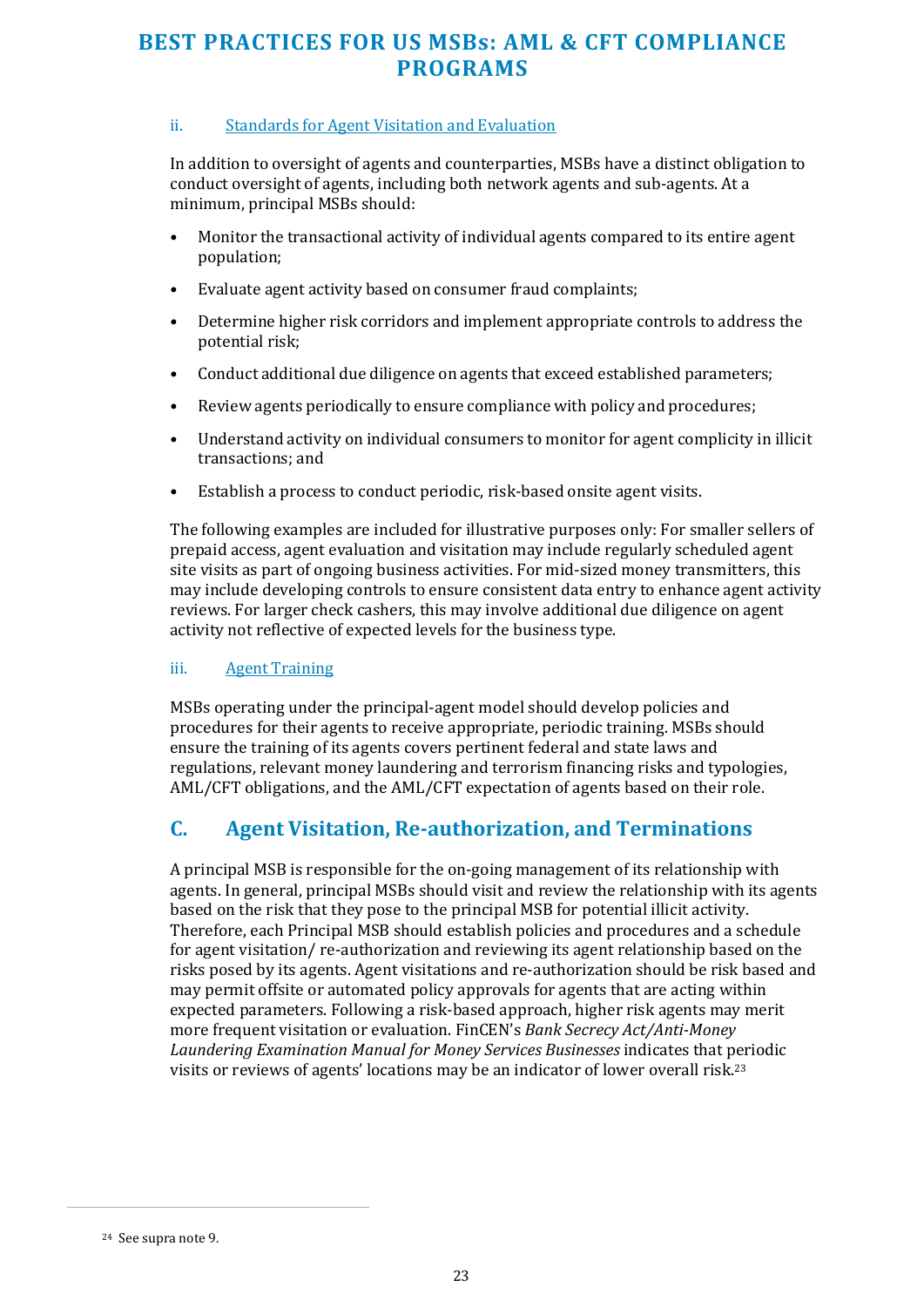#### ii. Standards for Agent Visitation and Evaluation

In addition to oversight of agents and counterparties, MSBs have a distinct obligation to conduct oversight of agents, including both network agents and sub-agents. At a minimum, principal MSBs should:

- Monitor the transactional activity of individual agents compared to its entire agent population;
- Evaluate agent activity based on consumer fraud complaints;
- Determine higher risk corridors and implement appropriate controls to address the potential risk;
- Conduct additional due diligence on agents that exceed established parameters;
- Review agents periodically to ensure compliance with policy and procedures;
- Understand activity on individual consumers to monitor for agent complicity in illicit transactions; and
- Establish a process to conduct periodic, risk-based onsite agent visits.

The following examples are included for illustrative purposes only: For smaller sellers of prepaid access, agent evaluation and visitation may include regularly scheduled agent site visits as part of ongoing business activities. For mid-sized money transmitters, this may include developing controls to ensure consistent data entry to enhance agent activity reviews. For larger check cashers, this may involve additional due diligence on agent activity not reflective of expected levels for the business type.

#### iii. Agent Training

MSBs operating under the principal-agent model should develop policies and procedures for their agents to receive appropriate, periodic training. MSBs should ensure the training of its agents covers pertinent federal and state laws and regulations, relevant money laundering and terrorism financing risks and typologies, AML/CFT obligations, and the AML/CFT expectation of agents based on their role.

#### **C. Agent Visitation, Re-authorization, and Terminations**

A principal MSB is responsible for the on-going management of its relationship with agents. In general, principal MSBs should visit and review the relationship with its agents based on the risk that they pose to the principal MSB for potential illicit activity. Therefore, each Principal MSB should establish policies and procedures and a schedule for agent visitation/ re-authorization and reviewing its agent relationship based on the risks posed by its agents. Agent visitations and re-authorization should be risk based and may permit offsite or automated policy approvals for agents that are acting within expected parameters. Following a risk-based approach, higher risk agents may merit more frequent visitation or evaluation. FinCEN's *Bank Secrecy Act/Anti-Money Laundering Examination Manual for Money Services Businesses* indicates that periodic visits or reviews of agents' locations may be an indicator of lower overall risk.<sup>23</sup>

<sup>24</sup> See supra note 9.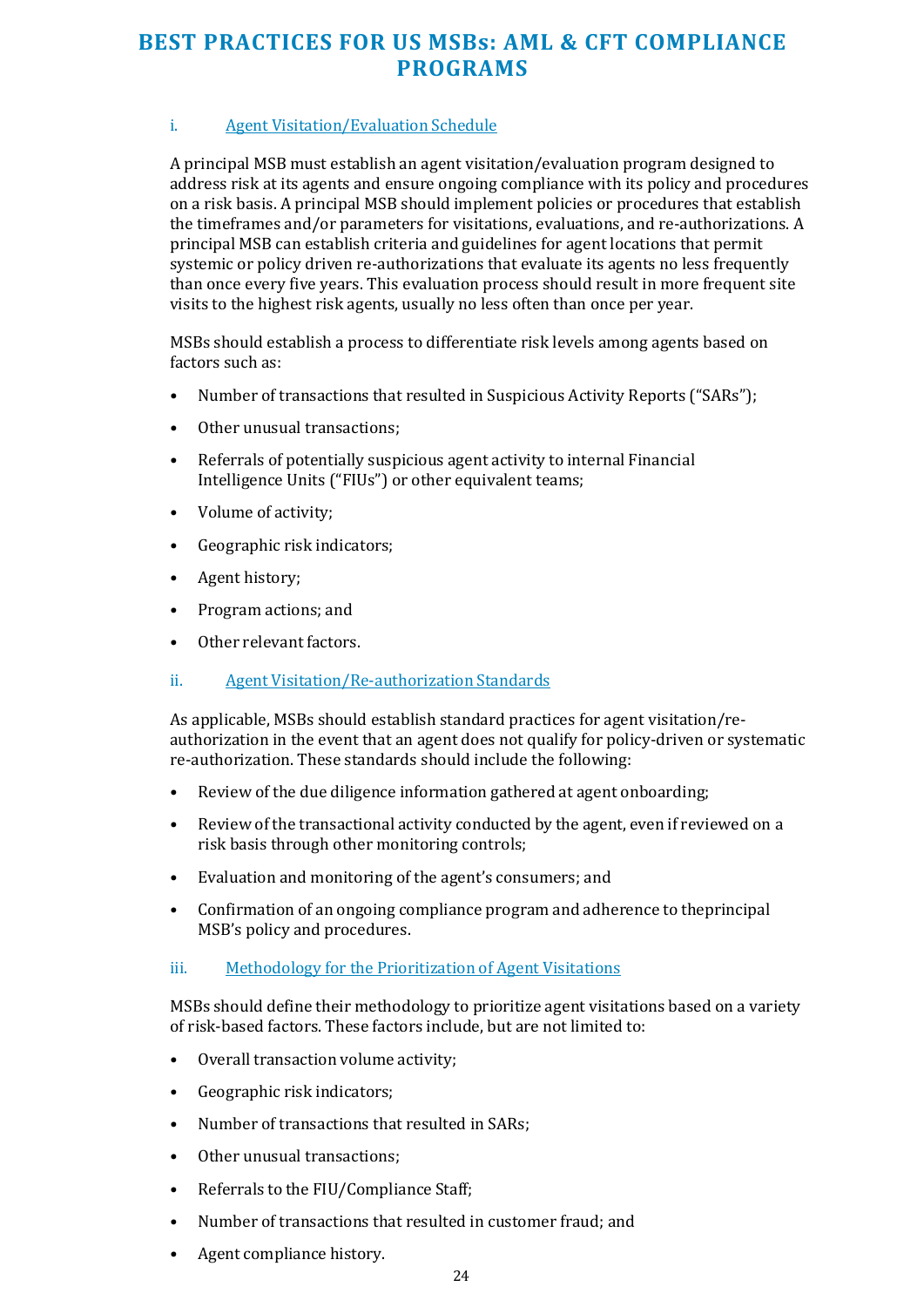#### i. Agent Visitation/Evaluation Schedule

A principal MSB must establish an agent visitation/evaluation program designed to address risk at its agents and ensure ongoing compliance with its policy and procedures on a risk basis. A principal MSB should implement policies or procedures that establish the timeframes and/or parameters for visitations, evaluations, and re-authorizations. A principal MSB can establish criteria and guidelines for agent locations that permit systemic or policy driven re-authorizations that evaluate its agents no less frequently than once every five years. This evaluation process should result in more frequent site visits to the highest risk agents, usually no less often than once per year.

MSBs should establish a process to differentiate risk levels among agents based on factors such as:

- Number of transactions that resulted in Suspicious Activity Reports ("SARs");
- Other unusual transactions;
- Referrals of potentially suspicious agent activity to internal Financial Intelligence Units ("FIUs") or other equivalent teams;
- Volume of activity;
- Geographic risk indicators;
- Agent history;
- Program actions; and
- Other relevant factors.

#### ii. Agent Visitation/Re-authorization Standards

As applicable, MSBs should establish standard practices for agent visitation/reauthorization in the event that an agent does not qualify for policy-driven or systematic re-authorization. These standards should include the following:

- Review of the due diligence information gathered at agent onboarding;
- Review of the transactional activity conducted by the agent, even if reviewed on a risk basis through other monitoring controls;
- Evaluation and monitoring of the agent's consumers; and
- Confirmation of an ongoing compliance program and adherence to the principal MSB's policy and procedures.

#### iii. Methodology for the Prioritization of Agent Visitations

MSBs should define their methodology to prioritize agent visitations based on a variety of risk-based factors. These factors include, but are not limited to:

- Overall transaction volume activity;
- Geographic risk indicators;
- Number of transactions that resulted in SARs;
- Other unusual transactions;
- Referrals to the FIU/Compliance Staff;
- Number of transactions that resulted in customer fraud; and
- Agent compliance history.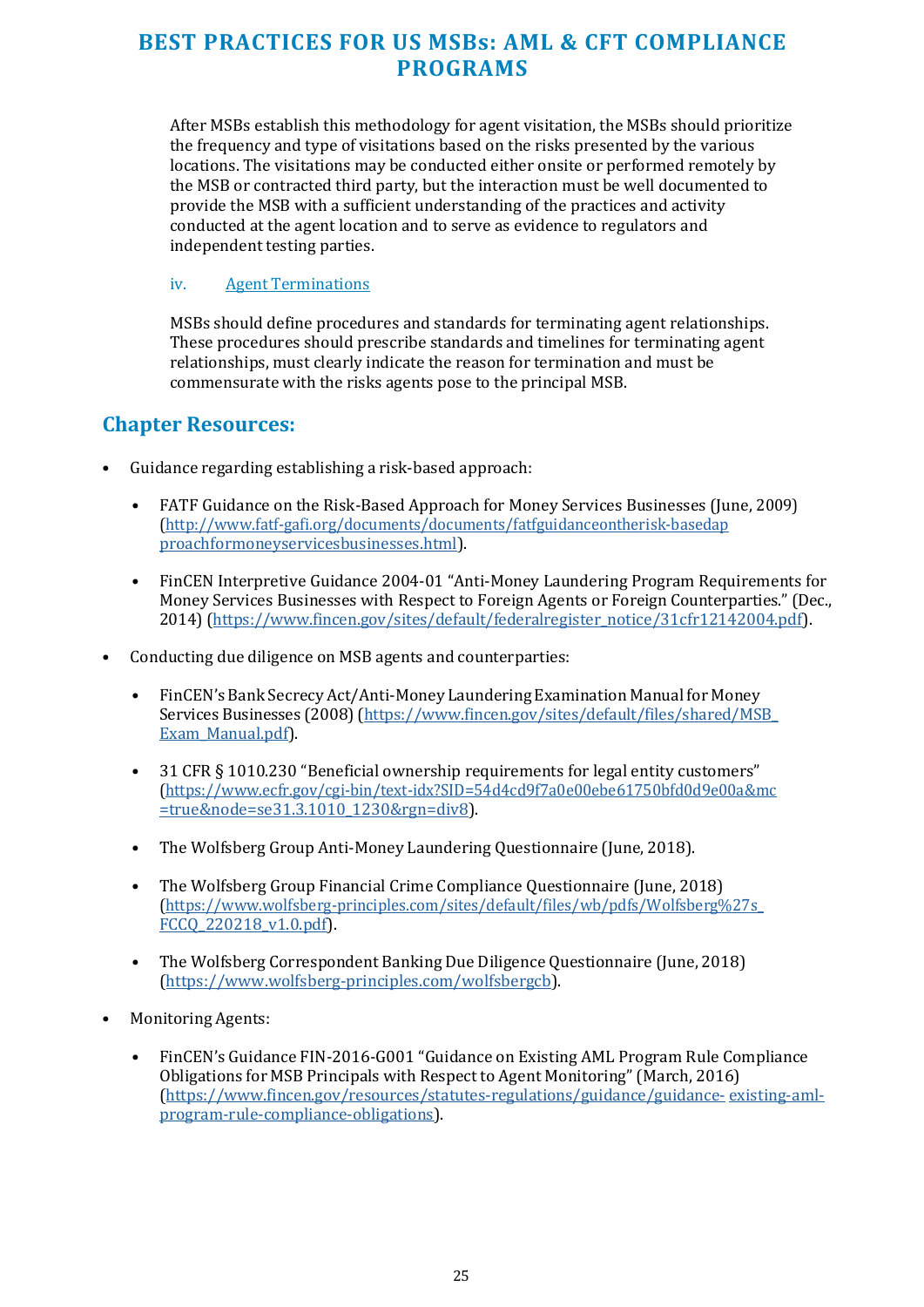After MSBs establish this methodology for agent visitation, the MSBs should prioritize the frequency and type of visitations based on the risks presented by the various locations. The visitations may be conducted either onsite or performed remotely by the MSB or contracted third party, but the interaction must be well documented to provide the MSB with a sufficient understanding of the practices and activity conducted at the agent location and to serve as evidence to regulators and independent testing parties.

#### iv. Agent Terminations

MSBs should define procedures and standards for terminating agent relationships. These procedures should prescribe standards and timelines for terminating agent relationships, must clearly indicate the reason for termination and must be commensurate with the risks agents pose to the principal MSB.

#### **Chapter Resources:**

- Guidance regarding establishing a risk-based approach:
	- FATF Guidance on the Risk-Based Approach for Money Services Businesses (June, 2009) [\(http://www.fatf-gafi.org/documents/documents/fatfguidanceontherisk-basedap](http://www.fatf-gafi.org/documents/documents/fatfguidanceontherisk-basedapproachformoneyservicesbusinesses.html) [proachformoneyservicesbusinesses.html\)](http://www.fatf-gafi.org/documents/documents/fatfguidanceontherisk-basedapproachformoneyservicesbusinesses.html).
	- FinCEN Interpretive Guidance 2004-01 "Anti-Money Laundering Program Requirements for Money Services Businesses with Respect to Foreign Agents or Foreign Counterparties." (Dec., 2014) [\(https://www.fincen.gov/sites/default/federalregister\\_notice/31cfr12142004.pdf\)](https://www.fincen.gov/sites/default/files/federal_register_notice/31cfr12142004.pdf).
- Conducting due diligence on MSB agents and counterparties:
	- FinCEN's Bank Secrecy Act/Anti-Money Laundering Examination Manual for Money Services Businesses (2008) [\(https://www.fincen.gov/sites/default/files/shared/MSB\\_](https://www.fincen.gov/sites/default/files/shared/MSB_Exam_Manual.pdf) [Exam\\_Manual.pdf\)](https://www.fincen.gov/sites/default/files/shared/MSB_Exam_Manual.pdf).
	- 31 CFR § 1010.230 "Beneficial ownership requirements for legal entity customers" [\(https://www.ecfr.gov/cgi-bin/text-idx?SID=54d4cd9f7a0e00ebe61750bfd0d9e00a&mc](https://www.ecfr.gov/cgi-bin/text-idx?SID=54d4cd9f7a0e00ebe61750bfd0d9e00a&mc=true&node=se31.3.1010_1230&rgn=div8) [=true&node=se31.3.1010\\_1230&rgn=div8\)](https://www.ecfr.gov/cgi-bin/text-idx?SID=54d4cd9f7a0e00ebe61750bfd0d9e00a&mc=true&node=se31.3.1010_1230&rgn=div8).
	- The Wolfsberg Group Anti-Money Laundering Questionnaire (June, 2018).
	- The Wolfsberg Group Financial Crime Compliance Questionnaire (June, 2018) [\(https://www.wolfsberg-principles.com/sites/default/files/wb/pdfs/Wolfsberg%27s\\_](https://www.wolfsberg-principles.com/sites/default/files/wb/pdfs/Wolfsberg%27s_FCCQ_220218_v1.0.pdf) [FCCQ\\_220218\\_v1.0.pdf\)](https://www.wolfsberg-principles.com/sites/default/files/wb/pdfs/Wolfsberg%27s_FCCQ_220218_v1.0.pdf).
	- The Wolfsberg Correspondent Banking Due Diligence Questionnaire (June, 2018) [\(https://www.wolfsberg-principles.com/wolfsbergcb\)](https://www.wolfsberg-principles.com/wolfsbergcb).
- Monitoring Agents:
	- FinCEN's Guidance FIN-2016-G001 "Guidance on Existing AML Program Rule Compliance Obligations for MSB Principals with Respect to Agent Monitoring" (March, 2016) [\(https://www.fincen.gov/resources/statutes-regulations/guidance/guidance-](https://www.fincen.gov/resources/statutes-regulations/guidance/guidance-existing-aml-program-rule-compliance-obligations) [existing-aml](https://www.fincen.gov/resources/statutes-regulations/guidance/guidance-existing-aml-program-rule-compliance-obligations)[program-rule-compliance-obligations\)](https://www.fincen.gov/resources/statutes-regulations/guidance/guidance-existing-aml-program-rule-compliance-obligations).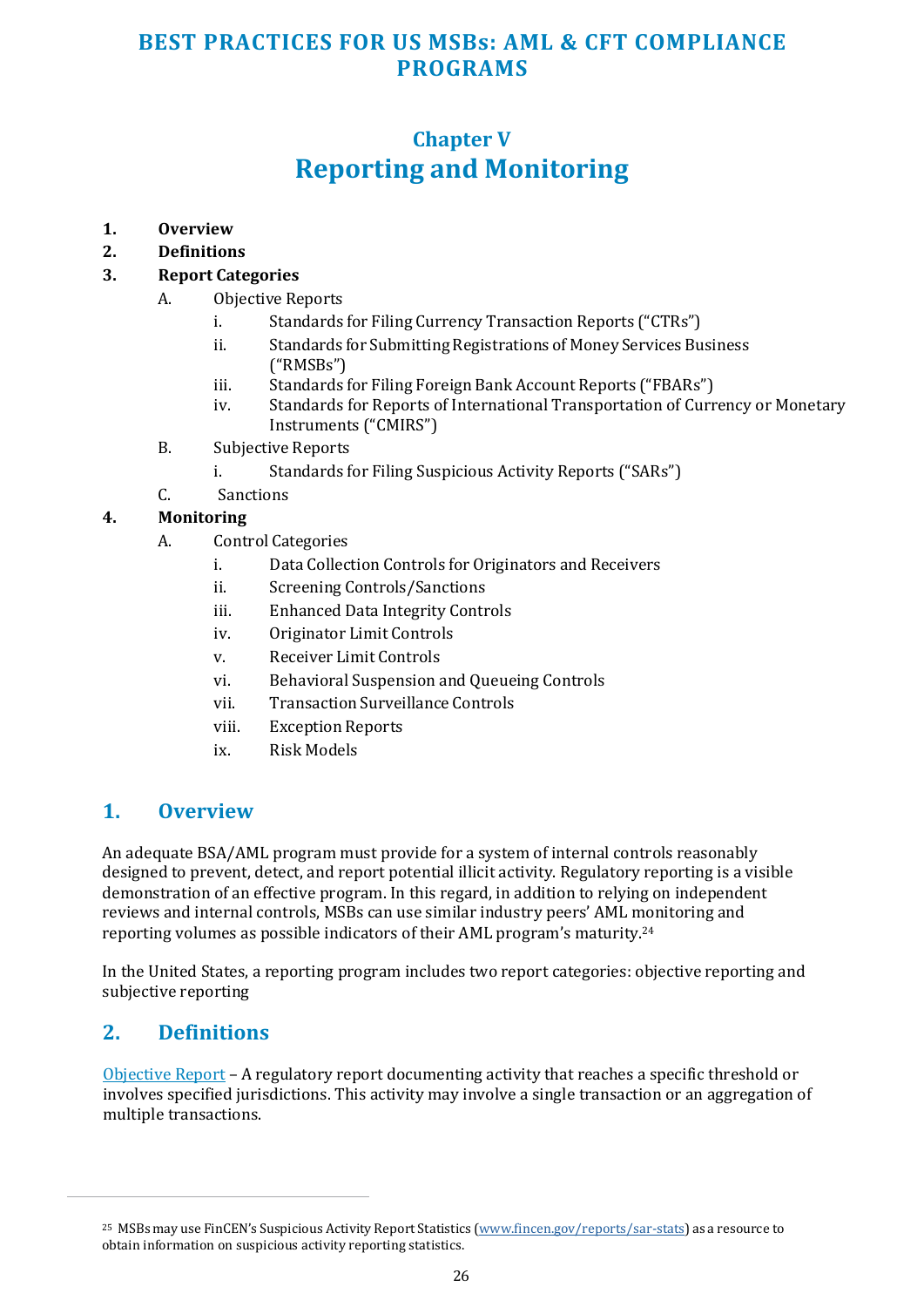## **Chapter V Reporting and Monitoring**

- <span id="page-25-0"></span>**1. Overview**
- **2. Definitions**

#### **3. Report Categories**

- A. Objective Reports
	- i. Standards for Filing Currency Transaction Reports ("CTRs")
	- ii. Standards for Submitting Registrations of Money Services Business ("RMSBs")
	- iii. Standards for Filing Foreign Bank Account Reports ("FBARs")
	- iv. Standards for Reports of International Transportation of Currency or Monetary Instruments ("CMIRS")
- B. Subjective Reports
	- i. Standards for Filing Suspicious Activity Reports ("SARs")
- C. Sanctions

#### **4. Monitoring**

- A. Control Categories
	- i. Data Collection Controls for Originators and Receivers
	- ii. Screening Controls/Sanctions
	- iii. Enhanced Data Integrity Controls
	- iv. Originator Limit Controls
	- v. Receiver Limit Controls
	- vi. Behavioral Suspension and Queueing Controls
	- vii. Transaction Surveillance Controls
	- viii. Exception Reports
	- ix. Risk Models

#### **1. Overview**

An adequate BSA/AML program must provide for a system of internal controls reasonably designed to prevent, detect, and report potential illicit activity. Regulatory reporting is a visible demonstration of an effective program. In this regard, in addition to relying on independent reviews and internal controls, MSBs can use similar industry peers' AML monitoring and reporting volumes as possible indicators of their AML program's maturity.<sup>24</sup>

In the United States, a reporting program includes two report categories: objective reporting and subjective reporting

#### **2. Definitions**

Objective Report – A regulatory report documenting activity that reaches a specific threshold or involves specified jurisdictions. This activity may involve a single transaction or an aggregation of multiple transactions.

<sup>&</sup>lt;sup>25</sup> MSBs may use FinCEN's Suspicious Activity Report Statistics [\(www.fincen.gov/reports/sar-stats\)](http://www.fincen.gov/reports/sar-stats) as a resource to obtain information on suspicious activity reporting statistics.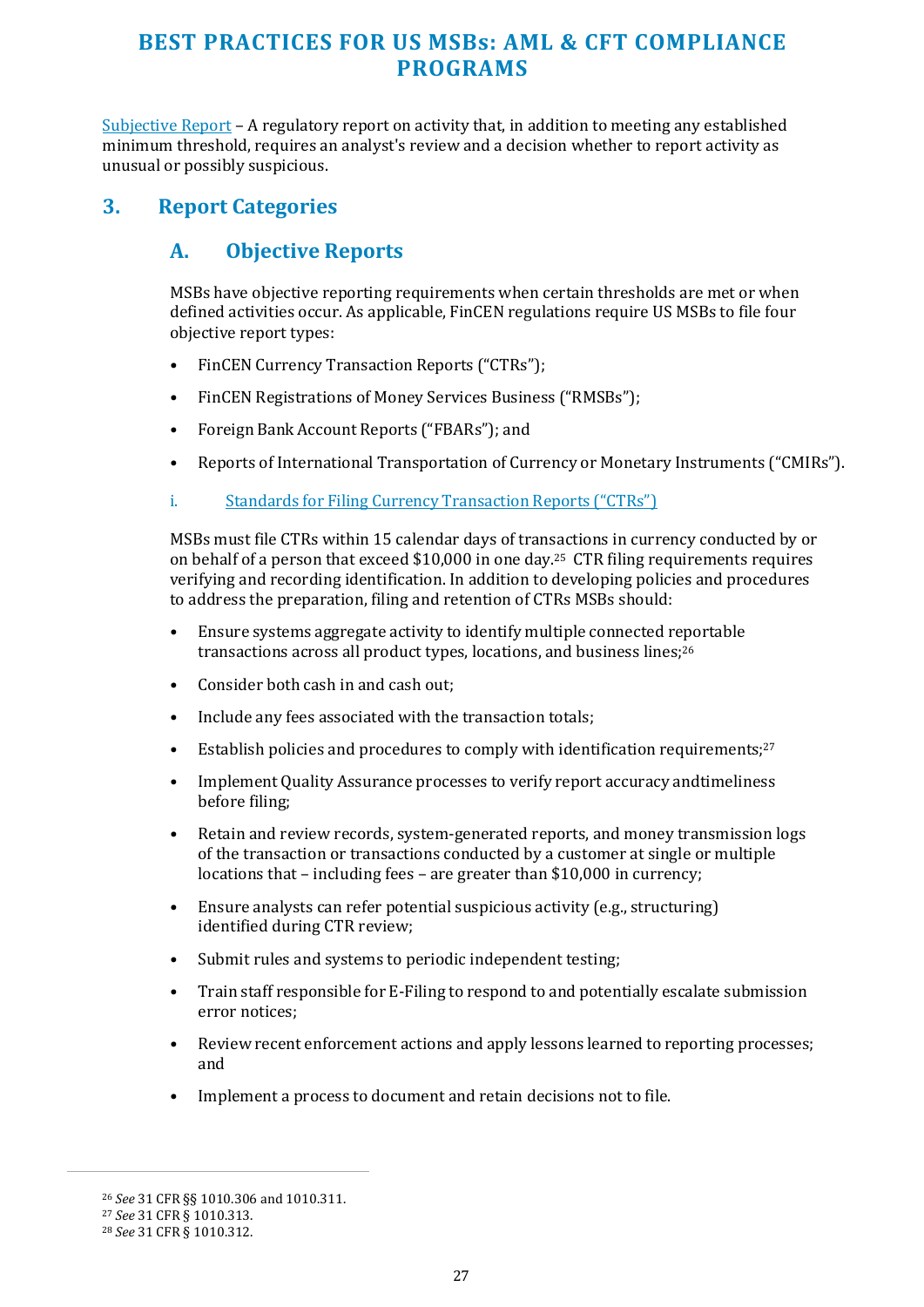<span id="page-26-0"></span>Subjective Report – A regulatory report on activity that, in addition to meeting any established minimum threshold, requires an analyst's review and a decision whether to report activity as unusual or possibly suspicious.

#### **3. Report Categories**

#### **A. Objective Reports**

MSBs have objective reporting requirements when certain thresholds are met or when defined activities occur. As applicable, FinCEN regulations require US MSBs to file four objective report types:

- FinCEN Currency Transaction Reports ("CTRs");
- FinCEN Registrations of Money Services Business ("RMSBs");
- Foreign Bank Account Reports ("FBARs"); and
- Reports of International Transportation of Currency or Monetary Instruments ("CMIRs").
- i. Standards for Filing Currency Transaction Reports ("CTRs")

MSBs must file CTRs within 15 calendar days of transactions in currency conducted by or on behalf of a person that exceed \$10,000 in one day.25 CTR filing requirements requires verifying and recording identification. In addition to developing policies and procedures to address the preparation, filing and retention of CTRs MSBs should:

- Ensure systems aggregate activity to identify multiple connected reportable transactions across all product types, locations, and business lines;<sup>26</sup>
- Consider both cash in and cash out;
- Include any fees associated with the transaction totals;
- Establish policies and procedures to comply with identification requirements;<sup>27</sup>
- Implement Quality Assurance processes to verify report accuracy and timeliness before filing;
- Retain and review records, system-generated reports, and money transmission logs of the transaction or transactions conducted by a customer at single or multiple locations that – including fees – are greater than \$10,000 in currency;
- Ensure analysts can refer potential suspicious activity (e.g., structuring) identified during CTR review;
- Submit rules and systems to periodic independent testing;
- Train staff responsible for E-Filing to respond to and potentially escalate submission error notices;
- Review recent enforcement actions and apply lessons learned to reporting processes; and
- Implement a process to document and retain decisions not to file.

<sup>26</sup> *See* 31 CFR §§ 1010.306 and 1010.311.

<sup>27</sup> *See* 31 CFR § 1010.313.

<sup>28</sup> *See* 31 CFR § 1010.312.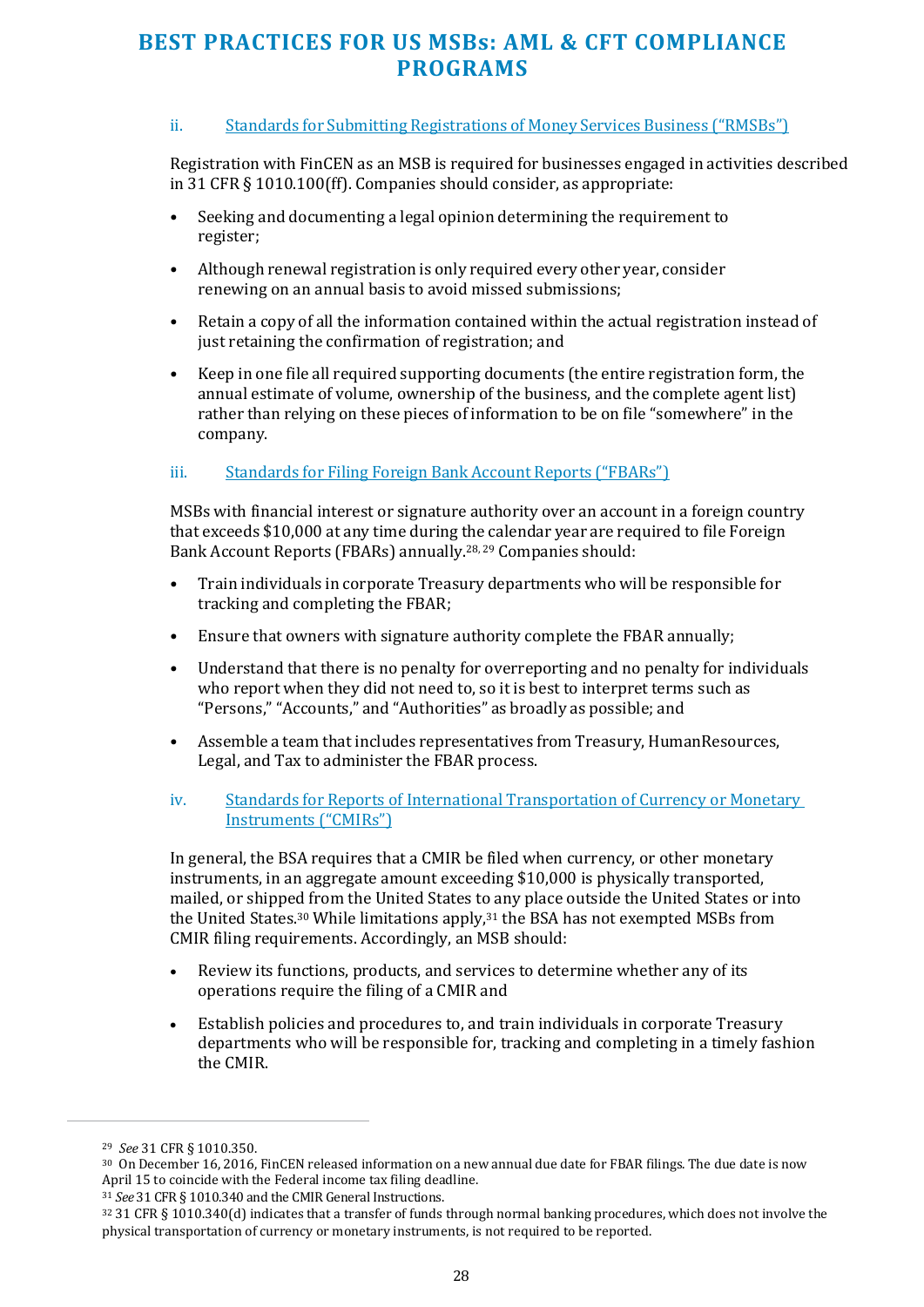#### ii. Standards for Submitting Registrations of Money Services Business ("RMSBs")

Registration with FinCEN as an MSB is required for businesses engaged in activities described in 31 CFR § 1010.100(ff). Companies should consider, as appropriate:

- Seeking and documenting a legal opinion determining the requirement to register;
- Although renewal registration is only required every other year, consider renewing on an annual basis to avoid missed submissions;
- Retain a copy of all the information contained within the actual registration instead of just retaining the confirmation of registration; and
- Keep in one file all required supporting documents (the entire registration form, the annual estimate of volume, ownership of the business, and the complete agent list) rather than relying on these pieces of information to be on file "somewhere" in the company.

#### iii. Standards for Filing Foreign Bank Account Reports ("FBARs")

MSBs with financial interest or signature authority over an account in a foreign country that exceeds \$10,000 at any time during the calendar year are required to file Foreign Bank Account Reports (FBARs) annually.28, 29 Companies should:

- Train individuals in corporate Treasury departments who will be responsible for tracking and completing the FBAR;
- Ensure that owners with signature authority complete the FBAR annually;
- Understand that there is no penalty for overreporting and no penalty for individuals who report when they did not need to, so it is best to interpret terms such as "Persons," "Accounts," and "Authorities" as broadly as possible; and
- Assemble a team that includes representatives from Treasury, Human Resources, Legal, and Tax to administer the FBAR process.
- iv. Standards for Reports of International Transportation of Currency or Monetary Instruments ("CMIRs")

In general, the BSA requires that a CMIR be filed when currency, or other monetary instruments, in an aggregate amount exceeding \$10,000 is physically transported, mailed, or shipped from the United States to any place outside the United States or into the United States.30 While limitations apply,31 the BSA has not exempted MSBs from CMIR filing requirements. Accordingly, an MSB should:

- Review its functions, products, and services to determine whether any of its operations require the filing of a CMIR and
- Establish policies and procedures to, and train individuals in corporate Treasury departments who will be responsible for, tracking and completing in a timely fashion the CMIR.

<sup>29</sup> *See* 31 CFR § 1010.350.

<sup>30</sup> On December 16, 2016, FinCEN released information on a new annual due date for FBAR filings. The due date is now April 15 to coincide with the Federal income tax filing deadline.

<sup>31</sup> *See* 31 CFR § 1010.340 and the CMIR General Instructions.

<sup>32</sup> 31 CFR § 1010.340(d) indicates that a transfer of funds through normal banking procedures, which does not involve the physical transportation of currency or monetary instruments, is not required to be reported.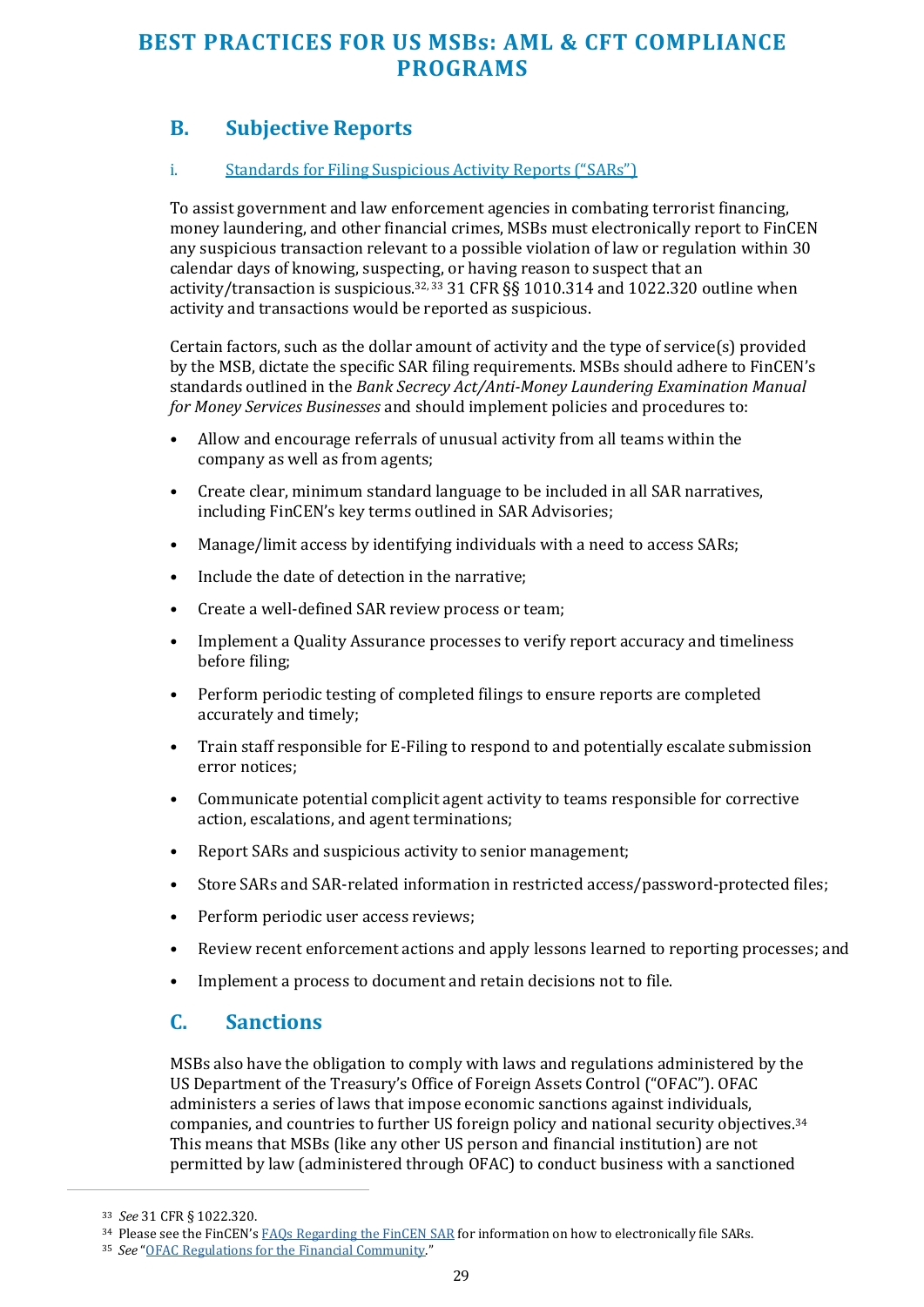## **B. Subjective Reports**

#### i. Standards for Filing Suspicious Activity Reports ("SARs")

To assist government and law enforcement agencies in combating terrorist financing, money laundering, and other financial crimes, MSBs must electronically report to FinCEN any suspicious transaction relevant to a possible violation of law or regulation within 30 calendar days of knowing, suspecting, or having reason to suspect that an activity/transaction is suspicious. $32,33$  31 CFR  $\S$ § 1010.314 and 1022.320 outline when activity and transactions would be reported as suspicious.

Certain factors, such as the dollar amount of activity and the type of service(s) provided by the MSB, dictate the specific SAR filing requirements. MSBs should adhere to FinCEN's standards outlined in the *Bank Secrecy Act/Anti-Money Laundering Examination Manual for Money Services Businesses* and should implement policies and procedures to:

- Allow and encourage referrals of unusual activity from all teams within the company as well as from agents;
- Create clear, minimum standard language to be included in all SAR narratives, including FinCEN's key terms outlined in SAR Advisories;
- Manage/limit access by identifying individuals with a need to access SARs;
- Include the date of detection in the narrative;
- Create a well-defined SAR review process or team;
- Implement a Quality Assurance processes to verify report accuracy and timeliness before filing;
- Perform periodic testing of completed filings to ensure reports are completed accurately and timely;
- Train staff responsible for E-Filing to respond to and potentially escalate submission error notices;
- Communicate potential complicit agent activity to teams responsible for corrective action, escalations, and agent terminations;
- Report SARs and suspicious activity to senior management;
- Store SARs and SAR-related information in restricted access/password-protected files;
- Perform periodic user access reviews;
- Review recent enforcement actions and apply lessons learned to reporting processes; and
- Implement a process to document and retain decisions not to file.

#### **C. Sanctions**

MSBs also have the obligation to comply with laws and regulations administered by the US Department of the Treasury's Office of Foreign Assets Control ("OFAC"). OFAC administers a series of laws that impose economic sanctions against individuals, companies, and countries to further US foreign policy and national security objectives.<sup>34</sup> This means that MSBs (like any other US person and financial institution) are not permitted by law (administered through OFAC) to conduct business with a sanctioned

<sup>33</sup> *See* 31 CFR § 1022.320.

<sup>&</sup>lt;sup>34</sup> Please see the FinCEN's FAOs Regarding the FinCEN SAR for information on how to electronically file SARs.

<sup>35</sup> *See* ["OFAC Regulations for the Financial Community."](https://home.treasury.gov/policy-issues/office-of-foreign-assets-control-sanctions-programs-and-information)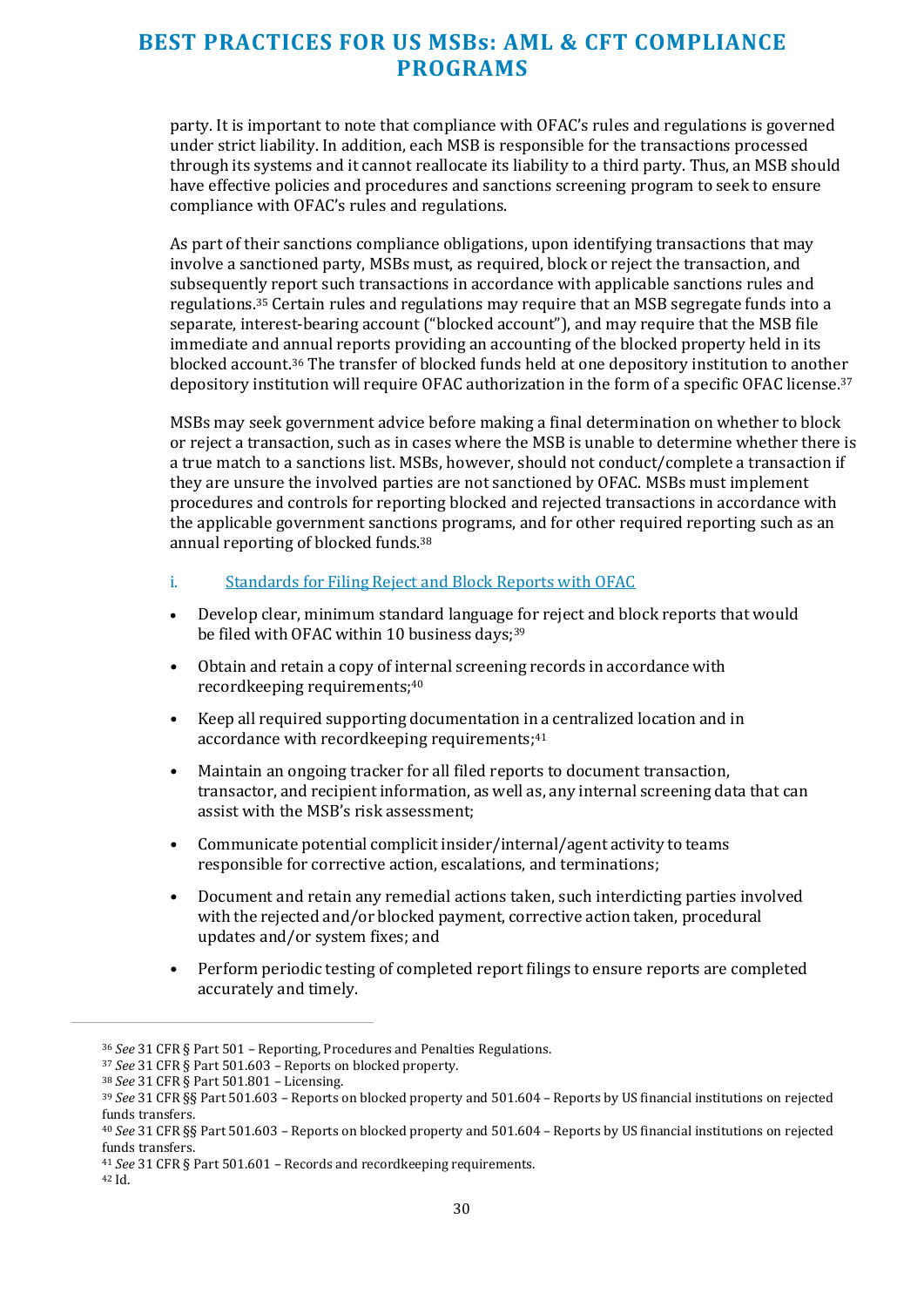party. It is important to note that compliance with OFAC's rules and regulations is governed under strict liability. In addition, each MSB is responsible for the transactions processed through its systems and it cannot reallocate its liability to a third party. Thus, an MSB should have effective policies and procedures and sanctions screening program to seek to ensure compliance with OFAC's rules and regulations.

As part of their sanctions compliance obligations, upon identifying transactions that may involve a sanctioned party, MSBs must, as required, block or reject the transaction, and subsequently report such transactions in accordance with applicable sanctions rules and regulations.35 Certain rules and regulations may require that an MSB segregate funds into a separate, interest-bearing account ("blocked account"), and may require that the MSB file immediate and annual reports providing an accounting of the blocked property held in its blocked account.36 The transfer of blocked funds held at one depository institution to another depository institution will require OFAC authorization in the form of a specific OFAC license.<sup>37</sup>

MSBs may seek government advice before making a final determination on whether to block or reject a transaction, such as in cases where the MSB is unable to determine whether there is a true match to a sanctions list. MSBs, however, should not conduct/complete a transaction if they are unsure the involved parties are not sanctioned by OFAC. MSBs must implement procedures and controls for reporting blocked and rejected transactions in accordance with the applicable government sanctions programs, and for other required reporting such as an annual reporting of blocked funds.<sup>38</sup>

- i. Standards for Filing Reject and Block Reports with OFAC
- Develop clear, minimum standard language for reject and block reports that would be filed with OFAC within 10 business days;<sup>39</sup>
- Obtain and retain a copy of internal screening records in accordance with recordkeeping requirements;<sup>40</sup>
- Keep all required supporting documentation in a centralized location and in accordance with recordkeeping requirements;<sup>41</sup>
- Maintain an ongoing tracker for all filed reports to document transaction, transactor, and recipient information, as well as, any internal screening data that can assist with the MSB's risk assessment;
- Communicate potential complicit insider/internal/agent activity to teams responsible for corrective action, escalations, and terminations;
- Document and retain any remedial actions taken, such interdicting parties involved with the rejected and/or blocked payment, corrective action taken, procedural updates and/or system fixes; and
- Perform periodic testing of completed report filings to ensure reports are completed accurately and timely.

<sup>36</sup> *See* 31 CFR § Part 501 – Reporting, Procedures and Penalties Regulations.

<sup>37</sup> *See* 31 CFR § Part 501.603 – Reports on blocked property.

<sup>38</sup> *See* 31 CFR § Part 501.801 – Licensing.

<sup>39</sup> *See* 31 CFR §§ Part 501.603 – Reports on blocked property and 501.604 – Reports by US financial institutions on rejected funds transfers.

<sup>40</sup> *See* 31 CFR §§ Part 501.603 – Reports on blocked property and 501.604 – Reports by US financial institutions on rejected funds transfers.

<sup>41</sup> *See* 31 CFR § Part 501.601 – Records and recordkeeping requirements.

<sup>42</sup> Id.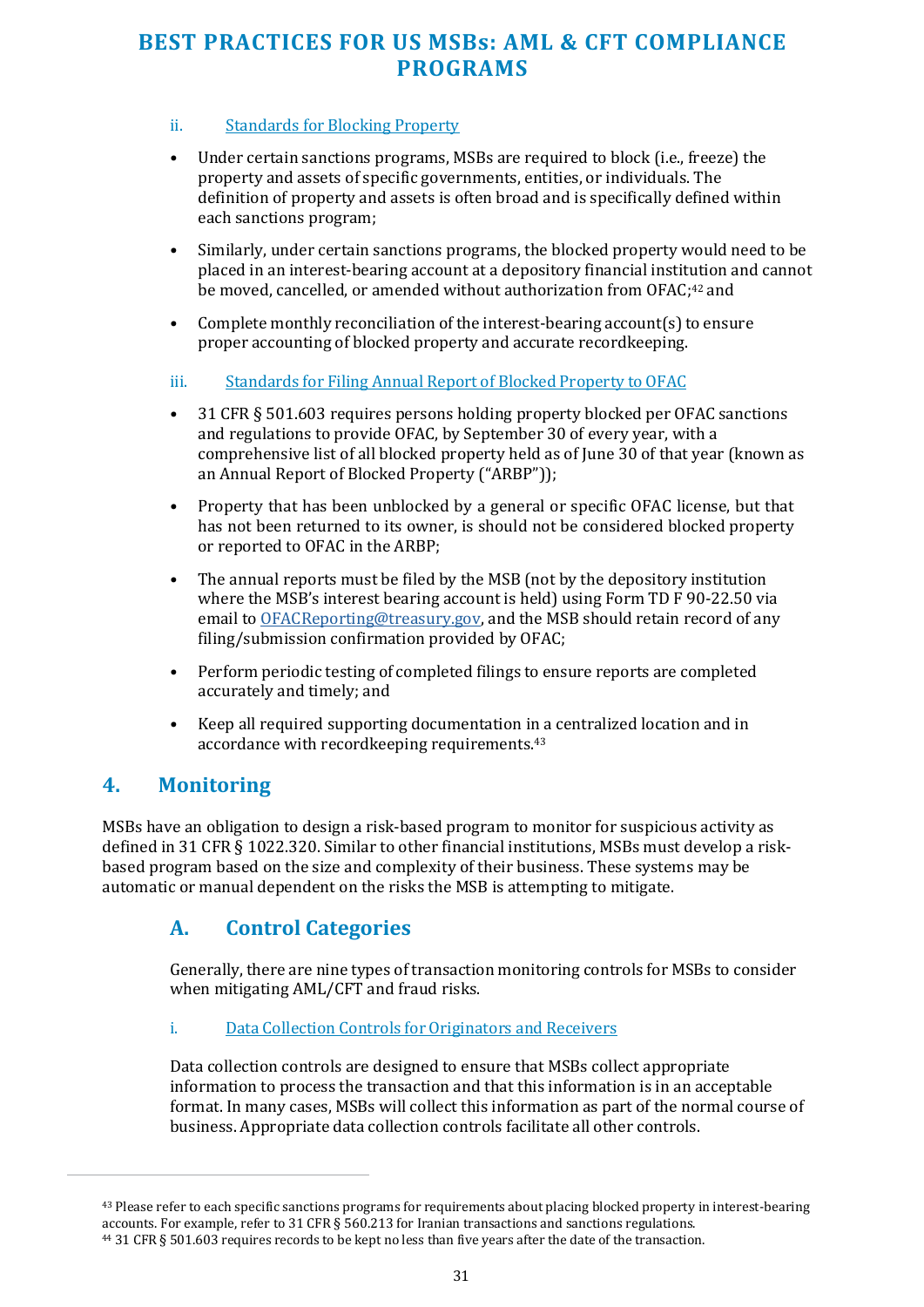#### <span id="page-30-0"></span>ii. Standards for Blocking Property

- Under certain sanctions programs, MSBs are required to block (i.e., freeze) the property and assets of specific governments, entities, or individuals. The definition of property and assets is often broad and is specifically defined within each sanctions program;
- Similarly, under certain sanctions programs, the blocked property would need to be placed in an interest-bearing account at a depository financial institution and cannot be moved, cancelled, or amended without authorization from OFAC:<sup>42</sup> and
- Complete monthly reconciliation of the interest-bearing account(s) to ensure proper accounting of blocked property and accurate recordkeeping.

#### iii. Standards for Filing Annual Report of Blocked Property to OFAC

- 31 CFR § 501.603 requires persons holding property blocked per OFAC sanctions and regulations to provide OFAC, by September 30 of every year, with a comprehensive list of all blocked property held as of June 30 of that year (known as an Annual Report of Blocked Property ("ARBP"));
- Property that has been unblocked by a general or specific OFAC license, but that has not been returned to its owner, is should not be considered blocked property or reported to OFAC in the ARBP;
- The annual reports must be filed by the MSB (not by the depository institution where the MSB's interest bearing account is held) using Form TD F 90-22.50 via email to [OFACReporting@treasury.gov,](mailto:OFACReporting@treasury.gov) and the MSB should retain record of any filing/submission confirmation provided by OFAC;
- Perform periodic testing of completed filings to ensure reports are completed accurately and timely; and
- Keep all required supporting documentation in a centralized location and in accordance with recordkeeping requirements.<sup>43</sup>

#### **4. Monitoring**

MSBs have an obligation to design a risk-based program to monitor for suspicious activity as defined in 31 CFR § 1022.320. Similar to other financial institutions, MSBs must develop a riskbased program based on the size and complexity of their business. These systems may be automatic or manual dependent on the risks the MSB is attempting to mitigate.

#### **A. Control Categories**

Generally, there are nine types of transaction monitoring controls for MSBs to consider when mitigating AML/CFT and fraud risks.

#### i. Data Collection Controls for Originators and Receivers

Data collection controls are designed to ensure that MSBs collect appropriate information to process the transaction and that this information is in an acceptable format. In many cases, MSBs will collect this information as part of the normal course of business. Appropriate data collection controls facilitate all other controls.

<sup>&</sup>lt;sup>43</sup> Please refer to each specific sanctions programs for requirements about placing blocked property in interest-bearing accounts. For example, refer to 31 CFR § 560.213 for Iranian transactions and sanctions regulations. 44 31 CFR § 501.603 requires records to be kept no less than five years after the date of the transaction.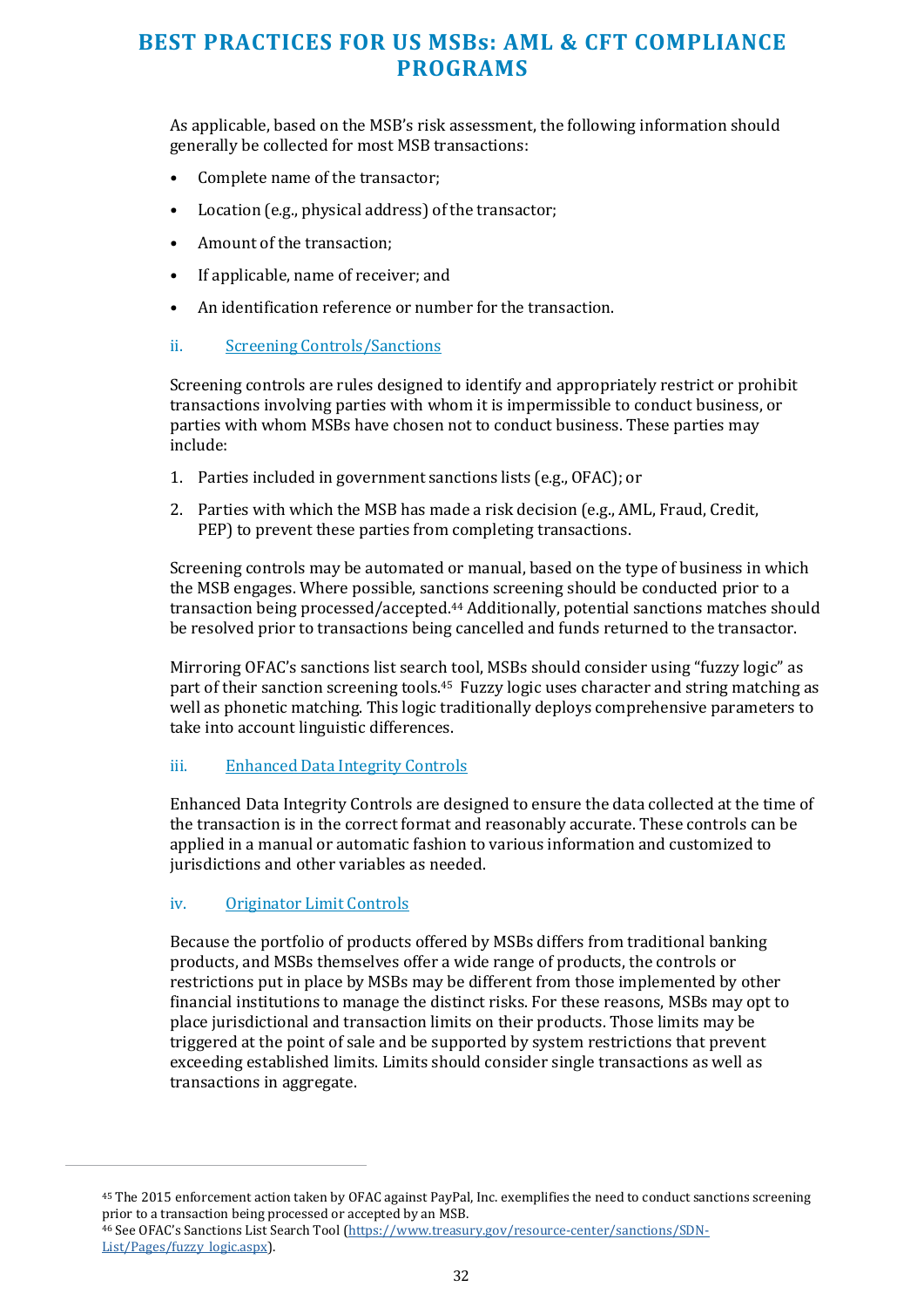As applicable, based on the MSB's risk assessment, the following information should generally be collected for most MSB transactions:

- Complete name of the transactor;
- Location (e.g., physical address) of the transactor;
- Amount of the transaction;
- If applicable, name of receiver; and
- An identification reference or number for the transaction.
- ii. Screening Controls/Sanctions

Screening controls are rules designed to identify and appropriately restrict or prohibit transactions involving parties with whom it is impermissible to conduct business, or parties with whom MSBs have chosen not to conduct business. These parties may include:

- 1. Parties included in government sanctions lists (e.g., OFAC); or
- 2. Parties with which the MSB has made a risk decision (e.g., AML, Fraud, Credit, PEP) to prevent these parties from completing transactions.

Screening controls may be automated or manual, based on the type of business in which the MSB engages. Where possible, sanctions screening should be conducted prior to a transaction being processed/accepted.44 Additionally, potential sanctions matches should be resolved prior to transactions being cancelled and funds returned to the transactor.

Mirroring OFAC's sanctions list search tool, MSBs should consider using "fuzzy logic" as part of their sanction screening tools.45 Fuzzy logic uses character and string matching as well as phonetic matching. This logic traditionally deploys comprehensive parameters to take into account linguistic differences.

#### iii. Enhanced Data Integrity Controls

Enhanced Data Integrity Controls are designed to ensure the data collected at the time of the transaction is in the correct format and reasonably accurate. These controls can be applied in a manual or automatic fashion to various information and customized to jurisdictions and other variables as needed.

#### iv. Originator Limit Controls

Because the portfolio of products offered by MSBs differs from traditional banking products, and MSBs themselves offer a wide range of products, the controls or restrictions put in place by MSBs may be different from those implemented by other financial institutions to manage the distinct risks. For these reasons, MSBs may opt to place jurisdictional and transaction limits on their products. Those limits may be triggered at the point of sale and be supported by system restrictions that prevent exceeding established limits. Limits should consider single transactions as well as transactions in aggregate.

<sup>45</sup> The 2015 enforcement action taken by OFAC against PayPal, Inc. exemplifies the need to conduct sanctions screening prior to a transaction being processed or accepted by an MSB. 46 See OFAC's Sanctions List Search Tool [\(https://www.treasury.gov/resource-center/sanctions/SDN-](https://www.treasury.gov/resource-center/sanctions/SDN-List/Pages/fuzzy_logic.aspx)[List/Pages/fuzzy\\_logic.aspx\)](https://www.treasury.gov/resource-center/sanctions/SDN-List/Pages/fuzzy_logic.aspx).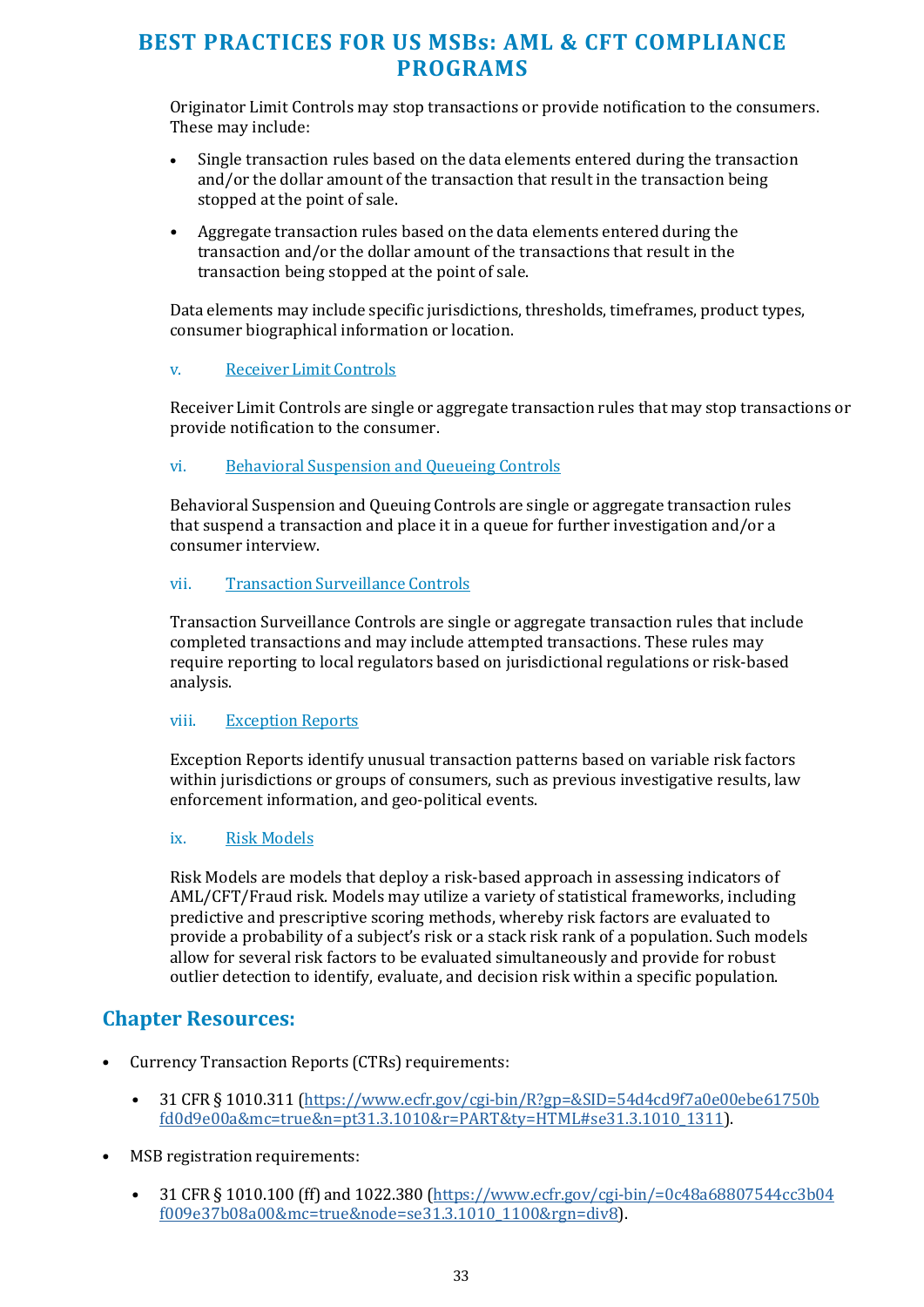Originator Limit Controls may stop transactions or provide notification to the consumers. These may include:

- Single transaction rules based on the data elements entered during the transaction and/or the dollar amount of the transaction that result in the transaction being stopped at the point of sale.
- Aggregate transaction rules based on the data elements entered during the transaction and/or the dollar amount of the transactions that result in the transaction being stopped at the point of sale.

Data elements may include specific jurisdictions, thresholds, timeframes, product types, consumer biographical information or location.

#### v. Receiver Limit Controls

Receiver Limit Controls are single or aggregate transaction rules that may stop transactions or provide notification to the consumer.

#### vi. Behavioral Suspension and Queueing Controls

Behavioral Suspension and Queuing Controls are single or aggregate transaction rules that suspend a transaction and place it in a queue for further investigation and/or a consumer interview.

#### vii. Transaction Surveillance Controls

Transaction Surveillance Controls are single or aggregate transaction rules that include completed transactions and may include attempted transactions. These rules may require reporting to local regulators based on jurisdictional regulations or risk-based analysis.

#### viii. Exception Reports

Exception Reports identify unusual transaction patterns based on variable risk factors within jurisdictions or groups of consumers, such as previous investigative results, law enforcement information, and geo-political events.

#### ix. Risk Models

Risk Models are models that deploy a risk-based approach in assessing indicators of AML/CFT/Fraud risk. Models may utilize a variety of statistical frameworks, including predictive and prescriptive scoring methods, whereby risk factors are evaluated to provide a probability of a subject's risk or a stack risk rank of a population. Such models allow for several risk factors to be evaluated simultaneously and provide for robust outlier detection to identify, evaluate, and decision risk within a specific population.

#### **Chapter Resources:**

- Currency Transaction Reports (CTRs) requirements:
	- 31 CFR § 1010.311 [\(https://www.ecfr.gov/cgi-bin/R?gp=&SID=54d4cd9f7a0e00ebe61750b](https://www.ecfr.gov/cgi-bin/retrieveECFR?gp&SID=54d4cd9f7a0e00ebe61750bfd0d9e00a&mc=true&n=pt31.3.1010&r=PART&ty=HTML&se31.3.1010_1311) [fd0d9e00a&mc=true&n=pt31.3.1010&r=PART&ty=HTML#se31.3.1010\\_1311\)](https://www.ecfr.gov/cgi-bin/retrieveECFR?gp&SID=54d4cd9f7a0e00ebe61750bfd0d9e00a&mc=true&n=pt31.3.1010&r=PART&ty=HTML&se31.3.1010_1311).
- MSB registration requirements:
	- 31 CFR § 1010.100 (ff) and 1022.380 [\(https://www.ecfr.gov/cgi-bin/=0c48a68807544cc3b04](https://www.ecfr.gov/cgi-bin/text-idx?SID=0c48a68807544cc3b04f009e37b08a00&mc=true&node=se31.3.1010_1100&rgn=div8) [f009e37b08a00&mc=true&node=se31.3.1010\\_1100&rgn=div8\)](https://www.ecfr.gov/cgi-bin/text-idx?SID=0c48a68807544cc3b04f009e37b08a00&mc=true&node=se31.3.1010_1100&rgn=div8).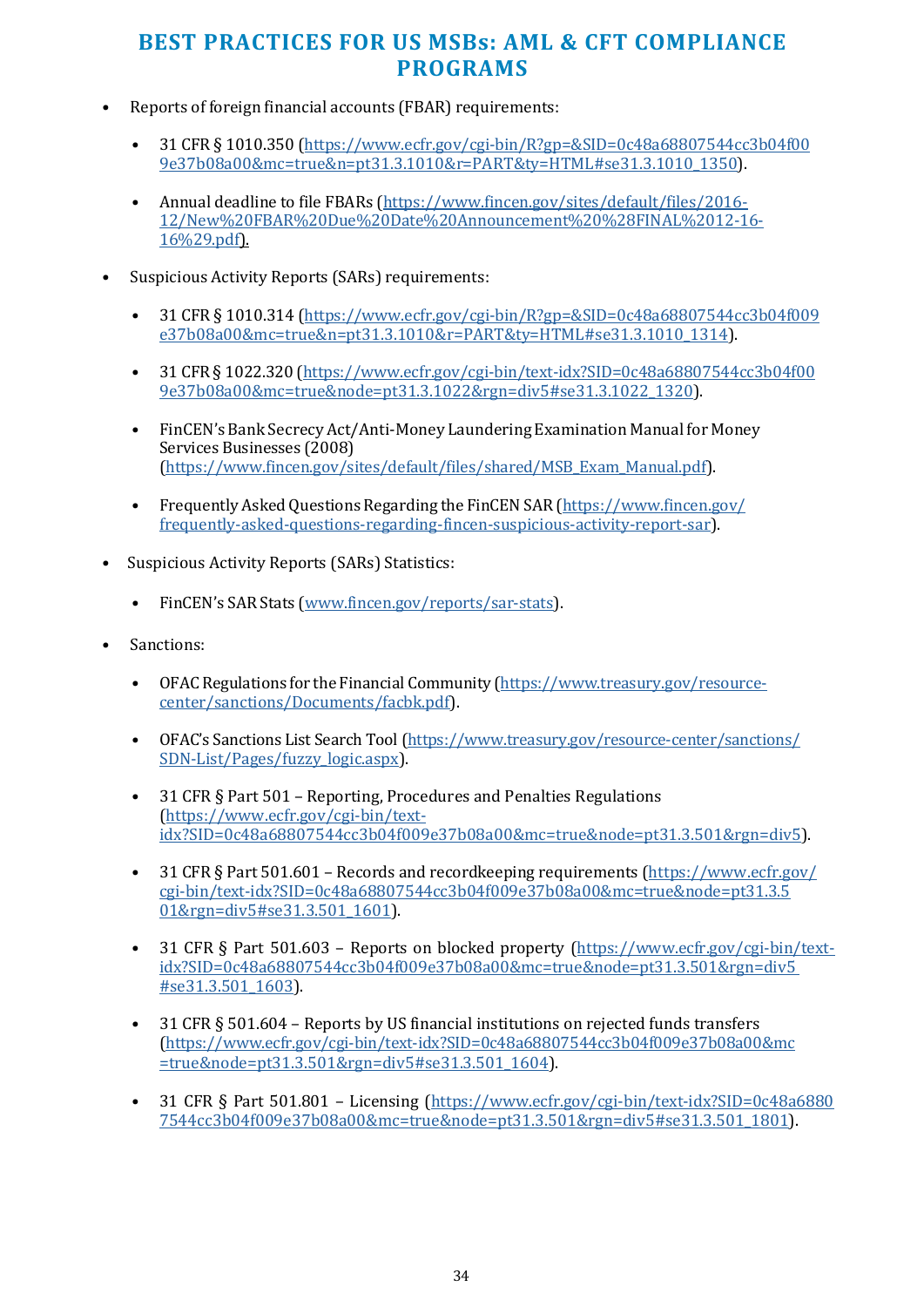- Reports of foreign financial accounts (FBAR) requirements:
	- 31 CFR § 1010.350 [\(https://www.ecfr.gov/cgi-bin/R?gp=&SID=0c48a68807544cc3b04f00](https://www.ecfr.gov/cgi-bin/retrieveECFR?gp&SID=0c48a68807544cc3b04f009e37b08a00&mc=true&n=pt31.3.1010&r=PART&ty=HTML&se31.3.1010_1350) [9e37b08a00&mc=true&n=pt31.3.1010&r=PART&ty=HTML#se31.3.1010\\_1350\)](https://www.ecfr.gov/cgi-bin/retrieveECFR?gp&SID=0c48a68807544cc3b04f009e37b08a00&mc=true&n=pt31.3.1010&r=PART&ty=HTML&se31.3.1010_1350).
	- Annual deadline to file FBARs [\(https://www.fincen.gov/sites/default/files/2016-](https://www.fincen.gov/sites/default/files/2016-12/New%20FBAR%20Due%20Date%20Announcement%20%28FINAL%2012-16-16%29.pdf) [12/New%20FBAR%20Due%20Date%20Announcement%20%28FINAL%2012-16-](https://www.fincen.gov/sites/default/files/2016-12/New%20FBAR%20Due%20Date%20Announcement%20%28FINAL%2012-16-16%29.pdf) [16%29.pdf\)](https://www.fincen.gov/sites/default/files/2016-12/New%20FBAR%20Due%20Date%20Announcement%20%28FINAL%2012-16-16%29.pdf).
- Suspicious Activity Reports (SARs) requirements:
	- 31 CFR § 1010.314 [\(https://www.ecfr.gov/cgi-bin/R?gp=&SID=0c48a68807544cc3b04f009](https://www.ecfr.gov/cgi-bin/retrieveECFR?gp&SID=0c48a68807544cc3b04f009e37b08a00&mc=true&n=pt31.3.1010&r=PART&ty=HTML&se31.3.1010_1314) [e37b08a00&mc=true&n=pt31.3.1010&r=PART&ty=HTML#se31.3.1010\\_1314\)](https://www.ecfr.gov/cgi-bin/retrieveECFR?gp&SID=0c48a68807544cc3b04f009e37b08a00&mc=true&n=pt31.3.1010&r=PART&ty=HTML&se31.3.1010_1314).
	- 31 CFR § 1022.320 [\(https://www.ecfr.gov/cgi-bin/text-idx?SID=0c48a68807544cc3b04f00](https://www.ecfr.gov/cgi-bin/text-idx?SID=0c48a68807544cc3b04f009e37b08a00&mc=true&node=pt31.3.1022&rgn=div5&se31.3.1022_1320) [9e37b08a00&mc=true&node=pt31.3.1022&rgn=div5#se31.3.1022\\_1320\)](https://www.ecfr.gov/cgi-bin/text-idx?SID=0c48a68807544cc3b04f009e37b08a00&mc=true&node=pt31.3.1022&rgn=div5&se31.3.1022_1320).
	- FinCEN's Bank Secrecy Act/Anti-Money Laundering Examination Manual for Money Services Businesses (2008) [\(https://www.fincen.gov/sites/default/files/shared/MSB\\_Exam\\_Manual.pdf\)](https://www.fincen.gov/sites/default/files/shared/MSB_Exam_Manual.pdf).
	- Frequently Asked Questions Regarding the FinCEN SAR [\(https://www.fincen.gov/](https://www.fincen.gov/frequently-asked-questions-regarding-fincen-suspicious-activity-report-sar) [frequently-asked-questions-regarding-fincen-suspicious-activity-report-sar\)](https://www.fincen.gov/frequently-asked-questions-regarding-fincen-suspicious-activity-report-sar).
- Suspicious Activity Reports (SARs) Statistics:
	- FinCEN's SAR Stats [\(www.fincen.gov/reports/sar-stats\)](http://www.fincen.gov/reports/sar-stats).
- Sanctions:
	- OFAC Regulations for the Financial Community [\(https://www.treasury.gov/resource](https://www.treasury.gov/resource-center/sanctions/Documents/facbk.pdf)[center/sanctions/Documents/facbk.pdf\)](https://www.treasury.gov/resource-center/sanctions/Documents/facbk.pdf).
	- OFAC's Sanctions List Search Tool [\(https://www.treasury.gov/resource-center/sanctions/](https://www.treasury.gov/resource-center/sanctions/SDN-List/Pages/fuzzy_logic.aspx) [SDN-List/Pages/fuzzy\\_logic.aspx\)](https://www.treasury.gov/resource-center/sanctions/SDN-List/Pages/fuzzy_logic.aspx).
	- 31 CFR § Part 501 Reporting, Procedures and Penalties Regulations [\(https://www.ecfr.gov/cgi-bin/text](https://www.ecfr.gov/cgi-bin/text-idx?SID=0c48a68807544cc3b04f009e37b08a00&mc=true&node=pt31.3.501&rgn=div5)[idx?SID=0c48a68807544cc3b04f009e37b08a00&mc=true&node=pt31.3.501&rgn=div5\)](https://www.ecfr.gov/cgi-bin/text-idx?SID=0c48a68807544cc3b04f009e37b08a00&mc=true&node=pt31.3.501&rgn=div5).
	- 31 CFR § Part 501.601 Records and recordkeeping requirements [\(https://www.ecfr.gov/](https://www.ecfr.gov/cgi-bin/text-idx?SID=0c48a68807544cc3b04f009e37b08a00&mc=true&node=pt31.3.501&rgn=div5&se31.3.501_1601) [cgi-bin/text-idx?SID=0c48a68807544cc3b04f009e37b08a00&mc=true&node=pt31.3.5](https://www.ecfr.gov/cgi-bin/text-idx?SID=0c48a68807544cc3b04f009e37b08a00&mc=true&node=pt31.3.501&rgn=div5&se31.3.501_1601) 01&rgn=div5#se31.3.501 1601).
	- 31 CFR § Part 501.603 Reports on blocked property [\(https://www.ecfr.gov/cgi-bin/text](https://www.ecfr.gov/cgi-bin/text-idx?SID=0c48a68807544cc3b04f009e37b08a00&mc=true&node=pt31.3.501&rgn=div5&se31.3.501_1603)[idx?SID=0c48a68807544cc3b04f009e37b08a00&mc=true&node=pt31.3.501&rgn=div5](https://www.ecfr.gov/cgi-bin/text-idx?SID=0c48a68807544cc3b04f009e37b08a00&mc=true&node=pt31.3.501&rgn=div5&se31.3.501_1603) [#se31.3.501\\_1603\)](https://www.ecfr.gov/cgi-bin/text-idx?SID=0c48a68807544cc3b04f009e37b08a00&mc=true&node=pt31.3.501&rgn=div5&se31.3.501_1603).
	- 31 CFR § 501.604 Reports by US financial institutions on rejected funds transfers [\(https://www.ecfr.gov/cgi-bin/text-idx?SID=0c48a68807544cc3b04f009e37b08a00&mc](https://www.ecfr.gov/cgi-bin/text-idx?SID=0c48a68807544cc3b04f009e37b08a00&mc=true&node=pt31.3.501&rgn=div5&se31.3.501_1604) [=true&node=pt31.3.501&rgn=div5#se31.3.501\\_1604\)](https://www.ecfr.gov/cgi-bin/text-idx?SID=0c48a68807544cc3b04f009e37b08a00&mc=true&node=pt31.3.501&rgn=div5&se31.3.501_1604).
	- 31 CFR § Part 501.801 Licensing [\(https://www.ecfr.gov/cgi-bin/text-idx?SID=0c48a6880](https://www.ecfr.gov/cgi-bin/text-idx?SID=0c48a68807544cc3b04f009e37b08a00&mc=true&node=pt31.3.501&rgn=div5&se31.3.501_1801) [7544cc3b04f009e37b08a00&mc=true&node=pt31.3.501&rgn=div5#se31.3.501\\_1801\)](https://www.ecfr.gov/cgi-bin/text-idx?SID=0c48a68807544cc3b04f009e37b08a00&mc=true&node=pt31.3.501&rgn=div5&se31.3.501_1801).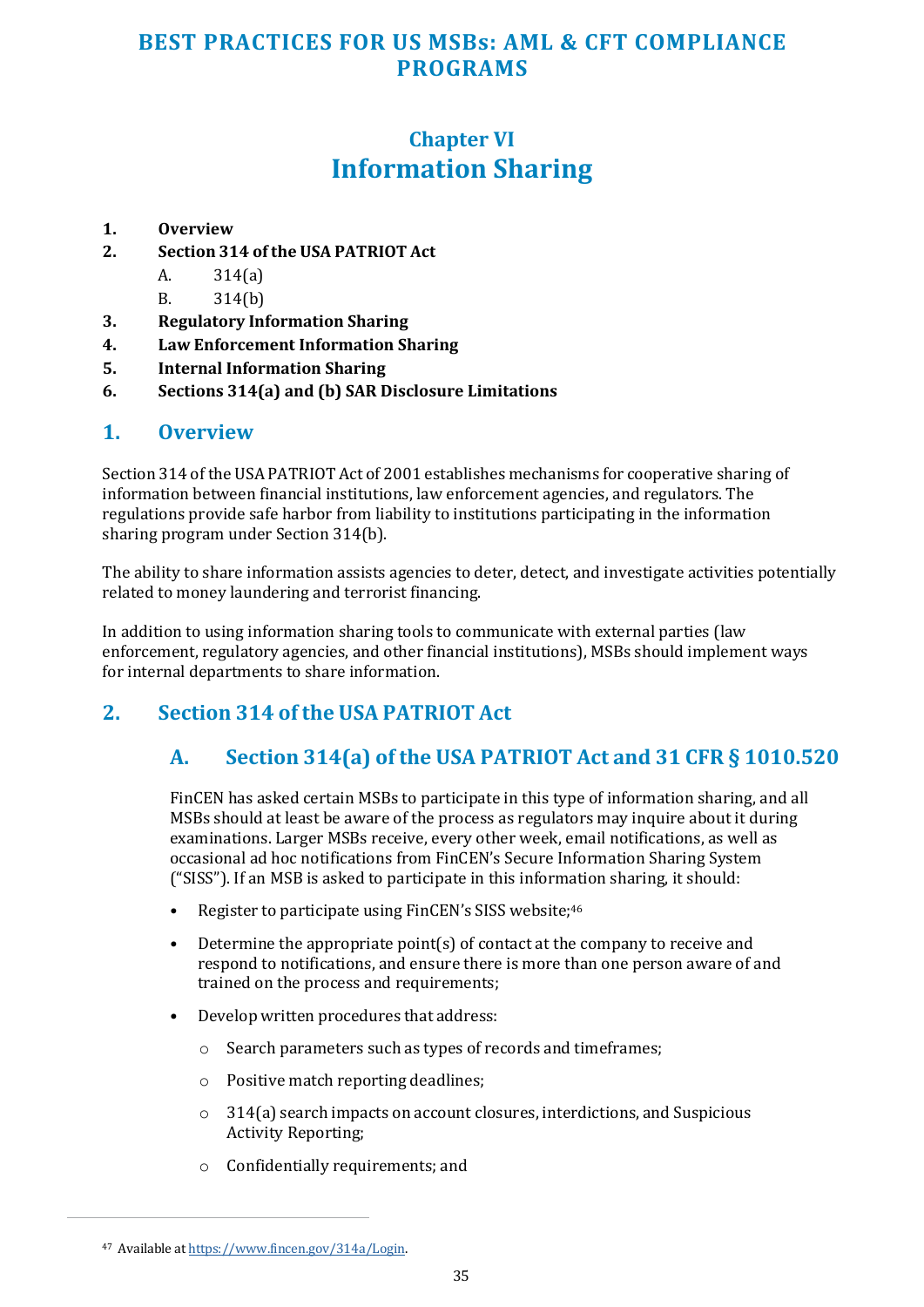## **Chapter VI Information Sharing**

#### <span id="page-34-0"></span>**1. Overview**

- **2. Section 314 of the USA PATRIOT Act** 
	- A. 314(a)
	- B. 314(b)
- **3. Regulatory Information Sharing**
- **4. Law Enforcement Information Sharing**
- **5. Internal Information Sharing**
- **6. Sections 314(a) and (b) SAR Disclosure Limitations**

#### **1. Overview**

Section 314 of the USA PATRIOT Act of 2001 establishes mechanisms for cooperative sharing of information between financial institutions, law enforcement agencies, and regulators. The regulations provide safe harbor from liability to institutions participating in the information sharing program under Section 314(b).

The ability to share information assists agencies to deter, detect, and investigate activities potentially related to money laundering and terrorist financing.

In addition to using information sharing tools to communicate with external parties (law enforcement, regulatory agencies, and other financial institutions), MSBs should implement ways for internal departments to share information.

## **2. Section 314 of the USA PATRIOT Act**

#### **A. Section 314(a) of the USA PATRIOT Act and 31 CFR § 1010.520**

FinCEN has asked certain MSBs to participate in this type of information sharing, and all MSBs should at least be aware of the process as regulators may inquire about it during examinations. Larger MSBs receive, every other week, email notifications, as well as occasional ad hoc notifications from FinCEN's Secure Information Sharing System ("SISS"). If an MSB is asked to participate in this information sharing, it should:

- Register to participate using FinCEN's SISS website;<sup>46</sup>
- Determine the appropriate point(s) of contact at the company to receive and respond to notifications, and ensure there is more than one person aware of and trained on the process and requirements;
- Develop written procedures that address:
	- o Search parameters such as types of records and timeframes;
	- o Positive match reporting deadlines;
	- o 314(a) search impacts on account closures, interdictions, and Suspicious Activity Reporting;
	- o Confidentially requirements; and

<sup>47</sup> Available a[t https://www.fincen.gov/314a/Login.](https://www.fincen.gov/314a/Login)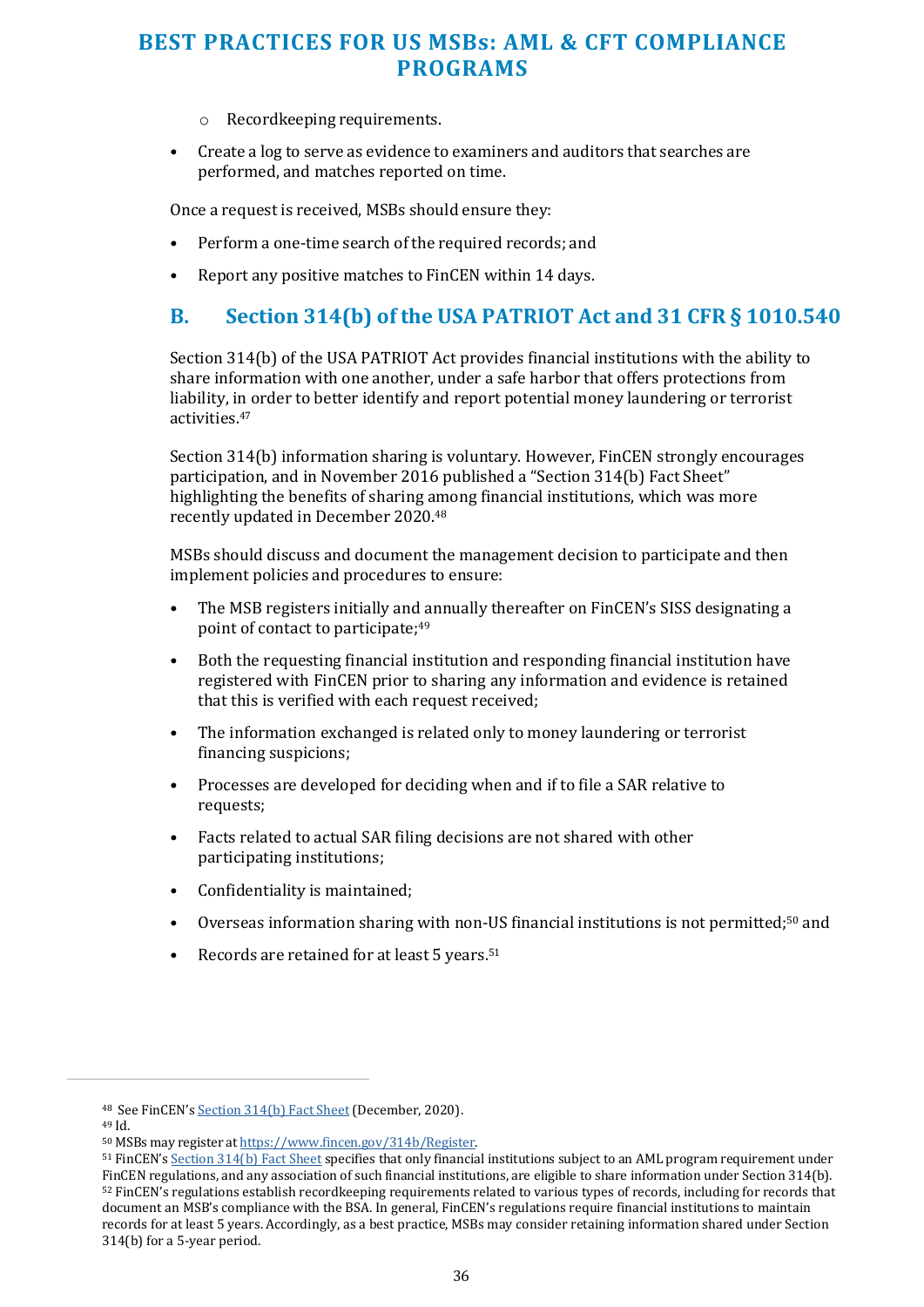- o Recordkeeping requirements.
- <span id="page-35-0"></span>• Create a log to serve as evidence to examiners and auditors that searches are performed, and matches reported on time.

Once a request is received, MSBs should ensure they:

- Perform a one-time search of the required records; and
- Report any positive matches to FinCEN within 14 days.

#### **B. Section 314(b) of the USA PATRIOT Act and 31 CFR § 1010.540**

Section 314(b) of the USA PATRIOT Act provides financial institutions with the ability to share information with one another, under a safe harbor that offers protections from liability, in order to better identify and report potential money laundering or terrorist activities.<sup>47</sup>

Section 314(b) information sharing is voluntary. However, FinCEN strongly encourages participation, and in November 2016 published a "Section 314(b) Fact Sheet" highlighting the benefits of sharing among financial institutions, which was more recently updated in December 2020.<sup>48</sup>

MSBs should discuss and document the management decision to participate and then implement policies and procedures to ensure:

- The MSB registers initially and annually thereafter on FinCEN's SISS designating a point of contact to participate;<sup>49</sup>
- Both the requesting financial institution and responding financial institution have registered with FinCEN prior to sharing any information and evidence is retained that this is verified with each request received;
- The information exchanged is related only to money laundering or terrorist financing suspicions;
- Processes are developed for deciding when and if to file a SAR relative to requests;
- Facts related to actual SAR filing decisions are not shared with other participating institutions;
- Confidentiality is maintained;
- Overseas information sharing with non-US financial institutions is not permitted;50 and
- Records are retained for at least 5 years.<sup>51</sup>

<sup>48</sup> See FinCEN'[s Section 314\(b\) Fact Sheet](https://www.fincen.gov/sites/default/files/shared/314bfactsheet.pdf) (December, 2020).

<sup>49</sup> Id.

<sup>50</sup> MSBs may register a[t https://www.fincen.gov/314b/Register.](https://www.fincen.gov/314b/Register) 

<sup>51</sup> FinCEN'[s Section 314\(b\) Fact Sheet s](https://www.fincen.gov/sites/default/files/shared/314bfactsheet.pdf)pecifies that only financial institutions subject to an AML program requirement under FinCEN regulations, and any association of such financial institutions, are eligible to share information under Section 314(b). <sup>52</sup> FinCEN's regulations establish recordkeeping requirements related to various types of records, including for records that document an MSB's compliance with the BSA. In general, FinCEN's regulations require financial institutions to maintain records for at least 5 years. Accordingly, as a best practice, MSBs may consider retaining information shared under Section 314(b) for a 5-year period.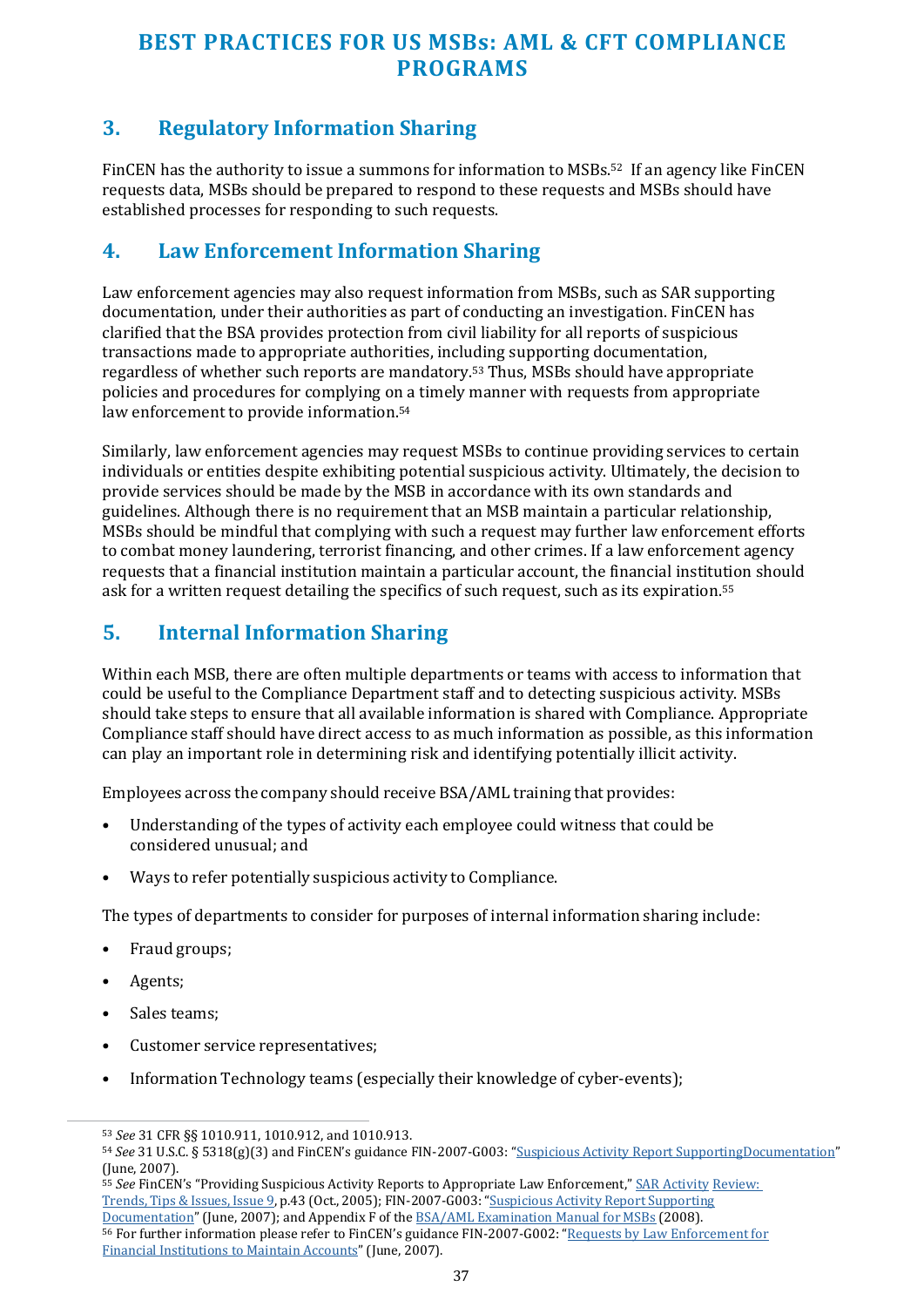## **3. Regulatory Information Sharing**

FinCEN has the authority to issue a summons for information to MSBs.52 If an agency like FinCEN requests data, MSBs should be prepared to respond to these requests and MSBs should have established processes for responding to such requests.

#### **4. Law Enforcement Information Sharing**

Law enforcement agencies may also request information from MSBs, such as SAR supporting documentation, under their authorities as part of conducting an investigation. FinCEN has clarified that the BSA provides protection from civil liability for all reports of suspicious transactions made to appropriate authorities, including supporting documentation, regardless of whether such reports are mandatory.53 Thus, MSBs should have appropriate policies and procedures for complying on a timely manner with requests from appropriate law enforcement to provide information.<sup>54</sup>

Similarly, law enforcement agencies may request MSBs to continue providing services to certain individuals or entities despite exhibiting potential suspicious activity. Ultimately, the decision to provide services should be made by the MSB in accordance with its own standards and guidelines. Although there is no requirement that an MSB maintain a particular relationship, MSBs should be mindful that complying with such a request may further law enforcement efforts to combat money laundering, terrorist financing, and other crimes. If a law enforcement agency requests that a financial institution maintain a particular account, the financial institution should ask for a written request detailing the specifics of such request, such as its expiration.<sup>55</sup>

## **5. Internal Information Sharing**

Within each MSB, there are often multiple departments or teams with access to information that could be useful to the Compliance Department staff and to detecting suspicious activity. MSBs should take steps to ensure that all available information is shared with Compliance. Appropriate Compliance staff should have direct access to as much information as possible, as this information can play an important role in determining risk and identifying potentially illicit activity.

Employees across the company should receive BSA/AML training that provides:

- Understanding of the types of activity each employee could witness that could be considered unusual; and
- Ways to refer potentially suspicious activity to Compliance.

The types of departments to consider for purposes of internal information sharing include:

- Fraud groups;
- Agents;
- Sales teams;
- Customer service representatives;
- Information Technology teams (especially their knowledge of cyber-events);

<sup>55</sup> *See* FinCEN's "Providing Suspicious Activity Reports to Appropriate Law Enforcement,[" SAR Activity](https://www.fincen.gov/sites/default/files/shared/sar_tti_09.pdf) [Review:](https://www.fincen.gov/sites/default/files/shared/sar_tti_09.pdf)  [Trends, Tips & Issues, Issue 9,](https://www.fincen.gov/sites/default/files/shared/sar_tti_09.pdf) p.43 (Oct., 2005); FIN-2007-G003: ["Suspicious Activity Report Supporting](https://www.fincen.gov/sites/default/files/shared/Supporting_Documentation_Guidance.pdf) [Documentation"](https://www.fincen.gov/sites/default/files/shared/Supporting_Documentation_Guidance.pdf) (June, 2007); and Appendix F of th[e BSA/AML Examination Manual for MSBs](https://www.fincen.gov/sites/default/files/shared/MSB_Exam_Manual.pdf) (2008). <sup>56</sup> For further information please refer to FinCEN's guidance FIN-2007-G002: ["Requests by Law Enforcement for](https://www.fincen.gov/sites/default/files/shared/Maintaining_Accounts_Guidance.pdf) [Financial Institutions to Maintain Accounts"](https://www.fincen.gov/sites/default/files/shared/Maintaining_Accounts_Guidance.pdf) (June, 2007).

<sup>53</sup> *See* 31 CFR §§ 1010.911, 1010.912, and 1010.913.

<sup>54</sup> *See* 31 U.S.C. § 5318(g)(3) and FinCEN's guidance FIN-2007-G003: ["Suspicious Activity Report SupportingDocumentation"](https://www.fincen.gov/sites/default/files/shared/Supporting_Documentation_Guidance.pdf) (June, 2007).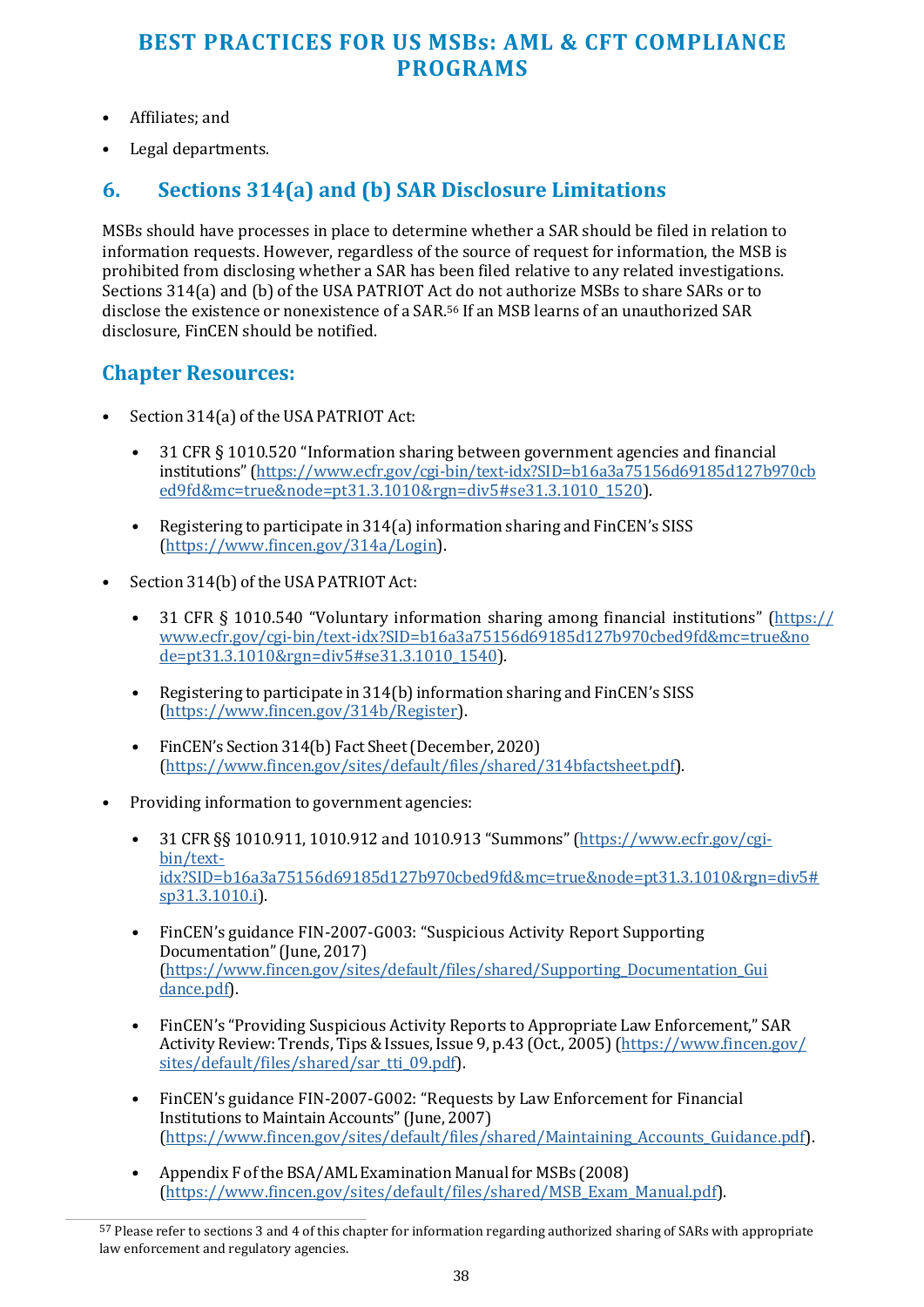- Affiliates; and
- Legal departments.

## **6. Sections 314(a) and (b) SAR Disclosure Limitations**

MSBs should have processes in place to determine whether a SAR should be filed in relation to information requests. However, regardless of the source of request for information, the MSB is prohibited from disclosing whether a SAR has been filed relative to any related investigations. Sections 314(a) and (b) of the USA PATRIOT Act do not authorize MSBs to share SARs or to disclose the existence or nonexistence of a SAR.56 If an MSB learns of an unauthorized SAR disclosure, FinCEN should be notified.

#### **Chapter Resources:**

- Section 314(a) of the USA PATRIOT Act:
	- 31 CFR § 1010.520 "Information sharing between government agencies and financial institutions" [\(https://www.ecfr.gov/cgi-bin/text-idx?SID=b16a3a75156d69185d127b970cb](https://www.ecfr.gov/cgi-bin/text-idx?SID=b16a3a75156d69185d127b970cbed9fd&mc=true&node=pt31.3.1010&rgn=div5&se31.3.1010_1520) [ed9fd&mc=true&node=pt31.3.1010&rgn=div5#se31.3.1010\\_1520\)](https://www.ecfr.gov/cgi-bin/text-idx?SID=b16a3a75156d69185d127b970cbed9fd&mc=true&node=pt31.3.1010&rgn=div5&se31.3.1010_1520).
	- Registering to participate in 314(a) information sharing and FinCEN's SISS [\(https://www.fincen.gov/314a/Login\)](https://www.fincen.gov/314a/Login).
- Section 314(b) of the USA PATRIOT Act:
	- 31 CFR § 1010.540 "Voluntary information sharing among financial institutions" [\(https://](https://www.ecfr.gov/cgi-bin/text-idx?SID=b16a3a75156d69185d127b970cbed9fd&mc=true&node=pt31.3.1010&rgn=div5&se31.3.1010_1540) [www.ecfr.gov/cgi-bin/text-idx?SID=b16a3a75156d69185d127b970cbed9fd&mc=true&no](https://www.ecfr.gov/cgi-bin/text-idx?SID=b16a3a75156d69185d127b970cbed9fd&mc=true&node=pt31.3.1010&rgn=div5&se31.3.1010_1540) [de=pt31.3.1010&rgn=div5#se31.3.1010\\_1540\)](https://www.ecfr.gov/cgi-bin/text-idx?SID=b16a3a75156d69185d127b970cbed9fd&mc=true&node=pt31.3.1010&rgn=div5&se31.3.1010_1540).
	- Registering to participate in 314(b) information sharing and FinCEN's SISS [\(https://www.fincen.gov/314b/Register\)](https://www.fincen.gov/314b/Register).
	- FinCEN's Section 314(b) Fact Sheet (December, 2020) [\(https://www.fincen.gov/sites/default/files/shared/314bfactsheet.pdf\)](https://www.fincen.gov/sites/default/files/shared/314bfactsheet.pdf).
- Providing information to government agencies:
	- 31 CFR §§ 1010.911, 1010.912 and 1010.913 "Summons" [\(https://www.ecfr.gov/cgi](https://www.ecfr.gov/cgi-bin/text-idx?SID=b16a3a75156d69185d127b970cbed9fd&mc=true&node=pt31.3.1010&rgn=div5&sp31.3.1010.i)[bin/text](https://www.ecfr.gov/cgi-bin/text-idx?SID=b16a3a75156d69185d127b970cbed9fd&mc=true&node=pt31.3.1010&rgn=div5&sp31.3.1010.i)[idx?SID=b16a3a75156d69185d127b970cbed9fd&mc=true&node=pt31.3.1010&rgn=div5#](https://www.ecfr.gov/cgi-bin/text-idx?SID=b16a3a75156d69185d127b970cbed9fd&mc=true&node=pt31.3.1010&rgn=div5&sp31.3.1010.i) [sp31.3.1010.i\)](https://www.ecfr.gov/cgi-bin/text-idx?SID=b16a3a75156d69185d127b970cbed9fd&mc=true&node=pt31.3.1010&rgn=div5&sp31.3.1010.i).
	- FinCEN's guidance FIN-2007-G003: "Suspicious Activity Report Supporting Documentation" (June, 2017) [\(https://www.fincen.gov/sites/default/files/shared/Supporting\\_Documentation\\_Gui](https://www.fincen.gov/sites/default/files/shared/Supporting_Documentation_Guidance.pdf) [dance.pdf\)](https://www.fincen.gov/sites/default/files/shared/Supporting_Documentation_Guidance.pdf).
	- FinCEN's "Providing Suspicious Activity Reports to Appropriate Law Enforcement," SAR Activity Review: Trends, Tips & Issues, Issue 9, p.43 (Oct., 2005) [\(https://www.fincen.gov/](https://www.fincen.gov/sites/default/files/shared/sar_tti_09.pdf) [sites/default/files/shared/sar\\_tti\\_09.pdf\)](https://www.fincen.gov/sites/default/files/shared/sar_tti_09.pdf).
	- FinCEN's guidance FIN-2007-G002: "Requests by Law Enforcement for Financial Institutions to Maintain Accounts" (June, 2007) [\(https://www.fincen.gov/sites/default/files/shared/Maintaining\\_Accounts\\_Guidance.pdf\)](https://www.fincen.gov/sites/default/files/shared/Maintaining_Accounts_Guidance.pdf).
	- Appendix F of the BSA/AML Examination Manual for MSBs (2008) [\(https://www.fincen.gov/sites/default/files/shared/MSB\\_Exam\\_Manual.pdf\)](https://www.fincen.gov/sites/default/files/shared/MSB_Exam_Manual.pdf).

<sup>57</sup> Please refer to sections 3 and 4 of this chapter for information regarding authorized sharing of SARs with appropriate law enforcement and regulatory agencies.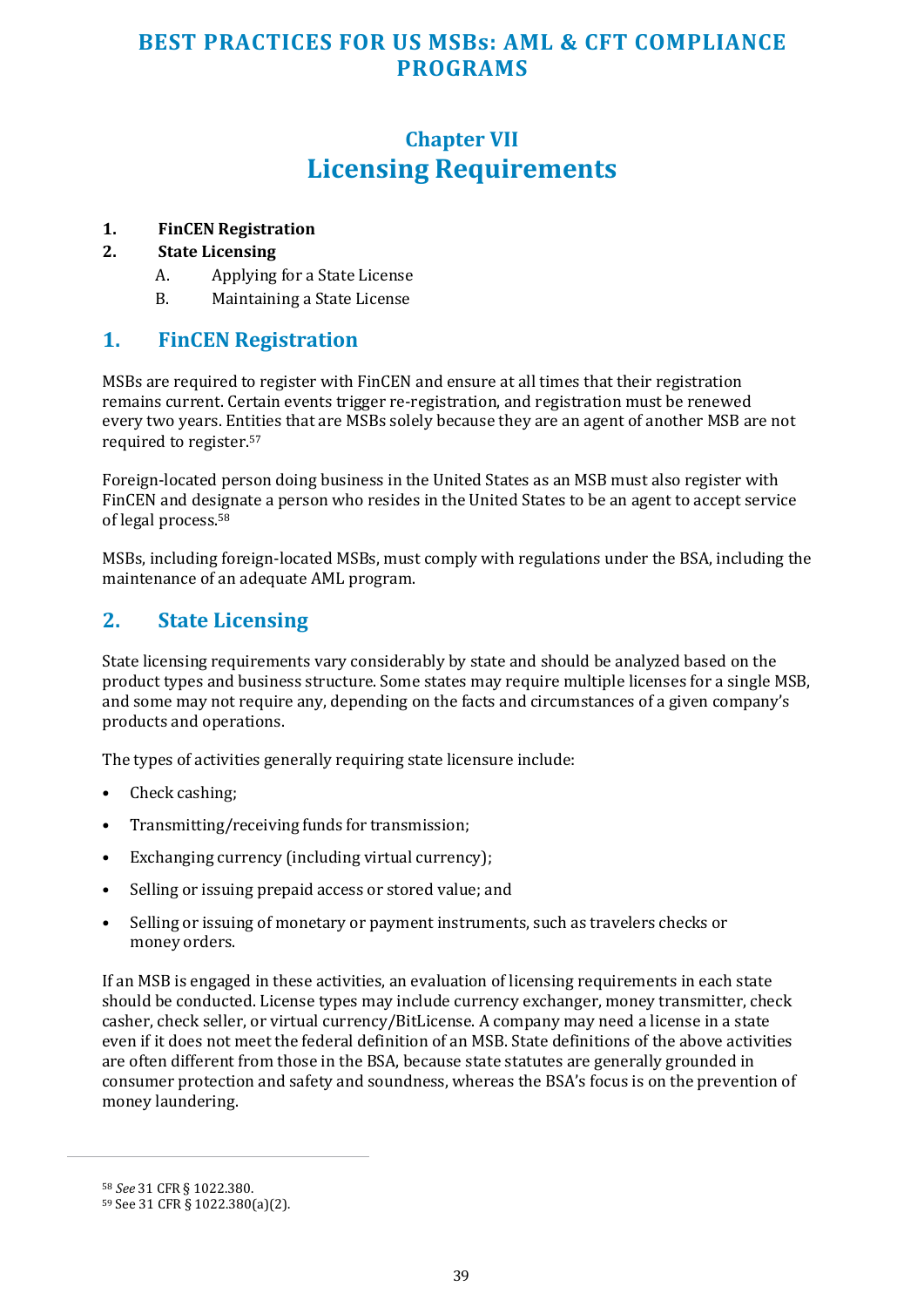## **Chapter VII Licensing Requirements**

#### <span id="page-38-0"></span>**1. FinCEN Registration**

#### **2. State Licensing**

- A. Applying for a State License
- B. Maintaining a State License

#### **1. FinCEN Registration**

MSBs are required to register with FinCEN and ensure at all times that their registration remains current. Certain events trigger re-registration, and registration must be renewed every two years. Entities that are MSBs solely because they are an agent of another MSB are not required to register.<sup>57</sup>

Foreign-located person doing business in the United States as an MSB must also register with FinCEN and designate a person who resides in the United States to be an agent to accept service of legal process.<sup>58</sup>

MSBs, including foreign-located MSBs, must comply with regulations under the BSA, including the maintenance of an adequate AML program.

#### **2. State Licensing**

State licensing requirements vary considerably by state and should be analyzed based on the product types and business structure. Some states may require multiple licenses for a single MSB, and some may not require any, depending on the facts and circumstances of a given company's products and operations.

The types of activities generally requiring state licensure include:

- Check cashing:
- Transmitting/receiving funds for transmission;
- Exchanging currency (including virtual currency);
- Selling or issuing prepaid access or stored value; and
- Selling or issuing of monetary or payment instruments, such as travelers checks or money orders.

If an MSB is engaged in these activities, an evaluation of licensing requirements in each state should be conducted. License types may include currency exchanger, money transmitter, check casher, check seller, or virtual currency/BitLicense. A company may need a license in a state even if it does not meet the federal definition of an MSB. State definitions of the above activities are often different from those in the BSA, because state statutes are generally grounded in consumer protection and safety and soundness, whereas the BSA's focus is on the prevention of money laundering.

<sup>58</sup> *See* 31 CFR § 1022.380.

<sup>59</sup> See 31 CFR § 1022.380(a)(2).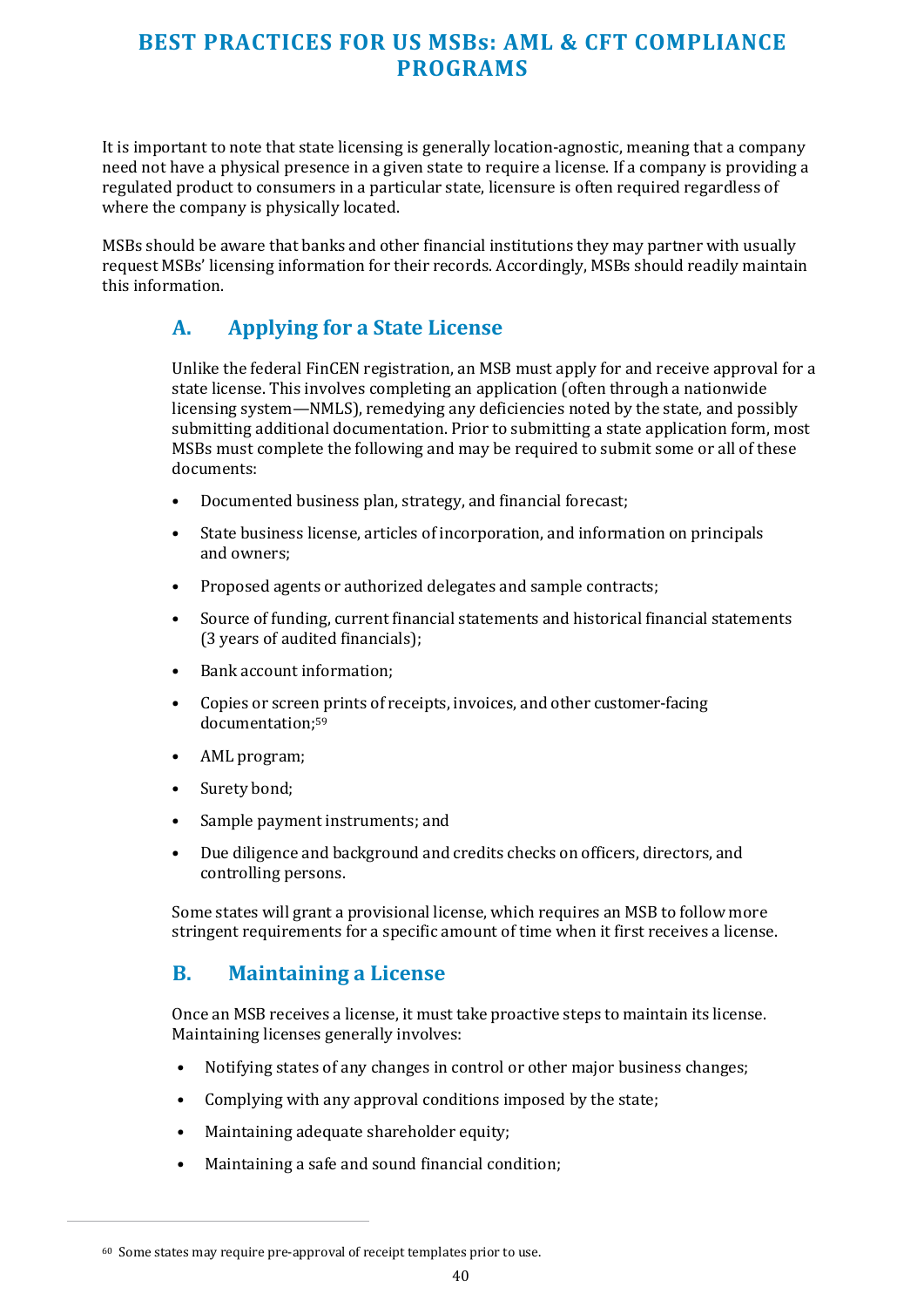It is important to note that state licensing is generally location-agnostic, meaning that a company need not have a physical presence in a given state to require a license. If a company is providing a regulated product to consumers in a particular state, licensure is often required regardless of where the company is physically located.

MSBs should be aware that banks and other financial institutions they may partner with usually request MSBs' licensing information for their records. Accordingly, MSBs should readily maintain this information.

## **A. Applying for a State License**

Unlike the federal FinCEN registration, an MSB must apply for and receive approval for a state license. This involves completing an application (often through a nationwide licensing system—NMLS), remedying any deficiencies noted by the state, and possibly submitting additional documentation. Prior to submitting a state application form, most MSBs must complete the following and may be required to submit some or all of these documents:

- Documented business plan, strategy, and financial forecast;
- State business license, articles of incorporation, and information on principals and owners;
- Proposed agents or authorized delegates and sample contracts;
- Source of funding, current financial statements and historical financial statements (3 years of audited financials);
- Bank account information;
- Copies or screen prints of receipts, invoices, and other customer-facing documentation;<sup>59</sup>
- AML program;
- Surety bond;
- Sample payment instruments; and
- Due diligence and background and credits checks on officers, directors, and controlling persons.

Some states will grant a provisional license, which requires an MSB to follow more stringent requirements for a specific amount of time when it first receives a license.

#### **B. Maintaining a License**

Once an MSB receives a license, it must take proactive steps to maintain its license. Maintaining licenses generally involves:

- Notifying states of any changes in control or other major business changes;
- Complying with any approval conditions imposed by the state;
- Maintaining adequate shareholder equity:
- Maintaining a safe and sound financial condition;

<sup>60</sup> Some states may require pre-approval of receipt templates prior to use.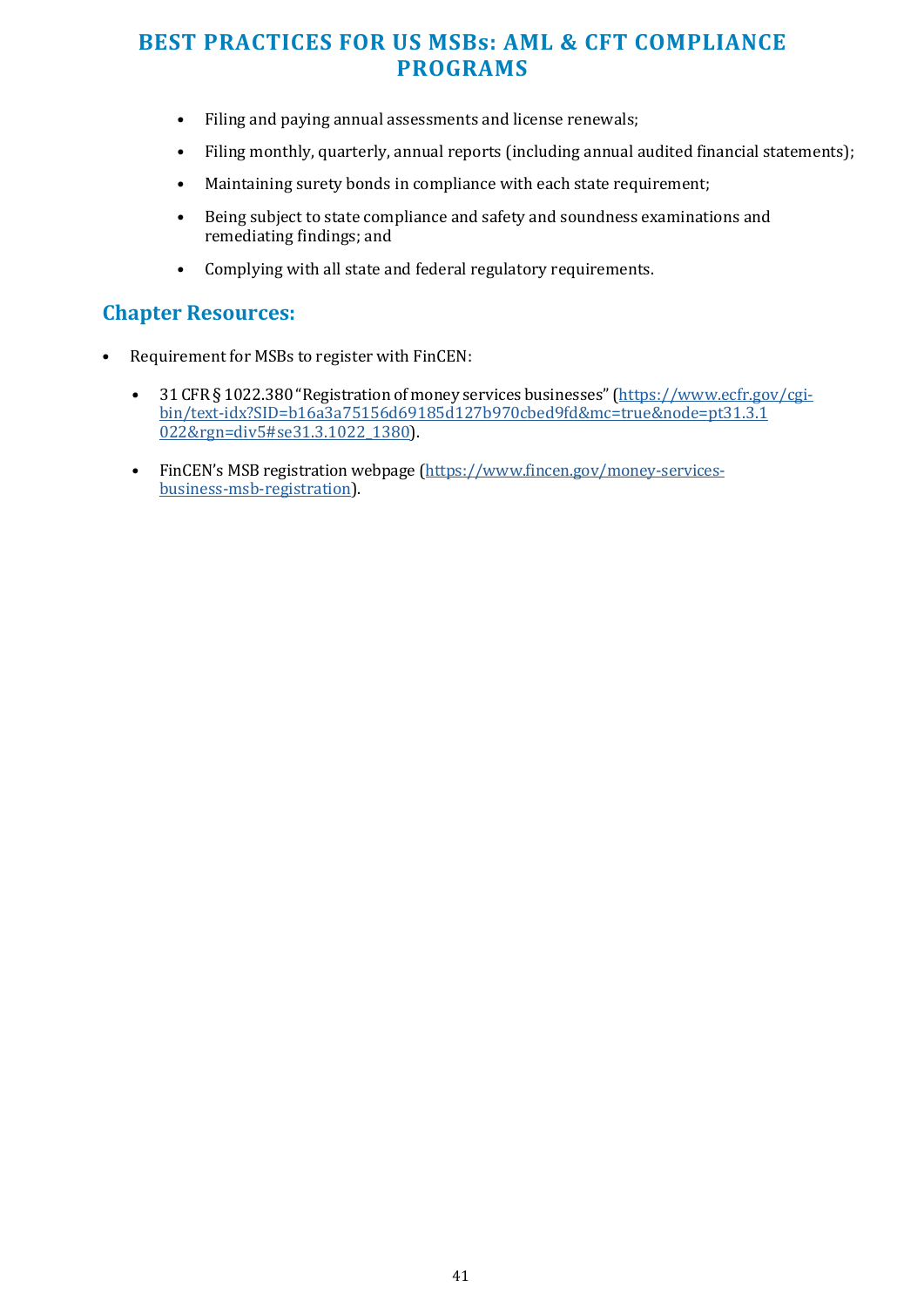- Filing and paying annual assessments and license renewals;
- Filing monthly, quarterly, annual reports (including annual audited financial statements);
- Maintaining surety bonds in compliance with each state requirement;
- Being subject to state compliance and safety and soundness examinations and remediating findings; and
- Complying with all state and federal regulatory requirements.

#### **Chapter Resources:**

- Requirement for MSBs to register with FinCEN:
	- 31 CFR § 1022.380 "Registration of money services businesses" [\(https://www.ecfr.gov/cgi](https://www.ecfr.gov/cgi-bin/text-idx?SID=b16a3a75156d69185d127b970cbed9fd&mc=true&node=pt31.3.1022&rgn=div5&se31.3.1022_1380)[bin/text-idx?SID=b16a3a75156d69185d127b970cbed9fd&mc=true&node=pt31.3.1](https://www.ecfr.gov/cgi-bin/text-idx?SID=b16a3a75156d69185d127b970cbed9fd&mc=true&node=pt31.3.1022&rgn=div5&se31.3.1022_1380) [022&rgn=div5#se31.3.1022\\_1380\)](https://www.ecfr.gov/cgi-bin/text-idx?SID=b16a3a75156d69185d127b970cbed9fd&mc=true&node=pt31.3.1022&rgn=div5&se31.3.1022_1380).
	- FinCEN's MSB registration webpage [\(https://www.fincen.gov/money-services](https://www.fincen.gov/money-services-business-msb-registration)[business-msb-registration\)](https://www.fincen.gov/money-services-business-msb-registration).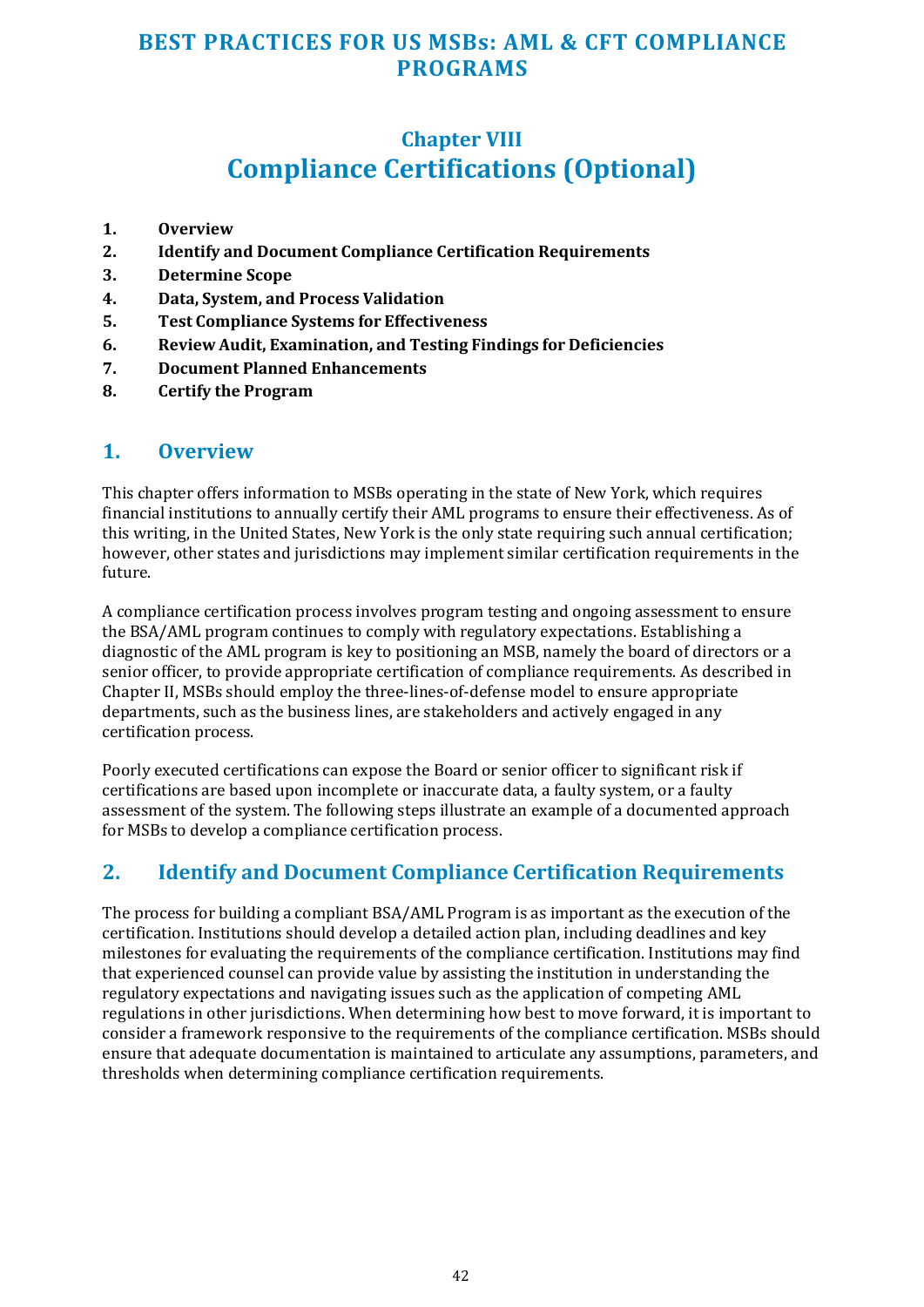## **Chapter VIII Compliance Certifications (Optional)**

- <span id="page-41-0"></span>**1. Overview**
- **2. Identify and Document Compliance Certification Requirements**
- **3. Determine Scope**
- **4. Data, System, and Process Validation**
- **5. Test Compliance Systems for Effectiveness**
- **6. Review Audit, Examination, and Testing Findings for Deficiencies**
- **7. Document Planned Enhancements**
- **8. Certify the Program**

#### **1. Overview**

This chapter offers information to MSBs operating in the state of New York, which requires financial institutions to annually certify their AML programs to ensure their effectiveness. As of this writing, in the United States, New York is the only state requiring such annual certification; however, other states and jurisdictions may implement similar certification requirements in the future.

A compliance certification process involves program testing and ongoing assessment to ensure the BSA/AML program continues to comply with regulatory expectations. Establishing a diagnostic of the AML program is key to positioning an MSB, namely the board of directors or a senior officer, to provide appropriate certification of compliance requirements. As described in Chapter II, MSBs should employ the three-lines-of-defense model to ensure appropriate departments, such as the business lines, are stakeholders and actively engaged in any certification process.

Poorly executed certifications can expose the Board or senior officer to significant risk if certifications are based upon incomplete or inaccurate data, a faulty system, or a faulty assessment of the system. The following steps illustrate an example of a documented approach for MSBs to develop a compliance certification process.

#### **2. Identify and Document Compliance Certification Requirements**

The process for building a compliant BSA/AML Program is as important as the execution of the certification. Institutions should develop a detailed action plan, including deadlines and key milestones for evaluating the requirements of the compliance certification. Institutions may find that experienced counsel can provide value by assisting the institution in understanding the regulatory expectations and navigating issues such as the application of competing AML regulations in other jurisdictions. When determining how best to move forward, it is important to consider a framework responsive to the requirements of the compliance certification. MSBs should ensure that adequate documentation is maintained to articulate any assumptions, parameters, and thresholds when determining compliance certification requirements.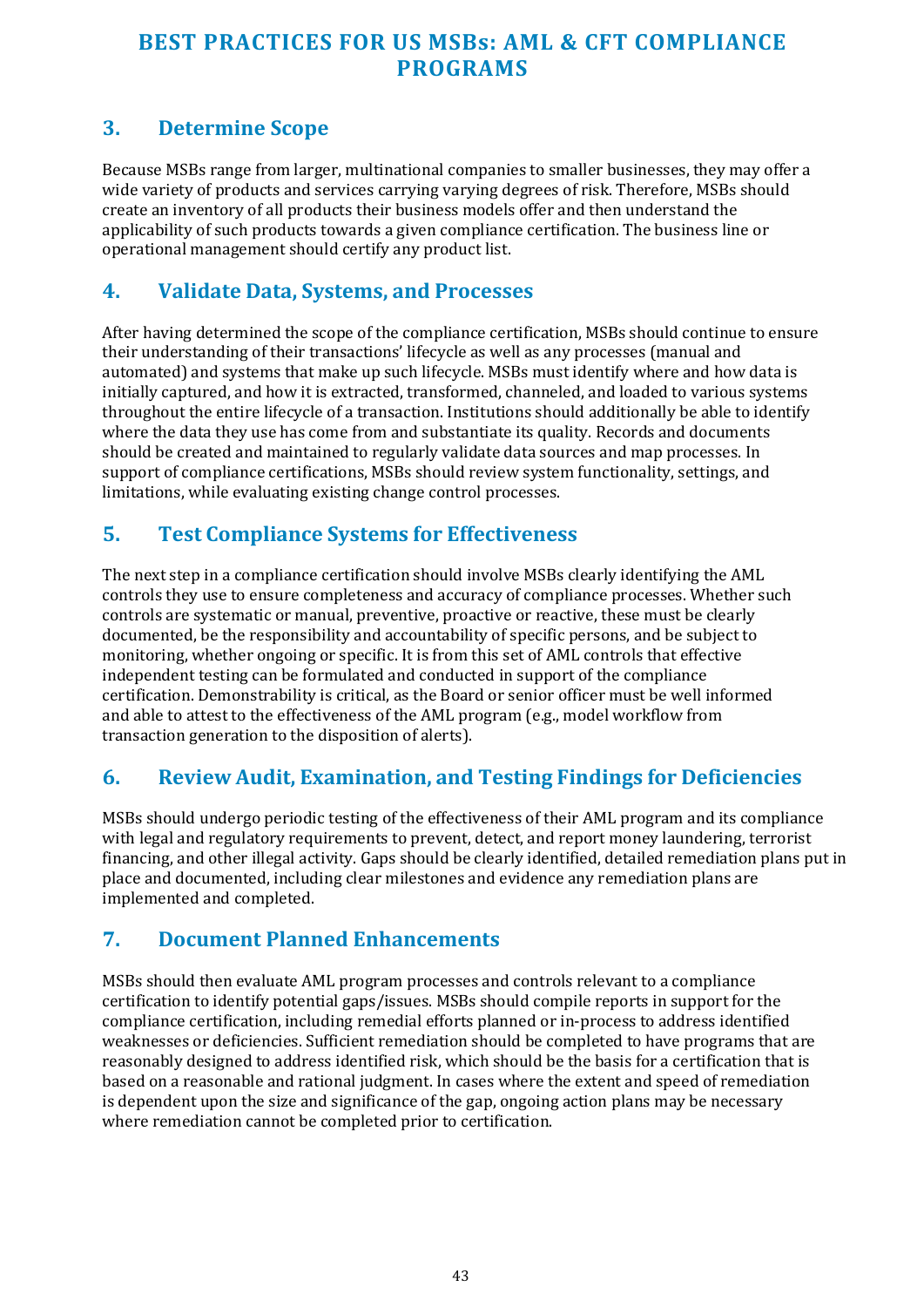#### <span id="page-42-0"></span>**3. Determine Scope**

Because MSBs range from larger, multinational companies to smaller businesses, they may offer a wide variety of products and services carrying varying degrees of risk. Therefore, MSBs should create an inventory of all products their business models offer and then understand the applicability of such products towards a given compliance certification. The business line or operational management should certify any product list.

#### **4. Validate Data, Systems, and Processes**

After having determined the scope of the compliance certification, MSBs should continue to ensure their understanding of their transactions' lifecycle as well as any processes (manual and automated) and systems that make up such lifecycle. MSBs must identify where and how data is initially captured, and how it is extracted, transformed, channeled, and loaded to various systems throughout the entire lifecycle of a transaction. Institutions should additionally be able to identify where the data they use has come from and substantiate its quality. Records and documents should be created and maintained to regularly validate data sources and map processes. In support of compliance certifications, MSBs should review system functionality, settings, and limitations, while evaluating existing change control processes.

#### **5. Test Compliance Systems for Effectiveness**

The next step in a compliance certification should involve MSBs clearly identifying the AML controls they use to ensure completeness and accuracy of compliance processes. Whether such controls are systematic or manual, preventive, proactive or reactive, these must be clearly documented, be the responsibility and accountability of specific persons, and be subject to monitoring, whether ongoing or specific. It is from this set of AML controls that effective independent testing can be formulated and conducted in support of the compliance certification. Demonstrability is critical, as the Board or senior officer must be well informed and able to attest to the effectiveness of the AML program (e.g., model workflow from transaction generation to the disposition of alerts).

## **6. Review Audit, Examination, and Testing Findings for Deficiencies**

MSBs should undergo periodic testing of the effectiveness of their AML program and its compliance with legal and regulatory requirements to prevent, detect, and report money laundering, terrorist financing, and other illegal activity. Gaps should be clearly identified, detailed remediation plans put in place and documented, including clear milestones and evidence any remediation plans are implemented and completed.

#### **7. Document Planned Enhancements**

MSBs should then evaluate AML program processes and controls relevant to a compliance certification to identify potential gaps/issues. MSBs should compile reports in support for the compliance certification, including remedial efforts planned or in-process to address identified weaknesses or deficiencies. Sufficient remediation should be completed to have programs that are reasonably designed to address identified risk, which should be the basis for a certification that is based on a reasonable and rational judgment. In cases where the extent and speed of remediation is dependent upon the size and significance of the gap, ongoing action plans may be necessary where remediation cannot be completed prior to certification.